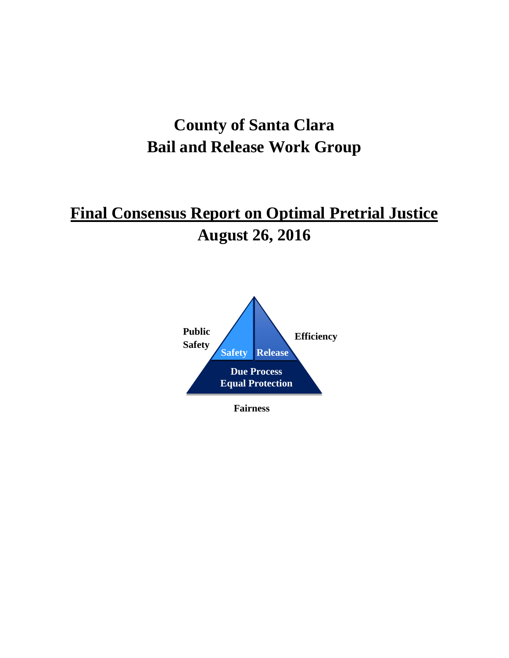# **County of Santa Clara Bail and Release Work Group**

# **Final Consensus Report on Optimal Pretrial Justice August 26, 2016**



**Fairness**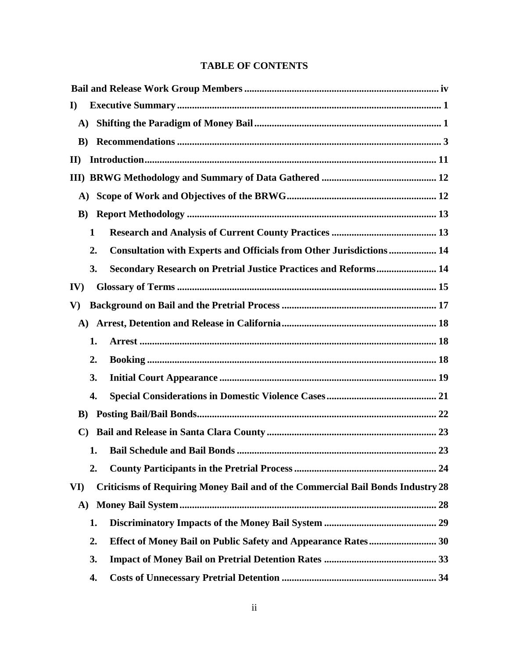## **TABLE OF CONTENTS**

| $\mathbf{I}$   |              |                                                                                 |  |  |
|----------------|--------------|---------------------------------------------------------------------------------|--|--|
| $\mathbf{A}$ ) |              |                                                                                 |  |  |
| $\bf{B}$       |              |                                                                                 |  |  |
| $\mathbf{I}$   |              |                                                                                 |  |  |
|                |              |                                                                                 |  |  |
| A)             |              |                                                                                 |  |  |
| $\bf{B}$ )     |              |                                                                                 |  |  |
|                | $\mathbf{1}$ |                                                                                 |  |  |
|                | 2.           | <b>Consultation with Experts and Officials from Other Jurisdictions  14</b>     |  |  |
|                | 3.           | <b>Secondary Research on Pretrial Justice Practices and Reforms 14</b>          |  |  |
| IV)            |              |                                                                                 |  |  |
| $\mathbf{V}$   |              |                                                                                 |  |  |
| $\mathbf{A}$   |              |                                                                                 |  |  |
|                | 1.           |                                                                                 |  |  |
|                | 2.           |                                                                                 |  |  |
|                | 3.           |                                                                                 |  |  |
|                | 4.           |                                                                                 |  |  |
| $\bf{B}$       |              |                                                                                 |  |  |
|                |              |                                                                                 |  |  |
|                | 1.           |                                                                                 |  |  |
|                | 2.           |                                                                                 |  |  |
| VI)            |              | Criticisms of Requiring Money Bail and of the Commercial Bail Bonds Industry 28 |  |  |
| A)             |              |                                                                                 |  |  |
|                | 1.           |                                                                                 |  |  |
|                | 2.           |                                                                                 |  |  |
|                | 3.           |                                                                                 |  |  |
|                | 4.           |                                                                                 |  |  |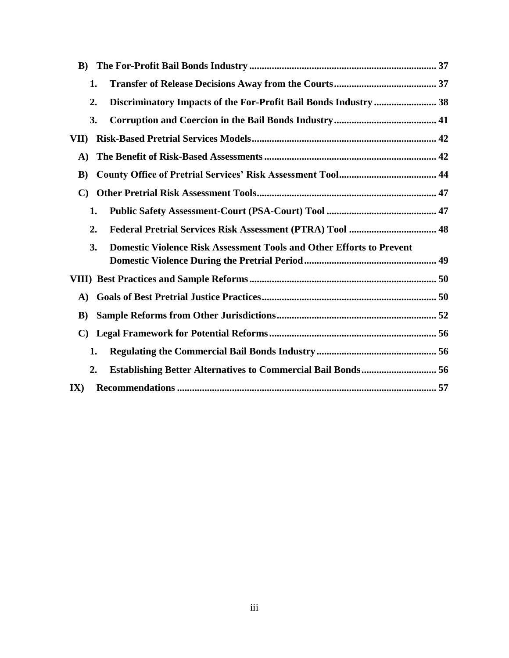| $\bf{B}$ )                                                                        |  |
|-----------------------------------------------------------------------------------|--|
| 1.                                                                                |  |
| Discriminatory Impacts of the For-Profit Bail Bonds Industry  38<br>2.            |  |
| 3.                                                                                |  |
| VII)                                                                              |  |
| A)                                                                                |  |
| $\bf{B}$                                                                          |  |
| C)                                                                                |  |
| 1.                                                                                |  |
| 2.                                                                                |  |
| <b>Domestic Violence Risk Assessment Tools and Other Efforts to Prevent</b><br>3. |  |
|                                                                                   |  |
| A)                                                                                |  |
| $\bf{B}$                                                                          |  |
| $\mathbf{C}$                                                                      |  |
| 1.                                                                                |  |
| 2.                                                                                |  |
| $\mathbf{IX}$                                                                     |  |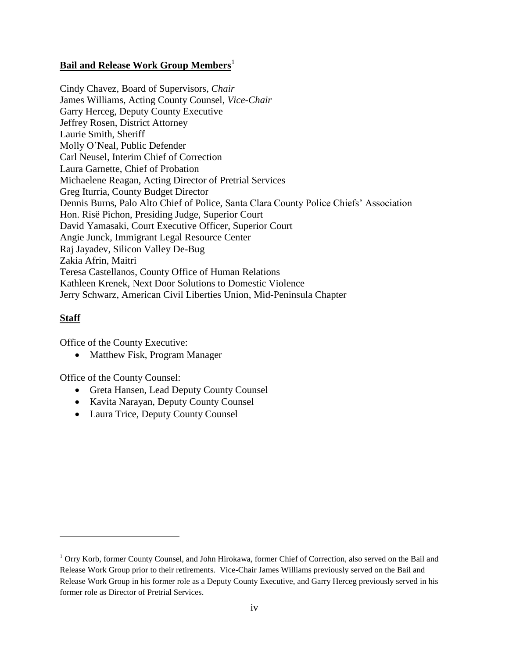## <span id="page-3-0"></span>**Bail and Release Work Group Members**<sup>1</sup>

Cindy Chavez, Board of Supervisors, *Chair* James Williams, Acting County Counsel, *Vice-Chair* Garry Herceg, Deputy County Executive Jeffrey Rosen, District Attorney Laurie Smith, Sheriff Molly O'Neal, Public Defender Carl Neusel, Interim Chief of Correction Laura Garnette, Chief of Probation Michaelene Reagan, Acting Director of Pretrial Services Greg Iturria, County Budget Director Dennis Burns, Palo Alto Chief of Police, Santa Clara County Police Chiefs' Association Hon. Risë Pichon, Presiding Judge, Superior Court David Yamasaki, Court Executive Officer, Superior Court Angie Junck, Immigrant Legal Resource Center Raj Jayadev, Silicon Valley De-Bug Zakia Afrin, Maitri Teresa Castellanos, County Office of Human Relations Kathleen Krenek, Next Door Solutions to Domestic Violence Jerry Schwarz, American Civil Liberties Union, Mid-Peninsula Chapter

## **Staff**

 $\overline{a}$ 

Office of the County Executive:

• Matthew Fisk, Program Manager

Office of the County Counsel:

- Greta Hansen, Lead Deputy County Counsel
- Kavita Narayan, Deputy County Counsel
- Laura Trice, Deputy County Counsel

<sup>&</sup>lt;sup>1</sup> Orry Korb, former County Counsel, and John Hirokawa, former Chief of Correction, also served on the Bail and Release Work Group prior to their retirements. Vice-Chair James Williams previously served on the Bail and Release Work Group in his former role as a Deputy County Executive, and Garry Herceg previously served in his former role as Director of Pretrial Services.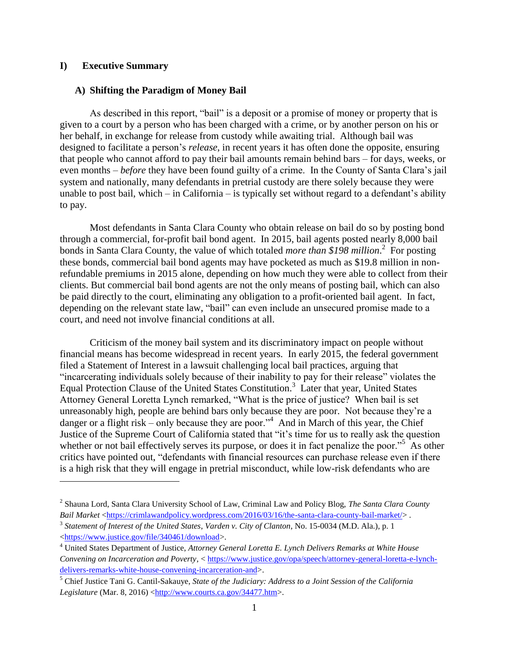#### <span id="page-4-0"></span>**I) Executive Summary**

 $\overline{a}$ 

#### <span id="page-4-1"></span>**A) Shifting the Paradigm of Money Bail**

As described in this report, "bail" is a deposit or a promise of money or property that is given to a court by a person who has been charged with a crime, or by another person on his or her behalf, in exchange for release from custody while awaiting trial. Although bail was designed to facilitate a person's *release*, in recent years it has often done the opposite, ensuring that people who cannot afford to pay their bail amounts remain behind bars – for days, weeks, or even months – *before* they have been found guilty of a crime. In the County of Santa Clara's jail system and nationally, many defendants in pretrial custody are there solely because they were unable to post bail, which – in California – is typically set without regard to a defendant's ability to pay.

Most defendants in Santa Clara County who obtain release on bail do so by posting bond through a commercial, for-profit bail bond agent. In 2015, bail agents posted nearly 8,000 bail bonds in Santa Clara County, the value of which totaled *more than \$198 million*. 2 For posting these bonds, commercial bail bond agents may have pocketed as much as \$19.8 million in nonrefundable premiums in 2015 alone, depending on how much they were able to collect from their clients. But commercial bail bond agents are not the only means of posting bail, which can also be paid directly to the court, eliminating any obligation to a profit-oriented bail agent. In fact, depending on the relevant state law, "bail" can even include an unsecured promise made to a court, and need not involve financial conditions at all.

Criticism of the money bail system and its discriminatory impact on people without financial means has become widespread in recent years. In early 2015, the federal government filed a Statement of Interest in a lawsuit challenging local bail practices, arguing that "incarcerating individuals solely because of their inability to pay for their release" violates the Equal Protection Clause of the United States Constitution.<sup>3</sup> Later that year, United States Attorney General Loretta Lynch remarked, "What is the price of justice? When bail is set unreasonably high, people are behind bars only because they are poor. Not because they're a danger or a flight risk – only because they are poor.<sup>34</sup> And in March of this year, the Chief Justice of the Supreme Court of California stated that "it's time for us to really ask the question whether or not bail effectively serves its purpose, or does it in fact penalize the poor."<sup>5</sup> As other critics have pointed out, "defendants with financial resources can purchase release even if there is a high risk that they will engage in pretrial misconduct, while low-risk defendants who are

<sup>2</sup> Shauna Lord, Santa Clara University School of Law, Criminal Law and Policy Blog, *The Santa Clara County Bail Market* [<https://crimlawandpolicy.wordpress.com/2016/03/16/the-santa-clara-county-bail-market/>](https://crimlawandpolicy.wordpress.com/2016/03/16/the-santa-clara-county-bail-market/).

<sup>3</sup> *Statement of Interest of the United States*, *Varden v. City of Clanton*, No. 15-0034 (M.D. Ala.), p. 1 [<https://www.justice.gov/file/340461/download>](https://www.justice.gov/file/340461/download).

<sup>4</sup> United States Department of Justice, *Attorney General Loretta E. Lynch Delivers Remarks at White House Convening on Incarceration and Poverty*, [< https://www.justice.gov/opa/speech/attorney-general-loretta-e-lynch](https://www.justice.gov/opa/speech/attorney-general-loretta-e-lynch-delivers-remarks-white-house-convening-incarceration-and)[delivers-remarks-white-house-convening-incarceration-and>](https://www.justice.gov/opa/speech/attorney-general-loretta-e-lynch-delivers-remarks-white-house-convening-incarceration-and).

<sup>5</sup> Chief Justice Tani G. Cantil-Sakauye, *State of the Judiciary: Address to a Joint Session of the California*  Legislature (Mar. 8, 2016) [<http://www.courts.ca.gov/34477.htm>](http://www.courts.ca.gov/34477.htm).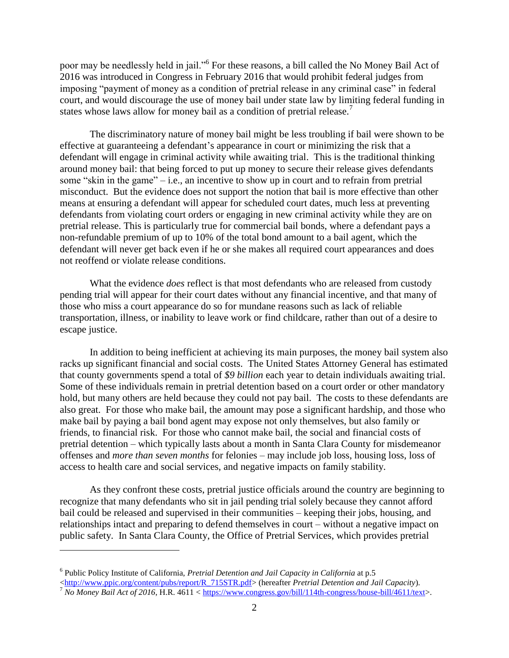poor may be needlessly held in jail."<sup>6</sup> For these reasons, a bill called the No Money Bail Act of 2016 was introduced in Congress in February 2016 that would prohibit federal judges from imposing "payment of money as a condition of pretrial release in any criminal case" in federal court, and would discourage the use of money bail under state law by limiting federal funding in states whose laws allow for money bail as a condition of pretrial release.<sup>7</sup>

The discriminatory nature of money bail might be less troubling if bail were shown to be effective at guaranteeing a defendant's appearance in court or minimizing the risk that a defendant will engage in criminal activity while awaiting trial. This is the traditional thinking around money bail: that being forced to put up money to secure their release gives defendants some "skin in the game" – i.e., an incentive to show up in court and to refrain from pretrial misconduct. But the evidence does not support the notion that bail is more effective than other means at ensuring a defendant will appear for scheduled court dates, much less at preventing defendants from violating court orders or engaging in new criminal activity while they are on pretrial release. This is particularly true for commercial bail bonds, where a defendant pays a non-refundable premium of up to 10% of the total bond amount to a bail agent, which the defendant will never get back even if he or she makes all required court appearances and does not reoffend or violate release conditions.

What the evidence *does* reflect is that most defendants who are released from custody pending trial will appear for their court dates without any financial incentive, and that many of those who miss a court appearance do so for mundane reasons such as lack of reliable transportation, illness, or inability to leave work or find childcare, rather than out of a desire to escape justice.

In addition to being inefficient at achieving its main purposes, the money bail system also racks up significant financial and social costs. The United States Attorney General has estimated that county governments spend a total of *\$9 billion* each year to detain individuals awaiting trial. Some of these individuals remain in pretrial detention based on a court order or other mandatory hold, but many others are held because they could not pay bail. The costs to these defendants are also great. For those who make bail, the amount may pose a significant hardship, and those who make bail by paying a bail bond agent may expose not only themselves, but also family or friends, to financial risk. For those who cannot make bail, the social and financial costs of pretrial detention – which typically lasts about a month in Santa Clara County for misdemeanor offenses and *more than seven months* for felonies – may include job loss, housing loss, loss of access to health care and social services, and negative impacts on family stability.

As they confront these costs, pretrial justice officials around the country are beginning to recognize that many defendants who sit in jail pending trial solely because they cannot afford bail could be released and supervised in their communities – keeping their jobs, housing, and relationships intact and preparing to defend themselves in court – without a negative impact on public safety. In Santa Clara County, the Office of Pretrial Services, which provides pretrial

<sup>6</sup> Public Policy Institute of California, *Pretrial Detention and Jail Capacity in California* at p.5 [<http://www.ppic.org/content/pubs/report/R\\_715STR.pdf>](http://www.ppic.org/content/pubs/report/R_715STR.pdf) (hereafter *Pretrial Detention and Jail Capacity*).

<sup>7</sup> *No Money Bail Act of 2016*, H.R. 4611 < [https://www.congress.gov/bill/114th-congress/house-bill/4611/text>](https://www.congress.gov/bill/114th-congress/house-bill/4611/text).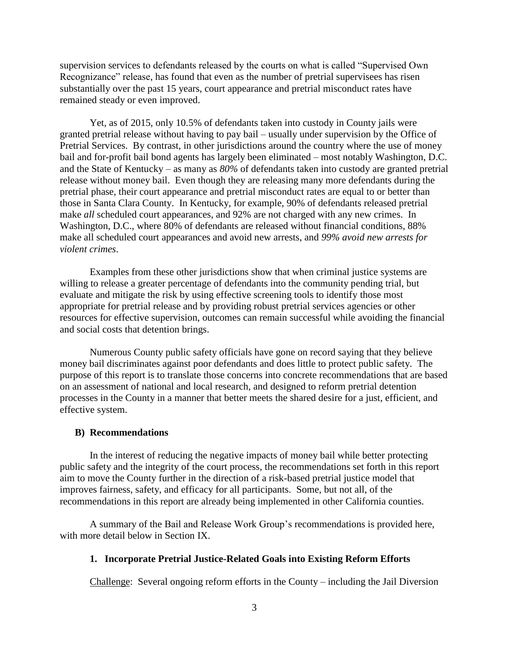supervision services to defendants released by the courts on what is called "Supervised Own Recognizance" release, has found that even as the number of pretrial supervisees has risen substantially over the past 15 years, court appearance and pretrial misconduct rates have remained steady or even improved.

Yet, as of 2015, only 10.5% of defendants taken into custody in County jails were granted pretrial release without having to pay bail – usually under supervision by the Office of Pretrial Services. By contrast, in other jurisdictions around the country where the use of money bail and for-profit bail bond agents has largely been eliminated – most notably Washington, D.C. and the State of Kentucky – as many as *80%* of defendants taken into custody are granted pretrial release without money bail. Even though they are releasing many more defendants during the pretrial phase, their court appearance and pretrial misconduct rates are equal to or better than those in Santa Clara County. In Kentucky, for example, 90% of defendants released pretrial make *all* scheduled court appearances, and 92% are not charged with any new crimes. In Washington, D.C., where 80% of defendants are released without financial conditions, 88% make all scheduled court appearances and avoid new arrests, and *99% avoid new arrests for violent crimes*.

Examples from these other jurisdictions show that when criminal justice systems are willing to release a greater percentage of defendants into the community pending trial, but evaluate and mitigate the risk by using effective screening tools to identify those most appropriate for pretrial release and by providing robust pretrial services agencies or other resources for effective supervision, outcomes can remain successful while avoiding the financial and social costs that detention brings.

Numerous County public safety officials have gone on record saying that they believe money bail discriminates against poor defendants and does little to protect public safety. The purpose of this report is to translate those concerns into concrete recommendations that are based on an assessment of national and local research, and designed to reform pretrial detention processes in the County in a manner that better meets the shared desire for a just, efficient, and effective system.

#### <span id="page-6-0"></span>**B) Recommendations**

In the interest of reducing the negative impacts of money bail while better protecting public safety and the integrity of the court process, the recommendations set forth in this report aim to move the County further in the direction of a risk-based pretrial justice model that improves fairness, safety, and efficacy for all participants. Some, but not all, of the recommendations in this report are already being implemented in other California counties.

A summary of the Bail and Release Work Group's recommendations is provided here, with more detail below in Section IX.

## **1. Incorporate Pretrial Justice-Related Goals into Existing Reform Efforts**

Challenge: Several ongoing reform efforts in the County – including the Jail Diversion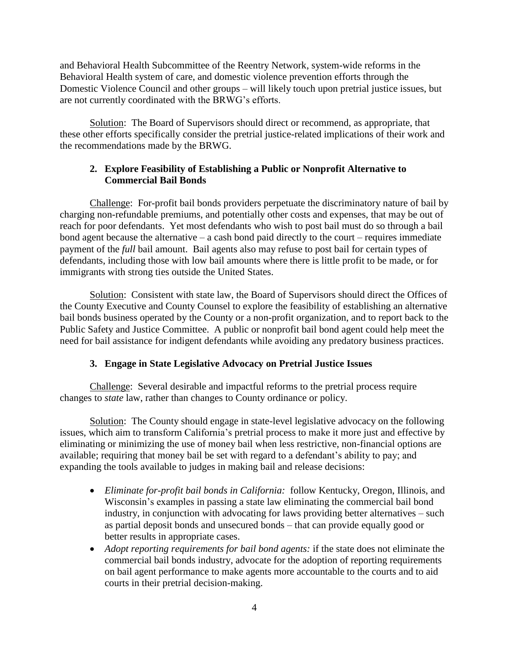and Behavioral Health Subcommittee of the Reentry Network, system-wide reforms in the Behavioral Health system of care, and domestic violence prevention efforts through the Domestic Violence Council and other groups – will likely touch upon pretrial justice issues, but are not currently coordinated with the BRWG's efforts.

Solution: The Board of Supervisors should direct or recommend, as appropriate, that these other efforts specifically consider the pretrial justice-related implications of their work and the recommendations made by the BRWG.

## **2. Explore Feasibility of Establishing a Public or Nonprofit Alternative to Commercial Bail Bonds**

Challenge: For-profit bail bonds providers perpetuate the discriminatory nature of bail by charging non-refundable premiums, and potentially other costs and expenses, that may be out of reach for poor defendants. Yet most defendants who wish to post bail must do so through a bail bond agent because the alternative – a cash bond paid directly to the court – requires immediate payment of the *full* bail amount. Bail agents also may refuse to post bail for certain types of defendants, including those with low bail amounts where there is little profit to be made, or for immigrants with strong ties outside the United States.

Solution: Consistent with state law, the Board of Supervisors should direct the Offices of the County Executive and County Counsel to explore the feasibility of establishing an alternative bail bonds business operated by the County or a non-profit organization, and to report back to the Public Safety and Justice Committee. A public or nonprofit bail bond agent could help meet the need for bail assistance for indigent defendants while avoiding any predatory business practices.

## **3. Engage in State Legislative Advocacy on Pretrial Justice Issues**

Challenge: Several desirable and impactful reforms to the pretrial process require changes to *state* law, rather than changes to County ordinance or policy.

Solution: The County should engage in state-level legislative advocacy on the following issues, which aim to transform California's pretrial process to make it more just and effective by eliminating or minimizing the use of money bail when less restrictive, non-financial options are available; requiring that money bail be set with regard to a defendant's ability to pay; and expanding the tools available to judges in making bail and release decisions:

- *Eliminate for-profit bail bonds in California:*follow Kentucky, Oregon, Illinois, and Wisconsin's examples in passing a state law eliminating the commercial bail bond industry, in conjunction with advocating for laws providing better alternatives – such as partial deposit bonds and unsecured bonds – that can provide equally good or better results in appropriate cases.
- *Adopt reporting requirements for bail bond agents:* if the state does not eliminate the commercial bail bonds industry, advocate for the adoption of reporting requirements on bail agent performance to make agents more accountable to the courts and to aid courts in their pretrial decision-making.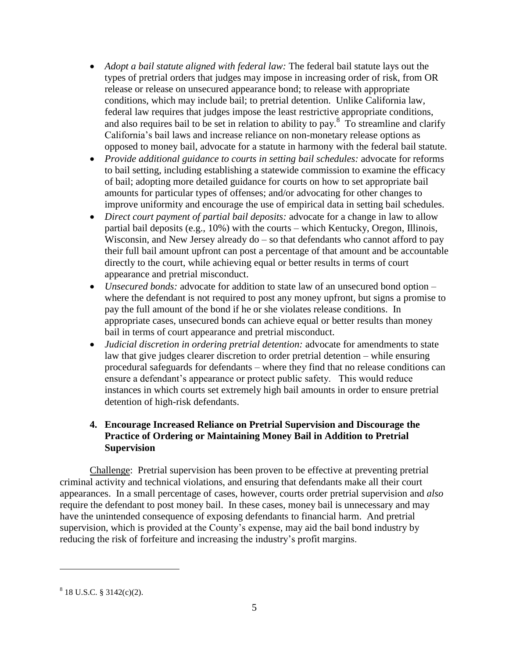- *Adopt a bail statute aligned with federal law:* The federal bail statute lays out the types of pretrial orders that judges may impose in increasing order of risk, from OR release or release on unsecured appearance bond; to release with appropriate conditions, which may include bail; to pretrial detention. Unlike California law, federal law requires that judges impose the least restrictive appropriate conditions, and also requires bail to be set in relation to ability to pay. $8\text{ T}$  To streamline and clarify California's bail laws and increase reliance on non-monetary release options as opposed to money bail, advocate for a statute in harmony with the federal bail statute.
- *Provide additional guidance to courts in setting bail schedules:* advocate for reforms to bail setting, including establishing a statewide commission to examine the efficacy of bail; adopting more detailed guidance for courts on how to set appropriate bail amounts for particular types of offenses; and/or advocating for other changes to improve uniformity and encourage the use of empirical data in setting bail schedules.
- *Direct court payment of partial bail deposits:* advocate for a change in law to allow partial bail deposits (e.g., 10%) with the courts – which Kentucky, Oregon, Illinois, Wisconsin, and New Jersey already  $do - so$  that defendants who cannot afford to pay their full bail amount upfront can post a percentage of that amount and be accountable directly to the court, while achieving equal or better results in terms of court appearance and pretrial misconduct.
- *Unsecured bonds:* advocate for addition to state law of an unsecured bond option where the defendant is not required to post any money upfront, but signs a promise to pay the full amount of the bond if he or she violates release conditions. In appropriate cases, unsecured bonds can achieve equal or better results than money bail in terms of court appearance and pretrial misconduct.
- *Judicial discretion in ordering pretrial detention:* advocate for amendments to state law that give judges clearer discretion to order pretrial detention – while ensuring procedural safeguards for defendants – where they find that no release conditions can ensure a defendant's appearance or protect public safety. This would reduce instances in which courts set extremely high bail amounts in order to ensure pretrial detention of high-risk defendants.

## **4. Encourage Increased Reliance on Pretrial Supervision and Discourage the Practice of Ordering or Maintaining Money Bail in Addition to Pretrial Supervision**

Challenge: Pretrial supervision has been proven to be effective at preventing pretrial criminal activity and technical violations, and ensuring that defendants make all their court appearances. In a small percentage of cases, however, courts order pretrial supervision and *also* require the defendant to post money bail. In these cases, money bail is unnecessary and may have the unintended consequence of exposing defendants to financial harm. And pretrial supervision, which is provided at the County's expense, may aid the bail bond industry by reducing the risk of forfeiture and increasing the industry's profit margins.

 $8\,$  18 U.S.C. § 3142(c)(2).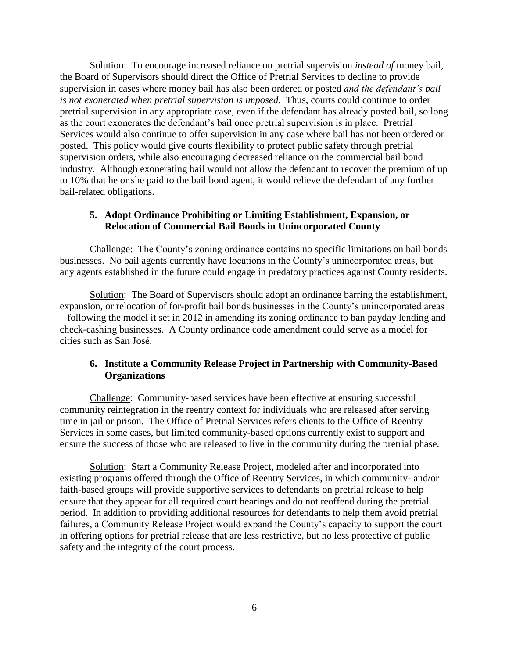Solution: To encourage increased reliance on pretrial supervision *instead of* money bail, the Board of Supervisors should direct the Office of Pretrial Services to decline to provide supervision in cases where money bail has also been ordered or posted *and the defendant's bail is not exonerated when pretrial supervision is imposed*. Thus, courts could continue to order pretrial supervision in any appropriate case, even if the defendant has already posted bail, so long as the court exonerates the defendant's bail once pretrial supervision is in place. Pretrial Services would also continue to offer supervision in any case where bail has not been ordered or posted. This policy would give courts flexibility to protect public safety through pretrial supervision orders, while also encouraging decreased reliance on the commercial bail bond industry. Although exonerating bail would not allow the defendant to recover the premium of up to 10% that he or she paid to the bail bond agent, it would relieve the defendant of any further bail-related obligations.

## **5. Adopt Ordinance Prohibiting or Limiting Establishment, Expansion, or Relocation of Commercial Bail Bonds in Unincorporated County**

Challenge: The County's zoning ordinance contains no specific limitations on bail bonds businesses. No bail agents currently have locations in the County's unincorporated areas, but any agents established in the future could engage in predatory practices against County residents.

Solution: The Board of Supervisors should adopt an ordinance barring the establishment, expansion, or relocation of for-profit bail bonds businesses in the County's unincorporated areas – following the model it set in 2012 in amending its zoning ordinance to ban payday lending and check-cashing businesses. A County ordinance code amendment could serve as a model for cities such as San José.

## **6. Institute a Community Release Project in Partnership with Community-Based Organizations**

Challenge: Community-based services have been effective at ensuring successful community reintegration in the reentry context for individuals who are released after serving time in jail or prison. The Office of Pretrial Services refers clients to the Office of Reentry Services in some cases, but limited community-based options currently exist to support and ensure the success of those who are released to live in the community during the pretrial phase.

Solution: Start a Community Release Project, modeled after and incorporated into existing programs offered through the Office of Reentry Services, in which community- and/or faith-based groups will provide supportive services to defendants on pretrial release to help ensure that they appear for all required court hearings and do not reoffend during the pretrial period. In addition to providing additional resources for defendants to help them avoid pretrial failures, a Community Release Project would expand the County's capacity to support the court in offering options for pretrial release that are less restrictive, but no less protective of public safety and the integrity of the court process.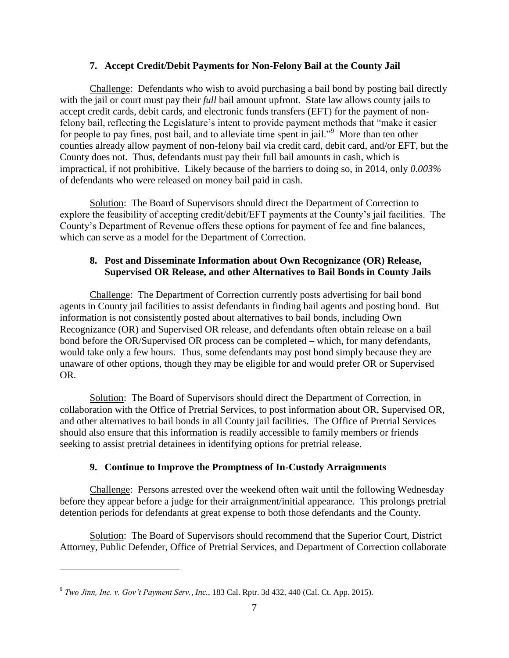## **7. Accept Credit/Debit Payments for Non-Felony Bail at the County Jail**

Challenge: Defendants who wish to avoid purchasing a bail bond by posting bail directly with the jail or court must pay their *full* bail amount upfront. State law allows county jails to accept credit cards, debit cards, and electronic funds transfers (EFT) for the payment of nonfelony bail, reflecting the Legislature's intent to provide payment methods that "make it easier for people to pay fines, post bail, and to alleviate time spent in jail."<sup>9</sup> More than ten other counties already allow payment of non-felony bail via credit card, debit card, and/or EFT, but the County does not. Thus, defendants must pay their full bail amounts in cash, which is impractical, if not prohibitive. Likely because of the barriers to doing so, in 2014, only *0.003%* of defendants who were released on money bail paid in cash.

Solution: The Board of Supervisors should direct the Department of Correction to explore the feasibility of accepting credit/debit/EFT payments at the County's jail facilities. The County's Department of Revenue offers these options for payment of fee and fine balances, which can serve as a model for the Department of Correction.

## **8. Post and Disseminate Information about Own Recognizance (OR) Release, Supervised OR Release, and other Alternatives to Bail Bonds in County Jails**

Challenge: The Department of Correction currently posts advertising for bail bond agents in County jail facilities to assist defendants in finding bail agents and posting bond. But information is not consistently posted about alternatives to bail bonds, including Own Recognizance (OR) and Supervised OR release, and defendants often obtain release on a bail bond before the OR/Supervised OR process can be completed – which, for many defendants, would take only a few hours. Thus, some defendants may post bond simply because they are unaware of other options, though they may be eligible for and would prefer OR or Supervised OR.

Solution: The Board of Supervisors should direct the Department of Correction, in collaboration with the Office of Pretrial Services, to post information about OR, Supervised OR, and other alternatives to bail bonds in all County jail facilities. The Office of Pretrial Services should also ensure that this information is readily accessible to family members or friends seeking to assist pretrial detainees in identifying options for pretrial release.

## **9. Continue to Improve the Promptness of In-Custody Arraignments**

Challenge: Persons arrested over the weekend often wait until the following Wednesday before they appear before a judge for their arraignment/initial appearance. This prolongs pretrial detention periods for defendants at great expense to both those defendants and the County.

Solution: The Board of Supervisors should recommend that the Superior Court, District Attorney, Public Defender, Office of Pretrial Services, and Department of Correction collaborate

<sup>9</sup> *Two Jinn, Inc. v. Gov't Payment Serv., Inc.*, 183 Cal. Rptr. 3d 432, 440 (Cal. Ct. App. 2015).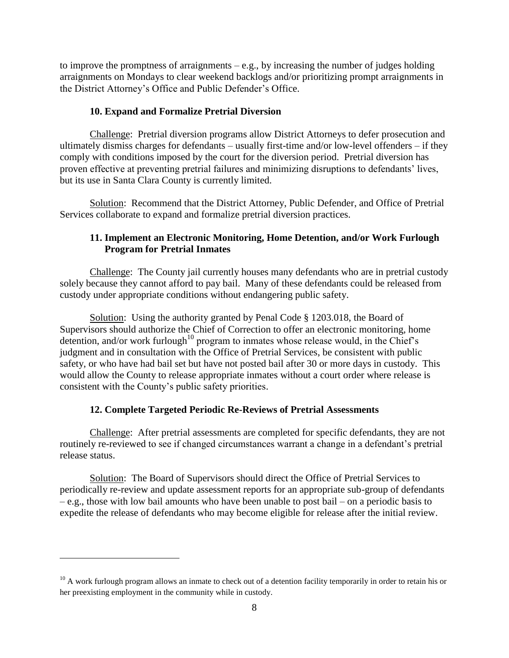to improve the promptness of arraignments – e.g., by increasing the number of judges holding arraignments on Mondays to clear weekend backlogs and/or prioritizing prompt arraignments in the District Attorney's Office and Public Defender's Office.

## **10. Expand and Formalize Pretrial Diversion**

Challenge: Pretrial diversion programs allow District Attorneys to defer prosecution and ultimately dismiss charges for defendants – usually first-time and/or low-level offenders – if they comply with conditions imposed by the court for the diversion period. Pretrial diversion has proven effective at preventing pretrial failures and minimizing disruptions to defendants' lives, but its use in Santa Clara County is currently limited.

Solution: Recommend that the District Attorney, Public Defender, and Office of Pretrial Services collaborate to expand and formalize pretrial diversion practices.

## **11. Implement an Electronic Monitoring, Home Detention, and/or Work Furlough Program for Pretrial Inmates**

Challenge: The County jail currently houses many defendants who are in pretrial custody solely because they cannot afford to pay bail. Many of these defendants could be released from custody under appropriate conditions without endangering public safety.

Solution: Using the authority granted by Penal Code § 1203.018, the Board of Supervisors should authorize the Chief of Correction to offer an electronic monitoring, home detention, and/or work furlough<sup>10</sup> program to inmates whose release would, in the Chief's judgment and in consultation with the Office of Pretrial Services, be consistent with public safety, or who have had bail set but have not posted bail after 30 or more days in custody. This would allow the County to release appropriate inmates without a court order where release is consistent with the County's public safety priorities.

## **12. Complete Targeted Periodic Re-Reviews of Pretrial Assessments**

Challenge: After pretrial assessments are completed for specific defendants, they are not routinely re-reviewed to see if changed circumstances warrant a change in a defendant's pretrial release status.

Solution: The Board of Supervisors should direct the Office of Pretrial Services to periodically re-review and update assessment reports for an appropriate sub-group of defendants – e.g., those with low bail amounts who have been unable to post bail – on a periodic basis to expedite the release of defendants who may become eligible for release after the initial review.

 $10$  A work furlough program allows an inmate to check out of a detention facility temporarily in order to retain his or her preexisting employment in the community while in custody.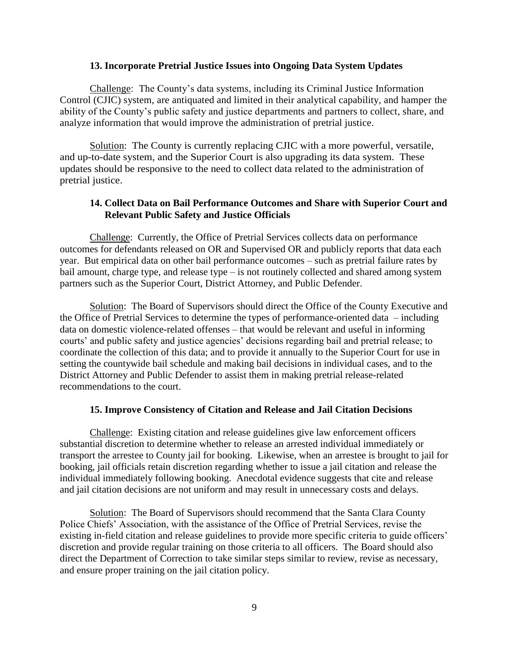#### **13. Incorporate Pretrial Justice Issues into Ongoing Data System Updates**

Challenge: The County's data systems, including its Criminal Justice Information Control (CJIC) system, are antiquated and limited in their analytical capability, and hamper the ability of the County's public safety and justice departments and partners to collect, share, and analyze information that would improve the administration of pretrial justice.

Solution: The County is currently replacing CJIC with a more powerful, versatile, and up-to-date system, and the Superior Court is also upgrading its data system. These updates should be responsive to the need to collect data related to the administration of pretrial justice.

## **14. Collect Data on Bail Performance Outcomes and Share with Superior Court and Relevant Public Safety and Justice Officials**

Challenge: Currently, the Office of Pretrial Services collects data on performance outcomes for defendants released on OR and Supervised OR and publicly reports that data each year. But empirical data on other bail performance outcomes – such as pretrial failure rates by bail amount, charge type, and release type – is not routinely collected and shared among system partners such as the Superior Court, District Attorney, and Public Defender.

Solution: The Board of Supervisors should direct the Office of the County Executive and the Office of Pretrial Services to determine the types of performance-oriented data – including data on domestic violence-related offenses – that would be relevant and useful in informing courts' and public safety and justice agencies' decisions regarding bail and pretrial release; to coordinate the collection of this data; and to provide it annually to the Superior Court for use in setting the countywide bail schedule and making bail decisions in individual cases, and to the District Attorney and Public Defender to assist them in making pretrial release-related recommendations to the court.

## **15. Improve Consistency of Citation and Release and Jail Citation Decisions**

Challenge: Existing citation and release guidelines give law enforcement officers substantial discretion to determine whether to release an arrested individual immediately or transport the arrestee to County jail for booking. Likewise, when an arrestee is brought to jail for booking, jail officials retain discretion regarding whether to issue a jail citation and release the individual immediately following booking. Anecdotal evidence suggests that cite and release and jail citation decisions are not uniform and may result in unnecessary costs and delays.

Solution: The Board of Supervisors should recommend that the Santa Clara County Police Chiefs' Association, with the assistance of the Office of Pretrial Services, revise the existing in-field citation and release guidelines to provide more specific criteria to guide officers' discretion and provide regular training on those criteria to all officers. The Board should also direct the Department of Correction to take similar steps similar to review, revise as necessary, and ensure proper training on the jail citation policy.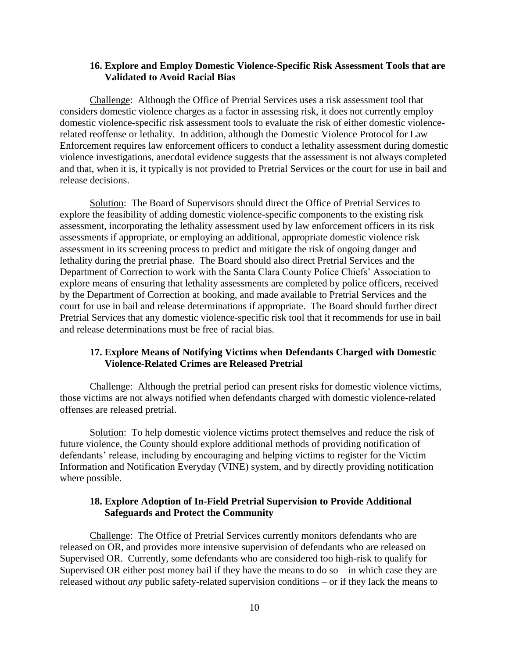## **16. Explore and Employ Domestic Violence-Specific Risk Assessment Tools that are Validated to Avoid Racial Bias**

Challenge: Although the Office of Pretrial Services uses a risk assessment tool that considers domestic violence charges as a factor in assessing risk, it does not currently employ domestic violence-specific risk assessment tools to evaluate the risk of either domestic violencerelated reoffense or lethality. In addition, although the Domestic Violence Protocol for Law Enforcement requires law enforcement officers to conduct a lethality assessment during domestic violence investigations, anecdotal evidence suggests that the assessment is not always completed and that, when it is, it typically is not provided to Pretrial Services or the court for use in bail and release decisions.

Solution: The Board of Supervisors should direct the Office of Pretrial Services to explore the feasibility of adding domestic violence-specific components to the existing risk assessment, incorporating the lethality assessment used by law enforcement officers in its risk assessments if appropriate, or employing an additional, appropriate domestic violence risk assessment in its screening process to predict and mitigate the risk of ongoing danger and lethality during the pretrial phase. The Board should also direct Pretrial Services and the Department of Correction to work with the Santa Clara County Police Chiefs' Association to explore means of ensuring that lethality assessments are completed by police officers, received by the Department of Correction at booking, and made available to Pretrial Services and the court for use in bail and release determinations if appropriate. The Board should further direct Pretrial Services that any domestic violence-specific risk tool that it recommends for use in bail and release determinations must be free of racial bias.

## **17. Explore Means of Notifying Victims when Defendants Charged with Domestic Violence-Related Crimes are Released Pretrial**

Challenge: Although the pretrial period can present risks for domestic violence victims, those victims are not always notified when defendants charged with domestic violence-related offenses are released pretrial.

Solution: To help domestic violence victims protect themselves and reduce the risk of future violence, the County should explore additional methods of providing notification of defendants' release, including by encouraging and helping victims to register for the Victim Information and Notification Everyday (VINE) system, and by directly providing notification where possible.

## **18. Explore Adoption of In-Field Pretrial Supervision to Provide Additional Safeguards and Protect the Community**

Challenge: The Office of Pretrial Services currently monitors defendants who are released on OR, and provides more intensive supervision of defendants who are released on Supervised OR. Currently, some defendants who are considered too high-risk to qualify for Supervised OR either post money bail if they have the means to do so – in which case they are released without *any* public safety-related supervision conditions – or if they lack the means to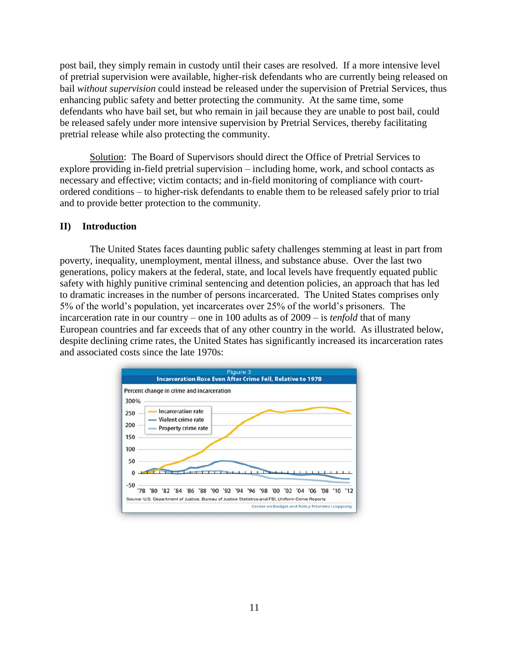post bail, they simply remain in custody until their cases are resolved. If a more intensive level of pretrial supervision were available, higher-risk defendants who are currently being released on bail *without supervision* could instead be released under the supervision of Pretrial Services, thus enhancing public safety and better protecting the community. At the same time, some defendants who have bail set, but who remain in jail because they are unable to post bail, could be released safely under more intensive supervision by Pretrial Services, thereby facilitating pretrial release while also protecting the community.

Solution: The Board of Supervisors should direct the Office of Pretrial Services to explore providing in-field pretrial supervision – including home, work, and school contacts as necessary and effective; victim contacts; and in-field monitoring of compliance with courtordered conditions – to higher-risk defendants to enable them to be released safely prior to trial and to provide better protection to the community.

#### <span id="page-14-0"></span>**II) Introduction**

The United States faces daunting public safety challenges stemming at least in part from poverty, inequality, unemployment, mental illness, and substance abuse. Over the last two generations, policy makers at the federal, state, and local levels have frequently equated public safety with highly punitive criminal sentencing and detention policies, an approach that has led to dramatic increases in the number of persons incarcerated. The United States comprises only 5% of the world's population, yet incarcerates over 25% of the world's prisoners. The incarceration rate in our country – one in 100 adults as of 2009 – is *tenfold* that of many European countries and far exceeds that of any other country in the world. As illustrated below, despite declining crime rates, the United States has significantly increased its incarceration rates and associated costs since the late 1970s:

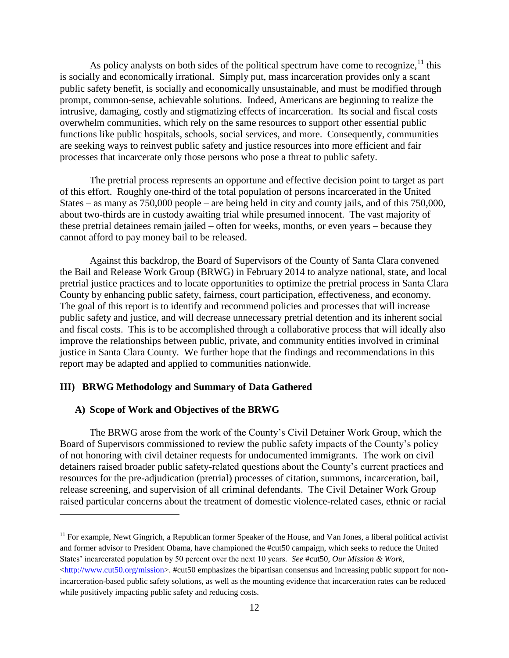As policy analysts on both sides of the political spectrum have come to recognize,  $11$  this is socially and economically irrational. Simply put, mass incarceration provides only a scant public safety benefit, is socially and economically unsustainable, and must be modified through prompt, common-sense, achievable solutions. Indeed, Americans are beginning to realize the intrusive, damaging, costly and stigmatizing effects of incarceration. Its social and fiscal costs overwhelm communities, which rely on the same resources to support other essential public functions like public hospitals, schools, social services, and more. Consequently, communities are seeking ways to reinvest public safety and justice resources into more efficient and fair processes that incarcerate only those persons who pose a threat to public safety.

The pretrial process represents an opportune and effective decision point to target as part of this effort. Roughly one-third of the total population of persons incarcerated in the United States – as many as 750,000 people – are being held in city and county jails, and of this 750,000, about two-thirds are in custody awaiting trial while presumed innocent. The vast majority of these pretrial detainees remain jailed – often for weeks, months, or even years – because they cannot afford to pay money bail to be released.

Against this backdrop, the Board of Supervisors of the County of Santa Clara convened the Bail and Release Work Group (BRWG) in February 2014 to analyze national, state, and local pretrial justice practices and to locate opportunities to optimize the pretrial process in Santa Clara County by enhancing public safety, fairness, court participation, effectiveness, and economy. The goal of this report is to identify and recommend policies and processes that will increase public safety and justice, and will decrease unnecessary pretrial detention and its inherent social and fiscal costs. This is to be accomplished through a collaborative process that will ideally also improve the relationships between public, private, and community entities involved in criminal justice in Santa Clara County. We further hope that the findings and recommendations in this report may be adapted and applied to communities nationwide.

#### <span id="page-15-0"></span>**III) BRWG Methodology and Summary of Data Gathered**

#### <span id="page-15-1"></span>**A) Scope of Work and Objectives of the BRWG**

 $\overline{a}$ 

The BRWG arose from the work of the County's Civil Detainer Work Group, which the Board of Supervisors commissioned to review the public safety impacts of the County's policy of not honoring with civil detainer requests for undocumented immigrants. The work on civil detainers raised broader public safety-related questions about the County's current practices and resources for the pre-adjudication (pretrial) processes of citation, summons, incarceration, bail, release screening, and supervision of all criminal defendants. The Civil Detainer Work Group raised particular concerns about the treatment of domestic violence-related cases, ethnic or racial

<sup>&</sup>lt;sup>11</sup> For example, Newt Gingrich, a Republican former Speaker of the House, and Van Jones, a liberal political activist and former advisor to President Obama, have championed the #cut50 campaign, which seeks to reduce the United States' incarcerated population by 50 percent over the next 10 years. *See* #cut50, *Our Mission & Work*,  $\frac{\text{http://www.cut50.org/mission}>.$  #cut50 emphasizes the bipartisan consensus and increasing public support for nonincarceration-based public safety solutions, as well as the mounting evidence that incarceration rates can be reduced while positively impacting public safety and reducing costs.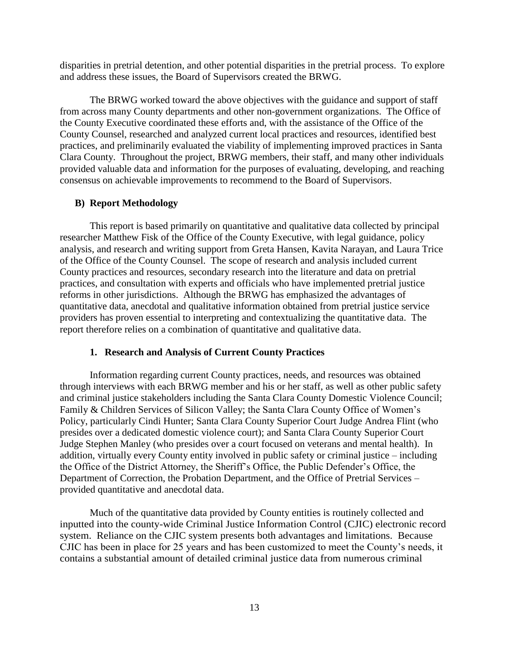disparities in pretrial detention, and other potential disparities in the pretrial process. To explore and address these issues, the Board of Supervisors created the BRWG.

The BRWG worked toward the above objectives with the guidance and support of staff from across many County departments and other non-government organizations. The Office of the County Executive coordinated these efforts and, with the assistance of the Office of the County Counsel, researched and analyzed current local practices and resources, identified best practices, and preliminarily evaluated the viability of implementing improved practices in Santa Clara County. Throughout the project, BRWG members, their staff, and many other individuals provided valuable data and information for the purposes of evaluating, developing, and reaching consensus on achievable improvements to recommend to the Board of Supervisors.

#### <span id="page-16-0"></span>**B) Report Methodology**

This report is based primarily on quantitative and qualitative data collected by principal researcher Matthew Fisk of the Office of the County Executive, with legal guidance, policy analysis, and research and writing support from Greta Hansen, Kavita Narayan, and Laura Trice of the Office of the County Counsel. The scope of research and analysis included current County practices and resources, secondary research into the literature and data on pretrial practices, and consultation with experts and officials who have implemented pretrial justice reforms in other jurisdictions. Although the BRWG has emphasized the advantages of quantitative data, anecdotal and qualitative information obtained from pretrial justice service providers has proven essential to interpreting and contextualizing the quantitative data. The report therefore relies on a combination of quantitative and qualitative data.

## **1. Research and Analysis of Current County Practices**

<span id="page-16-1"></span>Information regarding current County practices, needs, and resources was obtained through interviews with each BRWG member and his or her staff, as well as other public safety and criminal justice stakeholders including the Santa Clara County Domestic Violence Council; Family & Children Services of Silicon Valley; the Santa Clara County Office of Women's Policy, particularly Cindi Hunter; Santa Clara County Superior Court Judge Andrea Flint (who presides over a dedicated domestic violence court); and Santa Clara County Superior Court Judge Stephen Manley (who presides over a court focused on veterans and mental health). In addition, virtually every County entity involved in public safety or criminal justice – including the Office of the District Attorney, the Sheriff's Office, the Public Defender's Office, the Department of Correction, the Probation Department, and the Office of Pretrial Services – provided quantitative and anecdotal data.

Much of the quantitative data provided by County entities is routinely collected and inputted into the county-wide Criminal Justice Information Control (CJIC) electronic record system. Reliance on the CJIC system presents both advantages and limitations. Because CJIC has been in place for 25 years and has been customized to meet the County's needs, it contains a substantial amount of detailed criminal justice data from numerous criminal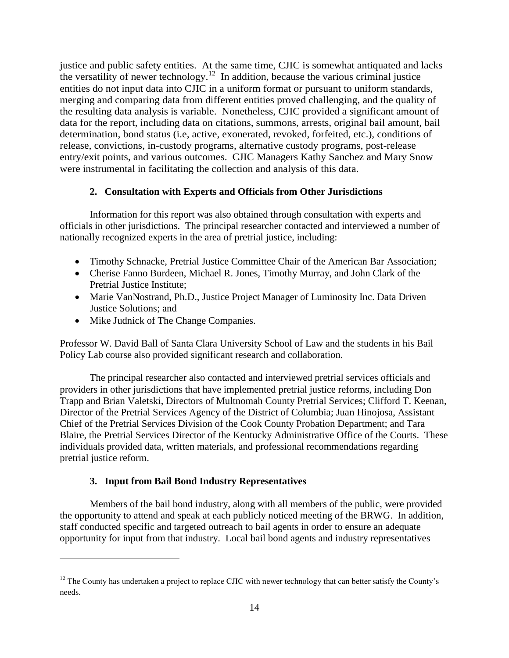justice and public safety entities. At the same time, CJIC is somewhat antiquated and lacks the versatility of newer technology.<sup>12</sup> In addition, because the various criminal justice entities do not input data into CJIC in a uniform format or pursuant to uniform standards, merging and comparing data from different entities proved challenging, and the quality of the resulting data analysis is variable. Nonetheless, CJIC provided a significant amount of data for the report, including data on citations, summons, arrests, original bail amount, bail determination, bond status (i.e, active, exonerated, revoked, forfeited, etc.), conditions of release, convictions, in-custody programs, alternative custody programs, post-release entry/exit points, and various outcomes. CJIC Managers Kathy Sanchez and Mary Snow were instrumental in facilitating the collection and analysis of this data.

## **2. Consultation with Experts and Officials from Other Jurisdictions**

<span id="page-17-0"></span>Information for this report was also obtained through consultation with experts and officials in other jurisdictions. The principal researcher contacted and interviewed a number of nationally recognized experts in the area of pretrial justice, including:

- Timothy Schnacke, Pretrial Justice Committee Chair of the American Bar Association;
- Cherise Fanno Burdeen, Michael R. Jones, Timothy Murray, and John Clark of the Pretrial Justice Institute;
- Marie VanNostrand, Ph.D., Justice Project Manager of Luminosity Inc. Data Driven Justice Solutions; and
- Mike Judnick of The Change Companies.

 $\overline{a}$ 

Professor W. David Ball of Santa Clara University School of Law and the students in his Bail Policy Lab course also provided significant research and collaboration.

The principal researcher also contacted and interviewed pretrial services officials and providers in other jurisdictions that have implemented pretrial justice reforms, including Don Trapp and Brian Valetski, Directors of Multnomah County Pretrial Services; Clifford T. Keenan, Director of the Pretrial Services Agency of the District of Columbia; Juan Hinojosa, Assistant Chief of the Pretrial Services Division of the Cook County Probation Department; and Tara Blaire, the Pretrial Services Director of the Kentucky Administrative Office of the Courts. These individuals provided data, written materials, and professional recommendations regarding pretrial justice reform.

## **3. Input from Bail Bond Industry Representatives**

<span id="page-17-1"></span>Members of the bail bond industry, along with all members of the public, were provided the opportunity to attend and speak at each publicly noticed meeting of the BRWG. In addition, staff conducted specific and targeted outreach to bail agents in order to ensure an adequate opportunity for input from that industry. Local bail bond agents and industry representatives

 $12$  The County has undertaken a project to replace CJIC with newer technology that can better satisfy the County's needs.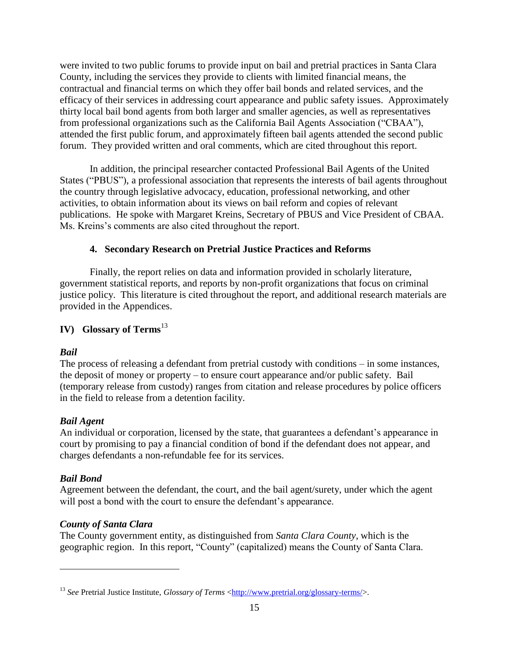were invited to two public forums to provide input on bail and pretrial practices in Santa Clara County, including the services they provide to clients with limited financial means, the contractual and financial terms on which they offer bail bonds and related services, and the efficacy of their services in addressing court appearance and public safety issues. Approximately thirty local bail bond agents from both larger and smaller agencies, as well as representatives from professional organizations such as the California Bail Agents Association ("CBAA"), attended the first public forum, and approximately fifteen bail agents attended the second public forum. They provided written and oral comments, which are cited throughout this report.

In addition, the principal researcher contacted Professional Bail Agents of the United States ("PBUS"), a professional association that represents the interests of bail agents throughout the country through legislative advocacy, education, professional networking, and other activities, to obtain information about its views on bail reform and copies of relevant publications. He spoke with Margaret Kreins, Secretary of PBUS and Vice President of CBAA. Ms. Kreins's comments are also cited throughout the report.

## **4. Secondary Research on Pretrial Justice Practices and Reforms**

Finally, the report relies on data and information provided in scholarly literature, government statistical reports, and reports by non-profit organizations that focus on criminal justice policy. This literature is cited throughout the report, and additional research materials are provided in the Appendices.

## <span id="page-18-0"></span>**IV) Glossary of Terms**<sup>13</sup>

## *Bail*

The process of releasing a defendant from pretrial custody with conditions – in some instances, the deposit of money or property – to ensure court appearance and/or public safety. Bail (temporary release from custody) ranges from citation and release procedures by police officers in the field to release from a detention facility.

## *Bail Agent*

An individual or corporation, licensed by the state, that guarantees a defendant's appearance in court by promising to pay a financial condition of bond if the defendant does not appear, and charges defendants a non-refundable fee for its services.

## *Bail Bond*

 $\overline{a}$ 

Agreement between the defendant, the court, and the bail agent/surety, under which the agent will post a bond with the court to ensure the defendant's appearance.

## *County of Santa Clara*

The County government entity, as distinguished from *Santa Clara County*, which is the geographic region. In this report, "County" (capitalized) means the County of Santa Clara.

<sup>&</sup>lt;sup>13</sup> See Pretrial Justice Institute, *Glossary of Terms* [<http://www.pretrial.org/glossary-terms/>](http://www.pretrial.org/glossary-terms/).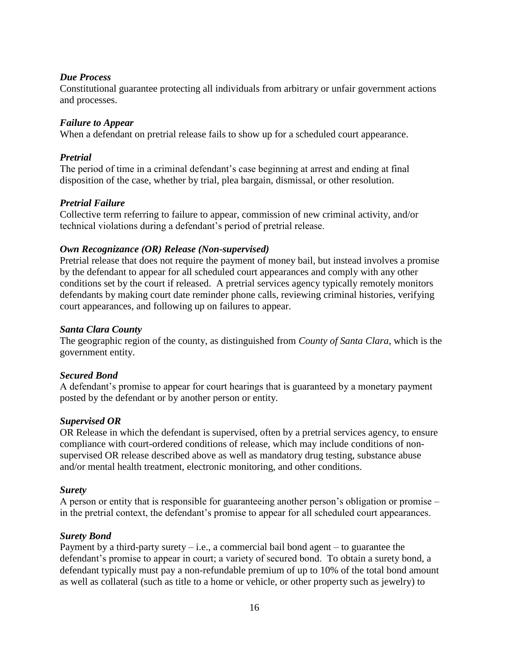## *Due Process*

Constitutional guarantee protecting all individuals from arbitrary or unfair government actions and processes.

## *Failure to Appear*

When a defendant on pretrial release fails to show up for a scheduled court appearance.

## *Pretrial*

The period of time in a criminal defendant's case beginning at arrest and ending at final disposition of the case, whether by trial, plea bargain, dismissal, or other resolution.

## *Pretrial Failure*

Collective term referring to failure to appear, commission of new criminal activity, and/or technical violations during a defendant's period of pretrial release.

## *Own Recognizance (OR) Release (Non-supervised)*

Pretrial release that does not require the payment of money bail, but instead involves a promise by the defendant to appear for all scheduled court appearances and comply with any other conditions set by the court if released. A pretrial services agency typically remotely monitors defendants by making court date reminder phone calls, reviewing criminal histories, verifying court appearances, and following up on failures to appear.

## *Santa Clara County*

The geographic region of the county, as distinguished from *County of Santa Clara*, which is the government entity.

## *Secured Bond*

A defendant's promise to appear for court hearings that is guaranteed by a monetary payment posted by the defendant or by another person or entity.

## *Supervised OR*

OR Release in which the defendant is supervised, often by a pretrial services agency, to ensure compliance with court-ordered conditions of release, which may include conditions of nonsupervised OR release described above as well as mandatory drug testing, substance abuse and/or mental health treatment, electronic monitoring, and other conditions.

## *Surety*

A person or entity that is responsible for guaranteeing another person's obligation or promise – in the pretrial context, the defendant's promise to appear for all scheduled court appearances.

## *Surety Bond*

Payment by a third-party surety  $-$  i.e., a commercial bail bond agent  $-$  to guarantee the defendant's promise to appear in court; a variety of secured bond. To obtain a surety bond, a defendant typically must pay a non-refundable premium of up to 10% of the total bond amount as well as collateral (such as title to a home or vehicle, or other property such as jewelry) to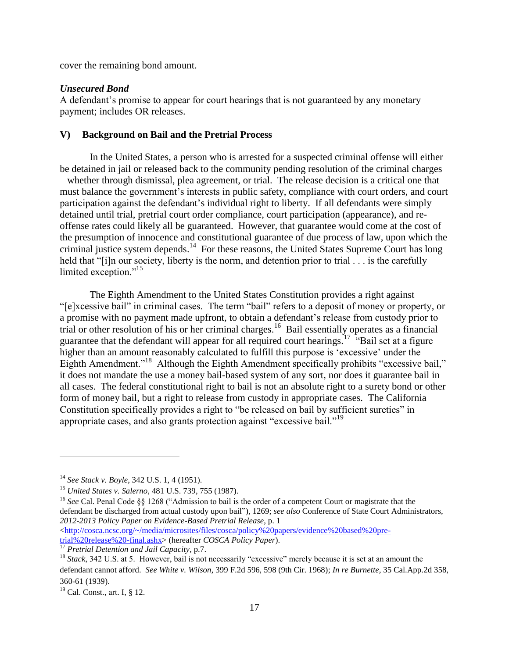cover the remaining bond amount.

#### *Unsecured Bond*

A defendant's promise to appear for court hearings that is not guaranteed by any monetary payment; includes OR releases.

#### <span id="page-20-0"></span>**V) Background on Bail and the Pretrial Process**

In the United States, a person who is arrested for a suspected criminal offense will either be detained in jail or released back to the community pending resolution of the criminal charges – whether through dismissal, plea agreement, or trial. The release decision is a critical one that must balance the government's interests in public safety, compliance with court orders, and court participation against the defendant's individual right to liberty. If all defendants were simply detained until trial, pretrial court order compliance, court participation (appearance), and reoffense rates could likely all be guaranteed. However, that guarantee would come at the cost of the presumption of innocence and constitutional guarantee of due process of law, upon which the criminal justice system depends. 14 For these reasons, the United States Supreme Court has long held that "[i]n our society, liberty is the norm, and detention prior to trial . . . is the carefully limited exception."<sup>15</sup>

The Eighth Amendment to the United States Constitution provides a right against "[e]xcessive bail" in criminal cases. The term "bail" refers to a deposit of money or property, or a promise with no payment made upfront, to obtain a defendant's release from custody prior to trial or other resolution of his or her criminal charges.<sup>16</sup> Bail essentially operates as a financial guarantee that the defendant will appear for all required court hearings.<sup>17</sup> "Bail set at a figure higher than an amount reasonably calculated to fulfill this purpose is 'excessive' under the Eighth Amendment."<sup>18</sup> Although the Eighth Amendment specifically prohibits "excessive bail," it does not mandate the use a money bail-based system of any sort, nor does it guarantee bail in all cases. The federal constitutional right to bail is not an absolute right to a surety bond or other form of money bail, but a right to release from custody in appropriate cases. The California Constitution specifically provides a right to "be released on bail by sufficient sureties" in appropriate cases, and also grants protection against "excessive bail."<sup>19</sup>

<sup>16</sup> See Cal. Penal Code §§ 1268 ("Admission to bail is the order of a competent Court or magistrate that the defendant be discharged from actual custody upon bail"), 1269; *see also* Conference of State Court Administrators, *2012-2013 Policy Paper on Evidence-Based Pretrial Release*, p. 1 [<http://cosca.ncsc.org/~/media/microsites/files/cosca/policy%20papers/evidence%20based%20pre](http://cosca.ncsc.org/~/media/microsites/files/cosca/policy%20papers/evidence%20based%20pre-trial%20release%20-final.ashx)[trial%20release%20-final.ashx>](http://cosca.ncsc.org/~/media/microsites/files/cosca/policy%20papers/evidence%20based%20pre-trial%20release%20-final.ashx) (hereafter *COSCA Policy Paper*).

<sup>17</sup> *Pretrial Detention and Jail Capacity*, p.7.

<sup>14</sup> *See Stack v. Boyle*, 342 U.S. 1, 4 (1951).

<sup>15</sup> *United States v. Salerno*, 481 U.S. 739, 755 (1987).

<sup>&</sup>lt;sup>18</sup> *Stack*, 342 U.S. at 5. However, bail is not necessarily "excessive" merely because it is set at an amount the defendant cannot afford. *See White v. Wilson*, 399 F.2d 596, 598 (9th Cir. 1968); *In re Burnette*, 35 Cal.App.2d 358, 360-61 (1939).

 $19$  Cal. Const., art. I, § 12.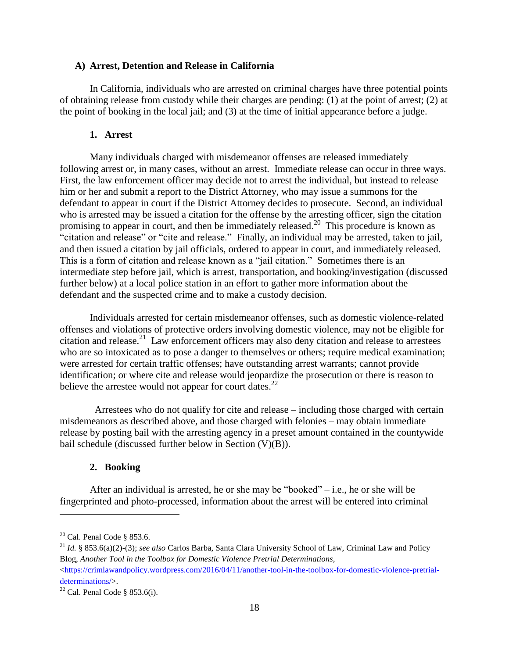#### <span id="page-21-0"></span>**A) Arrest, Detention and Release in California**

In California, individuals who are arrested on criminal charges have three potential points of obtaining release from custody while their charges are pending: (1) at the point of arrest; (2) at the point of booking in the local jail; and (3) at the time of initial appearance before a judge.

### **1. Arrest**

<span id="page-21-1"></span>Many individuals charged with misdemeanor offenses are released immediately following arrest or, in many cases, without an arrest. Immediate release can occur in three ways. First, the law enforcement officer may decide not to arrest the individual, but instead to release him or her and submit a report to the District Attorney, who may issue a summons for the defendant to appear in court if the District Attorney decides to prosecute. Second, an individual who is arrested may be issued a citation for the offense by the arresting officer, sign the citation promising to appear in court, and then be immediately released.<sup>20</sup> This procedure is known as "citation and release" or "cite and release." Finally, an individual may be arrested, taken to jail, and then issued a citation by jail officials, ordered to appear in court, and immediately released. This is a form of citation and release known as a "jail citation." Sometimes there is an intermediate step before jail, which is arrest, transportation, and booking/investigation (discussed further below) at a local police station in an effort to gather more information about the defendant and the suspected crime and to make a custody decision.

Individuals arrested for certain misdemeanor offenses, such as domestic violence-related offenses and violations of protective orders involving domestic violence, may not be eligible for citation and release.<sup>21</sup> Law enforcement officers may also deny citation and release to arrestees who are so intoxicated as to pose a danger to themselves or others; require medical examination; were arrested for certain traffic offenses; have outstanding arrest warrants; cannot provide identification; or where cite and release would jeopardize the prosecution or there is reason to believe the arrestee would not appear for court dates.<sup>22</sup>

 Arrestees who do not qualify for cite and release – including those charged with certain misdemeanors as described above, and those charged with felonies – may obtain immediate release by posting bail with the arresting agency in a preset amount contained in the countywide bail schedule (discussed further below in Section (V)(B)).

#### **2. Booking**

<span id="page-21-2"></span>After an individual is arrested, he or she may be "booked" – i.e., he or she will be fingerprinted and photo-processed, information about the arrest will be entered into criminal

 $20$  Cal. Penal Code § 853.6.

<sup>21</sup> *Id.* § 853.6(a)(2)-(3); *see also* Carlos Barba, Santa Clara University School of Law, Criminal Law and Policy Blog, *Another Tool in the Toolbox for Domestic Violence Pretrial Determinations*,  $\langle$ https://crimlawandpolicy.wordpress.com/2016/04/11/another-tool-in-the-toolbox-for-domestic-violence-pretrial[determinations/>](https://crimlawandpolicy.wordpress.com/2016/04/11/another-tool-in-the-toolbox-for-domestic-violence-pretrial-determinations/).

<sup>&</sup>lt;sup>22</sup> Cal. Penal Code § 853.6(i).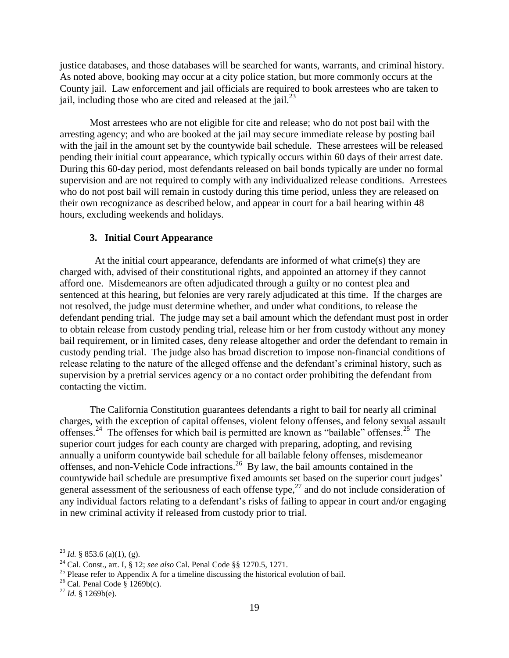justice databases, and those databases will be searched for wants, warrants, and criminal history. As noted above, booking may occur at a city police station, but more commonly occurs at the County jail. Law enforcement and jail officials are required to book arrestees who are taken to jail, including those who are cited and released at the jail. $^{23}$ 

Most arrestees who are not eligible for cite and release; who do not post bail with the arresting agency; and who are booked at the jail may secure immediate release by posting bail with the jail in the amount set by the countywide bail schedule. These arrestees will be released pending their initial court appearance, which typically occurs within 60 days of their arrest date. During this 60-day period, most defendants released on bail bonds typically are under no formal supervision and are not required to comply with any individualized release conditions. Arrestees who do not post bail will remain in custody during this time period, unless they are released on their own recognizance as described below, and appear in court for a bail hearing within 48 hours, excluding weekends and holidays.

## **3. Initial Court Appearance**

<span id="page-22-0"></span> At the initial court appearance, defendants are informed of what crime(s) they are charged with, advised of their constitutional rights, and appointed an attorney if they cannot afford one. Misdemeanors are often adjudicated through a guilty or no contest plea and sentenced at this hearing, but felonies are very rarely adjudicated at this time. If the charges are not resolved, the judge must determine whether, and under what conditions, to release the defendant pending trial. The judge may set a bail amount which the defendant must post in order to obtain release from custody pending trial, release him or her from custody without any money bail requirement, or in limited cases, deny release altogether and order the defendant to remain in custody pending trial. The judge also has broad discretion to impose non-financial conditions of release relating to the nature of the alleged offense and the defendant's criminal history, such as supervision by a pretrial services agency or a no contact order prohibiting the defendant from contacting the victim.

The California Constitution guarantees defendants a right to bail for nearly all criminal charges, with the exception of capital offenses, violent felony offenses, and felony sexual assault offenses.<sup>24</sup> The offenses for which bail is permitted are known as "bailable" offenses.<sup>25</sup> The superior court judges for each county are charged with preparing, adopting, and revising annually a uniform countywide bail schedule for all bailable felony offenses, misdemeanor offenses, and non-Vehicle Code infractions.<sup>26</sup> By law, the bail amounts contained in the countywide bail schedule are presumptive fixed amounts set based on the superior court judges' general assessment of the seriousness of each offense type, $27$  and do not include consideration of any individual factors relating to a defendant's risks of failing to appear in court and/or engaging in new criminal activity if released from custody prior to trial.

 $^{23}$  *Id.* § 853.6 (a)(1), (g).

<sup>24</sup> Cal. Const., art. I, § 12; *see also* Cal. Penal Code §§ 1270.5, 1271.

 $25$  Please refer to Appendix A for a timeline discussing the historical evolution of bail.

 $^{26}$  Cal. Penal Code § 1269b(c).

<sup>27</sup> *Id.* § 1269b(e).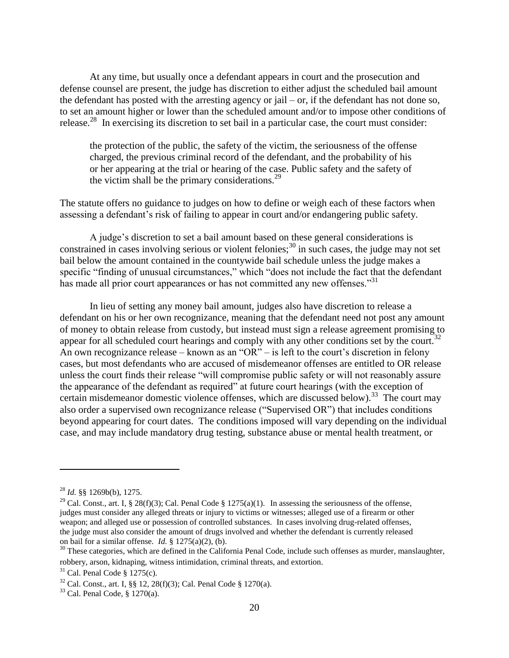At any time, but usually once a defendant appears in court and the prosecution and defense counsel are present, the judge has discretion to either adjust the scheduled bail amount the defendant has posted with the arresting agency or jail – or, if the defendant has not done so, to set an amount higher or lower than the scheduled amount and/or to impose other conditions of release.<sup>28</sup> In exercising its discretion to set bail in a particular case, the court must consider:

the protection of the public, the safety of the victim, the seriousness of the offense charged, the previous criminal record of the defendant, and the probability of his or her appearing at the trial or hearing of the case. Public safety and the safety of the victim shall be the primary considerations. $29$ 

The statute offers no guidance to judges on how to define or weigh each of these factors when assessing a defendant's risk of failing to appear in court and/or endangering public safety.

A judge's discretion to set a bail amount based on these general considerations is constrained in cases involving serious or violent felonies;<sup>30</sup> in such cases, the judge may not set bail below the amount contained in the countywide bail schedule unless the judge makes a specific "finding of unusual circumstances," which "does not include the fact that the defendant has made all prior court appearances or has not committed any new offenses."<sup>31</sup>

In lieu of setting any money bail amount, judges also have discretion to release a defendant on his or her own recognizance, meaning that the defendant need not post any amount of money to obtain release from custody, but instead must sign a release agreement promising to appear for all scheduled court hearings and comply with any other conditions set by the court.<sup>32</sup> An own recognizance release – known as an "OR" – is left to the court's discretion in felony cases, but most defendants who are accused of misdemeanor offenses are entitled to OR release unless the court finds their release "will compromise public safety or will not reasonably assure the appearance of the defendant as required" at future court hearings (with the exception of certain misdemeanor domestic violence offenses, which are discussed below).<sup>33</sup> The court may also order a supervised own recognizance release ("Supervised OR") that includes conditions beyond appearing for court dates. The conditions imposed will vary depending on the individual case, and may include mandatory drug testing, substance abuse or mental health treatment, or

<sup>28</sup> *Id.* §§ 1269b(b), 1275.

<sup>&</sup>lt;sup>29</sup> Cal. Const., art. I, § 28(f)(3); Cal. Penal Code § 1275(a)(1). In assessing the seriousness of the offense, judges must consider any alleged threats or injury to victims or witnesses; alleged use of a firearm or other weapon; and alleged use or possession of controlled substances. In cases involving drug-related offenses, the judge must also consider the amount of drugs involved and whether the defendant is currently released on bail for a similar offense. *Id.* § 1275(a)(2), (b).

 $30$  These categories, which are defined in the California Penal Code, include such offenses as murder, manslaughter, robbery, arson, kidnaping, witness intimidation, criminal threats, and extortion.

 $31$  Cal. Penal Code § 1275(c).

<sup>32</sup> Cal. Const., art. I, §§ 12, 28(f)(3); Cal. Penal Code § 1270(a).

 $33$  Cal. Penal Code, § 1270(a).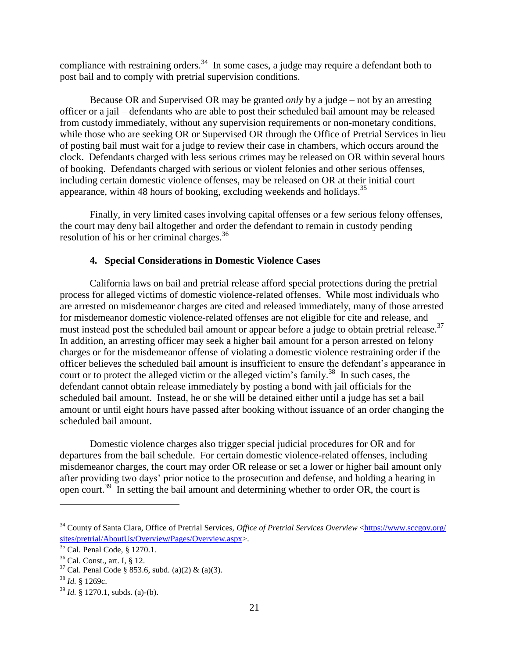compliance with restraining orders.<sup>34</sup> In some cases, a judge may require a defendant both to post bail and to comply with pretrial supervision conditions.

Because OR and Supervised OR may be granted *only* by a judge – not by an arresting officer or a jail – defendants who are able to post their scheduled bail amount may be released from custody immediately, without any supervision requirements or non-monetary conditions, while those who are seeking OR or Supervised OR through the Office of Pretrial Services in lieu of posting bail must wait for a judge to review their case in chambers, which occurs around the clock. Defendants charged with less serious crimes may be released on OR within several hours of booking. Defendants charged with serious or violent felonies and other serious offenses, including certain domestic violence offenses, may be released on OR at their initial court appearance, within 48 hours of booking, excluding weekends and holidays.<sup>35</sup>

Finally, in very limited cases involving capital offenses or a few serious felony offenses, the court may deny bail altogether and order the defendant to remain in custody pending resolution of his or her criminal charges. 36

## **4. Special Considerations in Domestic Violence Cases**

<span id="page-24-0"></span>California laws on bail and pretrial release afford special protections during the pretrial process for alleged victims of domestic violence-related offenses. While most individuals who are arrested on misdemeanor charges are cited and released immediately, many of those arrested for misdemeanor domestic violence-related offenses are not eligible for cite and release, and must instead post the scheduled bail amount or appear before a judge to obtain pretrial release.<sup>37</sup> In addition, an arresting officer may seek a higher bail amount for a person arrested on felony charges or for the misdemeanor offense of violating a domestic violence restraining order if the officer believes the scheduled bail amount is insufficient to ensure the defendant's appearance in court or to protect the alleged victim or the alleged victim's family.<sup>38</sup> In such cases, the defendant cannot obtain release immediately by posting a bond with jail officials for the scheduled bail amount. Instead, he or she will be detained either until a judge has set a bail amount or until eight hours have passed after booking without issuance of an order changing the scheduled bail amount.

Domestic violence charges also trigger special judicial procedures for OR and for departures from the bail schedule. For certain domestic violence-related offenses, including misdemeanor charges, the court may order OR release or set a lower or higher bail amount only after providing two days' prior notice to the prosecution and defense, and holding a hearing in open court.<sup>39</sup> In setting the bail amount and determining whether to order OR, the court is

<sup>&</sup>lt;sup>34</sup> County of Santa Clara, Office of Pretrial Services, *Office of Pretrial Services Overview* [<https://www.sccgov.org/](https://www.sccgov.org/‌sites/pretrial/AboutUs/Overview/Pages/Overview.aspx) [sites/pretrial/AboutUs/Overview/Pages/Overview.aspx>](https://www.sccgov.org/‌sites/pretrial/AboutUs/Overview/Pages/Overview.aspx).

<sup>35</sup> Cal. Penal Code, § 1270.1.

<sup>36</sup> Cal. Const., art. I, § 12.

 $37$  Cal. Penal Code § 853.6, subd. (a)(2) & (a)(3).

 $38$  *Id.* § 1269c.

<sup>39</sup> *Id.* § 1270.1, subds. (a)-(b).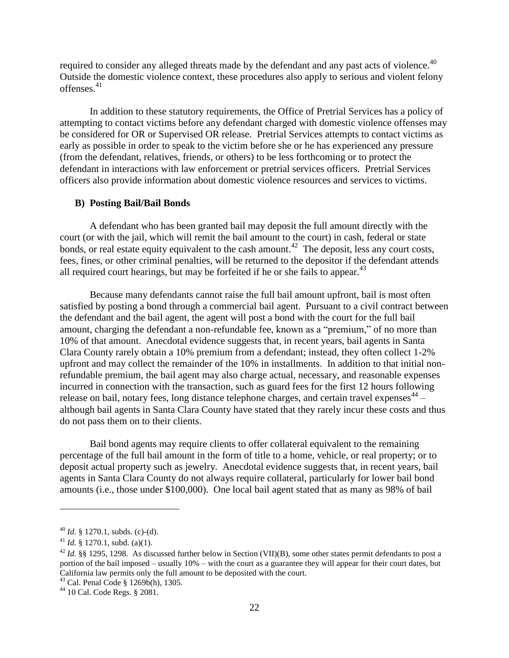required to consider any alleged threats made by the defendant and any past acts of violence.<sup>40</sup> Outside the domestic violence context, these procedures also apply to serious and violent felony offenses.<sup>41</sup>

In addition to these statutory requirements, the Office of Pretrial Services has a policy of attempting to contact victims before any defendant charged with domestic violence offenses may be considered for OR or Supervised OR release. Pretrial Services attempts to contact victims as early as possible in order to speak to the victim before she or he has experienced any pressure (from the defendant, relatives, friends, or others) to be less forthcoming or to protect the defendant in interactions with law enforcement or pretrial services officers. Pretrial Services officers also provide information about domestic violence resources and services to victims.

#### <span id="page-25-0"></span>**B) Posting Bail/Bail Bonds**

A defendant who has been granted bail may deposit the full amount directly with the court (or with the jail, which will remit the bail amount to the court) in cash, federal or state bonds, or real estate equity equivalent to the cash amount.<sup>42</sup> The deposit, less any court costs, fees, fines, or other criminal penalties, will be returned to the depositor if the defendant attends all required court hearings, but may be forfeited if he or she fails to appear. $43$ 

Because many defendants cannot raise the full bail amount upfront, bail is most often satisfied by posting a bond through a commercial bail agent. Pursuant to a civil contract between the defendant and the bail agent, the agent will post a bond with the court for the full bail amount, charging the defendant a non-refundable fee, known as a "premium," of no more than 10% of that amount. Anecdotal evidence suggests that, in recent years, bail agents in Santa Clara County rarely obtain a 10% premium from a defendant; instead, they often collect 1-2% upfront and may collect the remainder of the 10% in installments. In addition to that initial nonrefundable premium, the bail agent may also charge actual, necessary, and reasonable expenses incurred in connection with the transaction, such as guard fees for the first 12 hours following release on bail, notary fees, long distance telephone charges, and certain travel expenses $44$  although bail agents in Santa Clara County have stated that they rarely incur these costs and thus do not pass them on to their clients.

Bail bond agents may require clients to offer collateral equivalent to the remaining percentage of the full bail amount in the form of title to a home, vehicle, or real property; or to deposit actual property such as jewelry. Anecdotal evidence suggests that, in recent years, bail agents in Santa Clara County do not always require collateral, particularly for lower bail bond amounts (i.e., those under \$100,000). One local bail agent stated that as many as 98% of bail

 $^{40}$  *Id.* § 1270.1, subds. (c)-(d).

<sup>&</sup>lt;sup>41</sup> *Id.* § 1270.1, subd. (a)(1).

<sup>42</sup> *Id.* §§ 1295, 1298. As discussed further below in Section (VII)(B), some other states permit defendants to post a portion of the bail imposed – usually 10% – with the court as a guarantee they will appear for their court dates, but California law permits only the full amount to be deposited with the court.

<sup>43</sup> Cal. Penal Code § 1269b(h), 1305.

<sup>44</sup> 10 Cal. Code Regs. § 2081.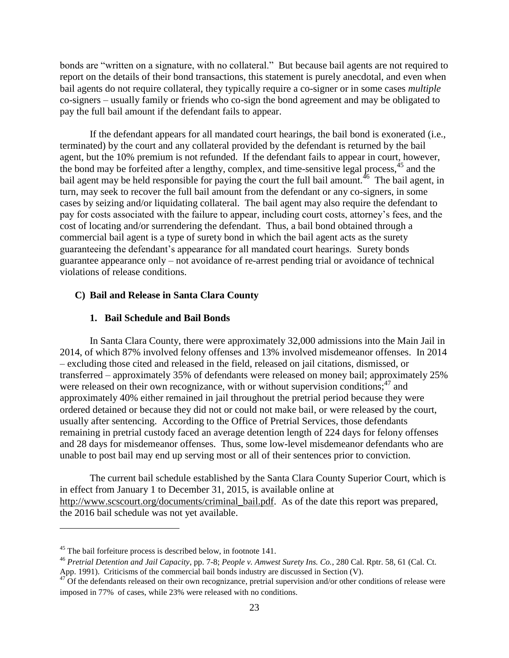bonds are "written on a signature, with no collateral." But because bail agents are not required to report on the details of their bond transactions, this statement is purely anecdotal, and even when bail agents do not require collateral, they typically require a co-signer or in some cases *multiple* co-signers – usually family or friends who co-sign the bond agreement and may be obligated to pay the full bail amount if the defendant fails to appear.

If the defendant appears for all mandated court hearings, the bail bond is exonerated (i.e., terminated) by the court and any collateral provided by the defendant is returned by the bail agent, but the 10% premium is not refunded. If the defendant fails to appear in court, however, the bond may be forfeited after a lengthy, complex, and time-sensitive legal process,  $45$  and the bail agent may be held responsible for paying the court the full bail amount.<sup>46</sup> The bail agent, in turn, may seek to recover the full bail amount from the defendant or any co-signers, in some cases by seizing and/or liquidating collateral. The bail agent may also require the defendant to pay for costs associated with the failure to appear, including court costs, attorney's fees, and the cost of locating and/or surrendering the defendant. Thus, a bail bond obtained through a commercial bail agent is a type of surety bond in which the bail agent acts as the surety guaranteeing the defendant's appearance for all mandated court hearings. Surety bonds guarantee appearance only – not avoidance of re-arrest pending trial or avoidance of technical violations of release conditions.

#### <span id="page-26-0"></span>**C) Bail and Release in Santa Clara County**

#### **1. Bail Schedule and Bail Bonds**

<span id="page-26-1"></span>In Santa Clara County, there were approximately 32,000 admissions into the Main Jail in 2014, of which 87% involved felony offenses and 13% involved misdemeanor offenses. In 2014 – excluding those cited and released in the field, released on jail citations, dismissed, or transferred – approximately 35% of defendants were released on money bail; approximately 25% were released on their own recognizance, with or without supervision conditions;<sup>47</sup> and approximately 40% either remained in jail throughout the pretrial period because they were ordered detained or because they did not or could not make bail, or were released by the court, usually after sentencing. According to the Office of Pretrial Services, those defendants remaining in pretrial custody faced an average detention length of 224 days for felony offenses and 28 days for misdemeanor offenses. Thus, some low-level misdemeanor defendants who are unable to post bail may end up serving most or all of their sentences prior to conviction.

The current bail schedule established by the Santa Clara County Superior Court, which is in effect from January 1 to December 31, 2015, is available online at [http://www.scscourt.org/documents/criminal\\_bail.pdf.](http://www.scscourt.org/documents/criminal_bail.pdf) As of the date this report was prepared, the 2016 bail schedule was not yet available.

<sup>45</sup> The bail forfeiture process is described below, in footnote 141.

<sup>46</sup> *Pretrial Detention and Jail Capacity*, pp. 7-8; *People v. Amwest Surety Ins. Co.*, 280 Cal. Rptr. 58, 61 (Cal. Ct. App. 1991). Criticisms of the commercial bail bonds industry are discussed in Section (V).

 $47$ <sup>11</sup> Of the defendants released on their own recognizance, pretrial supervision and/or other conditions of release were imposed in 77% of cases, while 23% were released with no conditions.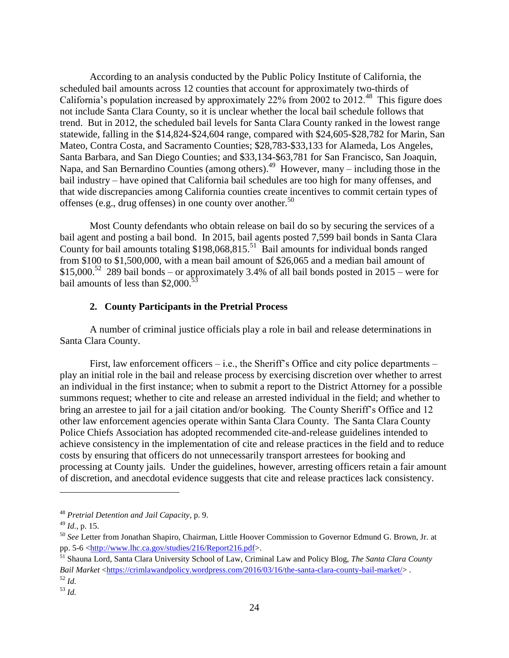According to an analysis conducted by the Public Policy Institute of California, the scheduled bail amounts across 12 counties that account for approximately two-thirds of California's population increased by approximately  $22\%$  from 2002 to  $2012.^{48}$  This figure does not include Santa Clara County, so it is unclear whether the local bail schedule follows that trend. But in 2012, the scheduled bail levels for Santa Clara County ranked in the lowest range statewide, falling in the \$14,824-\$24,604 range, compared with \$24,605-\$28,782 for Marin, San Mateo, Contra Costa, and Sacramento Counties; \$28,783-\$33,133 for Alameda, Los Angeles, Santa Barbara, and San Diego Counties; and \$33,134-\$63,781 for San Francisco, San Joaquin, Napa, and San Bernardino Counties (among others).<sup>49</sup> However, many – including those in the bail industry – have opined that California bail schedules are too high for many offenses, and that wide discrepancies among California counties create incentives to commit certain types of offenses (e.g., drug offenses) in one county over another.<sup>50</sup>

Most County defendants who obtain release on bail do so by securing the services of a bail agent and posting a bail bond. In 2015, bail agents posted 7,599 bail bonds in Santa Clara County for bail amounts totaling  $$198,068,815$ .<sup>51</sup> Bail amounts for individual bonds ranged from \$100 to \$1,500,000, with a mean bail amount of \$26,065 and a median bail amount of \$15,000.<sup>52</sup> 289 bail bonds – or approximately 3.4% of all bail bonds posted in  $2015$  – were for bail amounts of less than  $$2,000$ .<sup>53</sup>

## **2. County Participants in the Pretrial Process**

<span id="page-27-0"></span>A number of criminal justice officials play a role in bail and release determinations in Santa Clara County.

First, law enforcement officers  $-$  i.e., the Sheriff's Office and city police departments  $$ play an initial role in the bail and release process by exercising discretion over whether to arrest an individual in the first instance; when to submit a report to the District Attorney for a possible summons request; whether to cite and release an arrested individual in the field; and whether to bring an arrestee to jail for a jail citation and/or booking. The County Sheriff's Office and 12 other law enforcement agencies operate within Santa Clara County. The Santa Clara County Police Chiefs Association has adopted recommended cite-and-release guidelines intended to achieve consistency in the implementation of cite and release practices in the field and to reduce costs by ensuring that officers do not unnecessarily transport arrestees for booking and processing at County jails. Under the guidelines, however, arresting officers retain a fair amount of discretion, and anecdotal evidence suggests that cite and release practices lack consistency.

<sup>48</sup> *Pretrial Detention and Jail Capacity*, p. 9.

<sup>49</sup> *Id.*, p. 15.

<sup>50</sup> *See* Letter from Jonathan Shapiro, Chairman, Little Hoover Commission to Governor Edmund G. Brown, Jr. at pp. 5-6 [<http://www.lhc.ca.gov/studies/216/Report216.pdf>](http://www.lhc.ca.gov/studies/216/Report216.pdf).

<sup>51</sup> Shauna Lord, Santa Clara University School of Law, Criminal Law and Policy Blog, *The Santa Clara County Bail Market* [<https://crimlawandpolicy.wordpress.com/2016/03/16/the-santa-clara-county-bail-market/>](https://crimlawandpolicy.wordpress.com/2016/03/16/the-santa-clara-county-bail-market/).

<sup>52</sup> *Id.*

<sup>53</sup> *Id.*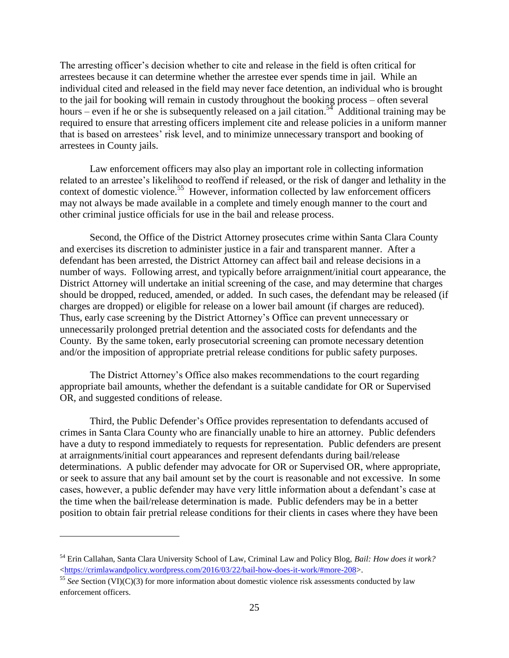The arresting officer's decision whether to cite and release in the field is often critical for arrestees because it can determine whether the arrestee ever spends time in jail. While an individual cited and released in the field may never face detention, an individual who is brought to the jail for booking will remain in custody throughout the booking process – often several hours – even if he or she is subsequently released on a jail citation.<sup>54</sup> Additional training may be required to ensure that arresting officers implement cite and release policies in a uniform manner that is based on arrestees' risk level, and to minimize unnecessary transport and booking of arrestees in County jails.

Law enforcement officers may also play an important role in collecting information related to an arrestee's likelihood to reoffend if released, or the risk of danger and lethality in the context of domestic violence.<sup>55</sup> However, information collected by law enforcement officers may not always be made available in a complete and timely enough manner to the court and other criminal justice officials for use in the bail and release process.

Second, the Office of the District Attorney prosecutes crime within Santa Clara County and exercises its discretion to administer justice in a fair and transparent manner. After a defendant has been arrested, the District Attorney can affect bail and release decisions in a number of ways. Following arrest, and typically before arraignment/initial court appearance, the District Attorney will undertake an initial screening of the case, and may determine that charges should be dropped, reduced, amended, or added. In such cases, the defendant may be released (if charges are dropped) or eligible for release on a lower bail amount (if charges are reduced). Thus, early case screening by the District Attorney's Office can prevent unnecessary or unnecessarily prolonged pretrial detention and the associated costs for defendants and the County. By the same token, early prosecutorial screening can promote necessary detention and/or the imposition of appropriate pretrial release conditions for public safety purposes.

The District Attorney's Office also makes recommendations to the court regarding appropriate bail amounts, whether the defendant is a suitable candidate for OR or Supervised OR, and suggested conditions of release.

Third, the Public Defender's Office provides representation to defendants accused of crimes in Santa Clara County who are financially unable to hire an attorney. Public defenders have a duty to respond immediately to requests for representation. Public defenders are present at arraignments/initial court appearances and represent defendants during bail/release determinations. A public defender may advocate for OR or Supervised OR, where appropriate, or seek to assure that any bail amount set by the court is reasonable and not excessive. In some cases, however, a public defender may have very little information about a defendant's case at the time when the bail/release determination is made. Public defenders may be in a better position to obtain fair pretrial release conditions for their clients in cases where they have been

<sup>54</sup> Erin Callahan, Santa Clara University School of Law, Criminal Law and Policy Blog, *Bail: How does it work?* [<https://crimlawandpolicy.wordpress.com/2016/03/22/bail-how-does-it-work/#more-208>](https://crimlawandpolicy.wordpress.com/2016/03/22/bail-how-does-it-work/#more-208).

<sup>&</sup>lt;sup>55</sup> See Section (VI)(C)(3) for more information about domestic violence risk assessments conducted by law enforcement officers.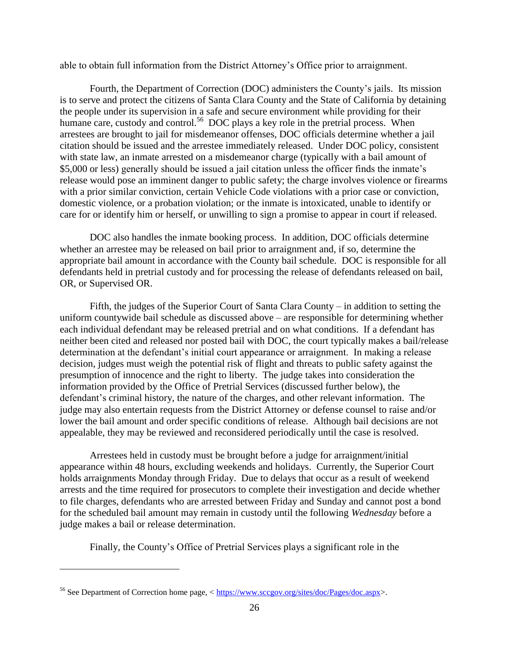able to obtain full information from the District Attorney's Office prior to arraignment.

Fourth, the Department of Correction (DOC) administers the County's jails. Its mission is to serve and protect the citizens of Santa Clara County and the State of California by detaining the people under its supervision in a safe and secure environment while providing for their humane care, custody and control.<sup>56</sup> DOC plays a key role in the pretrial process. When arrestees are brought to jail for misdemeanor offenses, DOC officials determine whether a jail citation should be issued and the arrestee immediately released. Under DOC policy, consistent with state law, an inmate arrested on a misdemeanor charge (typically with a bail amount of \$5,000 or less) generally should be issued a jail citation unless the officer finds the inmate's release would pose an imminent danger to public safety; the charge involves violence or firearms with a prior similar conviction, certain Vehicle Code violations with a prior case or conviction, domestic violence, or a probation violation; or the inmate is intoxicated, unable to identify or care for or identify him or herself, or unwilling to sign a promise to appear in court if released.

DOC also handles the inmate booking process. In addition, DOC officials determine whether an arrestee may be released on bail prior to arraignment and, if so, determine the appropriate bail amount in accordance with the County bail schedule. DOC is responsible for all defendants held in pretrial custody and for processing the release of defendants released on bail, OR, or Supervised OR.

Fifth, the judges of the Superior Court of Santa Clara County – in addition to setting the uniform countywide bail schedule as discussed above – are responsible for determining whether each individual defendant may be released pretrial and on what conditions. If a defendant has neither been cited and released nor posted bail with DOC, the court typically makes a bail/release determination at the defendant's initial court appearance or arraignment. In making a release decision, judges must weigh the potential risk of flight and threats to public safety against the presumption of innocence and the right to liberty. The judge takes into consideration the information provided by the Office of Pretrial Services (discussed further below), the defendant's criminal history, the nature of the charges, and other relevant information. The judge may also entertain requests from the District Attorney or defense counsel to raise and/or lower the bail amount and order specific conditions of release. Although bail decisions are not appealable, they may be reviewed and reconsidered periodically until the case is resolved.

Arrestees held in custody must be brought before a judge for arraignment/initial appearance within 48 hours, excluding weekends and holidays. Currently, the Superior Court holds arraignments Monday through Friday. Due to delays that occur as a result of weekend arrests and the time required for prosecutors to complete their investigation and decide whether to file charges, defendants who are arrested between Friday and Sunday and cannot post a bond for the scheduled bail amount may remain in custody until the following *Wednesday* before a judge makes a bail or release determination.

Finally, the County's Office of Pretrial Services plays a significant role in the

<sup>56</sup> See Department of Correction home page, < [https://www.sccgov.org/sites/doc/Pages/doc.aspx>](https://www.sccgov.org/sites/doc/Pages/doc.aspx).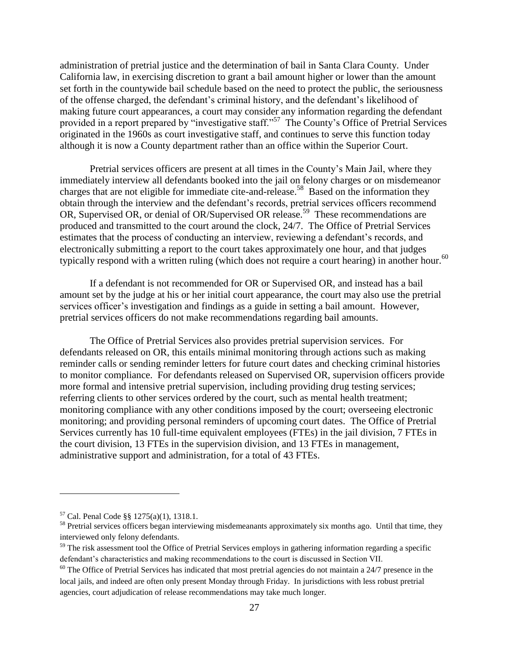administration of pretrial justice and the determination of bail in Santa Clara County. Under California law, in exercising discretion to grant a bail amount higher or lower than the amount set forth in the countywide bail schedule based on the need to protect the public, the seriousness of the offense charged, the defendant's criminal history, and the defendant's likelihood of making future court appearances, a court may consider any information regarding the defendant provided in a report prepared by "investigative staff."<sup>57</sup> The County's Office of Pretrial Services originated in the 1960s as court investigative staff, and continues to serve this function today although it is now a County department rather than an office within the Superior Court.

Pretrial services officers are present at all times in the County's Main Jail, where they immediately interview all defendants booked into the jail on felony charges or on misdemeanor charges that are not eligible for immediate cite-and-release.<sup>58</sup> Based on the information they obtain through the interview and the defendant's records, pretrial services officers recommend OR, Supervised OR, or denial of OR/Supervised OR release.<sup>59</sup> These recommendations are produced and transmitted to the court around the clock, 24/7. The Office of Pretrial Services estimates that the process of conducting an interview, reviewing a defendant's records, and electronically submitting a report to the court takes approximately one hour, and that judges typically respond with a written ruling (which does not require a court hearing) in another hour.<sup>60</sup>

If a defendant is not recommended for OR or Supervised OR, and instead has a bail amount set by the judge at his or her initial court appearance, the court may also use the pretrial services officer's investigation and findings as a guide in setting a bail amount. However, pretrial services officers do not make recommendations regarding bail amounts.

The Office of Pretrial Services also provides pretrial supervision services. For defendants released on OR, this entails minimal monitoring through actions such as making reminder calls or sending reminder letters for future court dates and checking criminal histories to monitor compliance. For defendants released on Supervised OR, supervision officers provide more formal and intensive pretrial supervision, including providing drug testing services; referring clients to other services ordered by the court, such as mental health treatment; monitoring compliance with any other conditions imposed by the court; overseeing electronic monitoring; and providing personal reminders of upcoming court dates. The Office of Pretrial Services currently has 10 full-time equivalent employees (FTEs) in the jail division, 7 FTEs in the court division, 13 FTEs in the supervision division, and 13 FTEs in management, administrative support and administration, for a total of 43 FTEs.

<sup>57</sup> Cal. Penal Code §§ 1275(a)(1), 1318.1.

<sup>&</sup>lt;sup>58</sup> Pretrial services officers began interviewing misdemeanants approximately six months ago. Until that time, they interviewed only felony defendants.

<sup>&</sup>lt;sup>59</sup> The risk assessment tool the Office of Pretrial Services employs in gathering information regarding a specific defendant's characteristics and making recommendations to the court is discussed in Section VII.

 $60$  The Office of Pretrial Services has indicated that most pretrial agencies do not maintain a 24/7 presence in the local jails, and indeed are often only present Monday through Friday. In jurisdictions with less robust pretrial agencies, court adjudication of release recommendations may take much longer.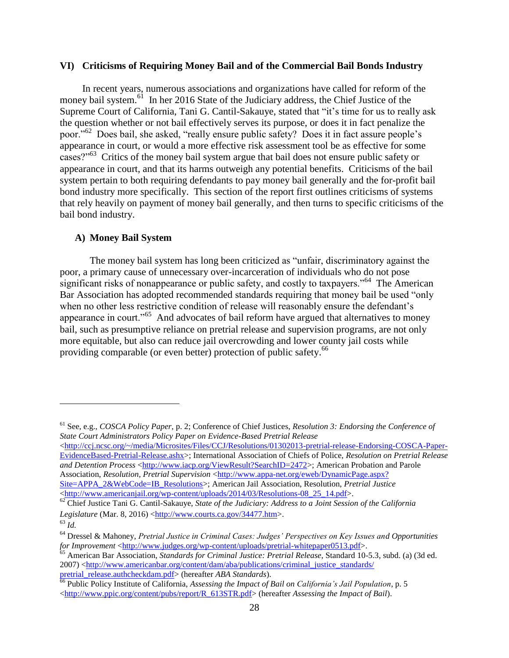#### <span id="page-31-0"></span>**VI) Criticisms of Requiring Money Bail and of the Commercial Bail Bonds Industry**

In recent years, numerous associations and organizations have called for reform of the money bail system.<sup>61</sup> In her 2016 State of the Judiciary address, the Chief Justice of the Supreme Court of California, Tani G. Cantil-Sakauye, stated that "it's time for us to really ask the question whether or not bail effectively serves its purpose, or does it in fact penalize the poor."<sup>62</sup> Does bail, she asked, "really ensure public safety? Does it in fact assure people's appearance in court, or would a more effective risk assessment tool be as effective for some cases?"<sup>63</sup> Critics of the money bail system argue that bail does not ensure public safety or appearance in court, and that its harms outweigh any potential benefits. Criticisms of the bail system pertain to both requiring defendants to pay money bail generally and the for-profit bail bond industry more specifically. This section of the report first outlines criticisms of systems that rely heavily on payment of money bail generally, and then turns to specific criticisms of the bail bond industry.

#### <span id="page-31-1"></span>**A) Money Bail System**

The money bail system has long been criticized as "unfair, discriminatory against the poor, a primary cause of unnecessary over-incarceration of individuals who do not pose significant risks of nonappearance or public safety, and costly to taxpayers."<sup>64</sup> The American Bar Association has adopted recommended standards requiring that money bail be used "only when no other less restrictive condition of release will reasonably ensure the defendant's appearance in court."<sup>65</sup> And advocates of bail reform have argued that alternatives to money bail, such as presumptive reliance on pretrial release and supervision programs, are not only more equitable, but also can reduce jail overcrowding and lower county jail costs while providing comparable (or even better) protection of public safety.<sup>66</sup>

 $\langle$ http://ccj.ncsc.org/~/media/Microsites/Files/CCJ/Resolutions/01302013-pretrial-release-Endorsing-COSCA-Paper-[EvidenceBased-Pretrial-Release.ashx>](http://ccj.ncsc.org/~/media/Microsites/Files/CCJ/Resolutions/01302013-pretrial-release-Endorsing-COSCA-Paper-EvidenceBased-Pretrial-Release.ashx); International Association of Chiefs of Police, *Resolution on Pretrial Release*  and Detention Process [<http://www.iacp.org/ViewResult?SearchID=2472>](http://www.iacp.org/ViewResult?SearchID=2472); American Probation and Parole Association, *Resolution, Pretrial Supervision* [<http://www.appa-net.org/eweb/DynamicPage.aspx?](http://www.appa-net.org/‌eweb/‌DynamicPage.aspx?‌Site=APPA_2&WebCode=IB_Resolutions) [Site=APPA\\_2&WebCode=IB\\_Resolutions>](http://www.appa-net.org/‌eweb/‌DynamicPage.aspx?‌Site=APPA_2&WebCode=IB_Resolutions); American Jail Association, Resolution, *Pretrial Justice*

[<http://www.americanjail.org/wp-content/uploads/2014/03/Resolutions-08\\_25\\_14.pdf>](http://www.americanjail.org/wp-content/uploads/2014/03/Resolutions-08_25_14.pdf).

<sup>61</sup> See, e.g., *COSCA Policy Paper*, p. 2; Conference of Chief Justices, *Resolution 3: Endorsing the Conference of State Court Administrators Policy Paper on Evidence-Based Pretrial Release*

<sup>&</sup>lt;sup>62</sup> Chief Justice Tani G. Cantil-Sakauye, *State of the Judiciary: Address to a Joint Session of the California* Legislature (Mar. 8, 2016) [<http://www.courts.ca.gov/34477.htm>](http://www.courts.ca.gov/34477.htm).

<sup>63</sup> *Id.*

<sup>64</sup> Dressel & Mahoney, *Pretrial Justice in Criminal Cases: Judges' Perspectives on Key Issues and Opportunities for Improvement* [<http://www.judges.org/wp-content/uploads/pretrial-whitepaper0513.pdf>](http://www.judges.org/wp-content/uploads/pretrial-whitepaper0513.pdf).

<sup>65</sup> American Bar Association, *Standards for Criminal Justice: Pretrial Release*, Standard 10-5.3, subd. (a) (3d ed. 2007) [<http://www.americanbar.org/content/dam/aba/publications/criminal\\_justice\\_standards/](http://www.americanbar.org/content/dam/aba/publications/‌criminal_justice_standards/‌pretrial_release.authcheckdam.pdf) [pretrial\\_release.authcheckdam.pdf>](http://www.americanbar.org/content/dam/aba/publications/‌criminal_justice_standards/‌pretrial_release.authcheckdam.pdf) (hereafter *ABA Standards*).

<sup>66</sup> Public Policy Institute of California, *Assessing the Impact of Bail on California's Jail Population*, p. 5 [<http://www.ppic.org/content/pubs/report/R\\_613STR.pdf>](http://www.ppic.org/content/pubs/report/R_613STR.pdf) (hereafter *Assessing the Impact of Bail*).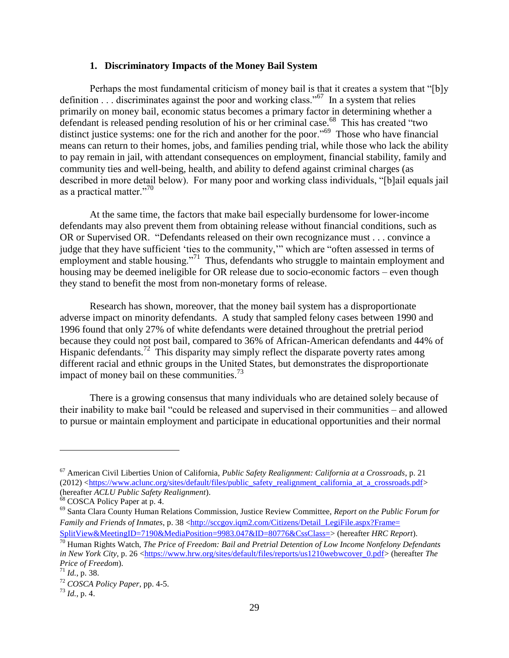#### **1. Discriminatory Impacts of the Money Bail System**

<span id="page-32-0"></span>Perhaps the most fundamental criticism of money bail is that it creates a system that "[b]y definition . . . discriminates against the poor and working class."<sup>67</sup> In a system that relies primarily on money bail, economic status becomes a primary factor in determining whether a defendant is released pending resolution of his or her criminal case.<sup>68</sup> This has created "two distinct justice systems: one for the rich and another for the poor."<sup>69</sup> Those who have financial means can return to their homes, jobs, and families pending trial, while those who lack the ability to pay remain in jail, with attendant consequences on employment, financial stability, family and community ties and well-being, health, and ability to defend against criminal charges (as described in more detail below). For many poor and working class individuals, "[b]ail equals jail as a practical matter."<sup>70</sup>

At the same time, the factors that make bail especially burdensome for lower-income defendants may also prevent them from obtaining release without financial conditions, such as OR or Supervised OR. "Defendants released on their own recognizance must . . . convince a judge that they have sufficient 'ties to the community,'" which are "often assessed in terms of employment and stable housing."<sup>71</sup> Thus, defendants who struggle to maintain employment and housing may be deemed ineligible for OR release due to socio-economic factors – even though they stand to benefit the most from non-monetary forms of release.

Research has shown, moreover, that the money bail system has a disproportionate adverse impact on minority defendants. A study that sampled felony cases between 1990 and 1996 found that only 27% of white defendants were detained throughout the pretrial period because they could not post bail, compared to 36% of African-American defendants and 44% of Hispanic defendants.<sup>72</sup> This disparity may simply reflect the disparate poverty rates among different racial and ethnic groups in the United States, but demonstrates the disproportionate impact of money bail on these communities.<sup>73</sup>

There is a growing consensus that many individuals who are detained solely because of their inability to make bail "could be released and supervised in their communities – and allowed to pursue or maintain employment and participate in educational opportunities and their normal

<sup>67</sup> American Civil Liberties Union of California, *Public Safety Realignment: California at a Crossroads*, p. 21 (2012) [<https://www.aclunc.org/sites/default/files/public\\_safety\\_realignment\\_california\\_at\\_a\\_crossroads.pdf>](https://www.aclunc.org/sites/default/files/public_safety_realignment_california_at_a_crossroads.pdf) (hereafter *ACLU Public Safety Realignment*).

<sup>68</sup> COSCA Policy Paper at p. 4.

<sup>69</sup> Santa Clara County Human Relations Commission, Justice Review Committee, *Report on the Public Forum for Family and Friends of Inmates*, p. 38 [<http://sccgov.iqm2.com/Citizens/Detail\\_LegiFile.aspx?Frame=](http://sccgov.iqm2.com/Citizens/Detail_LegiFile.aspx?Frame=SplitView&MeetingID=7190&MediaPosition=9983.047&ID=80776&CssClass=) [SplitView&MeetingID=7190&MediaPosition=9983.047&ID=80776&CssClass=>](http://sccgov.iqm2.com/Citizens/Detail_LegiFile.aspx?Frame=SplitView&MeetingID=7190&MediaPosition=9983.047&ID=80776&CssClass=) (hereafter *HRC Report*).

<sup>70</sup> Human Rights Watch, *The Price of Freedom: Bail and Pretrial Detention of Low Income Nonfelony Defendants in New York City*, p. 26 [<https://www.hrw.org/sites/default/files/reports/us1210webwcover\\_0.pdf>](https://www.hrw.org/sites/default/files/reports/us1210webwcover_0.pdf) (hereafter *The Price of Freedom*).

<sup>71</sup> *Id.*, p. 38.

<sup>72</sup> *COSCA Policy Paper*, pp. 4-5.

<sup>73</sup> *Id.*, p. 4.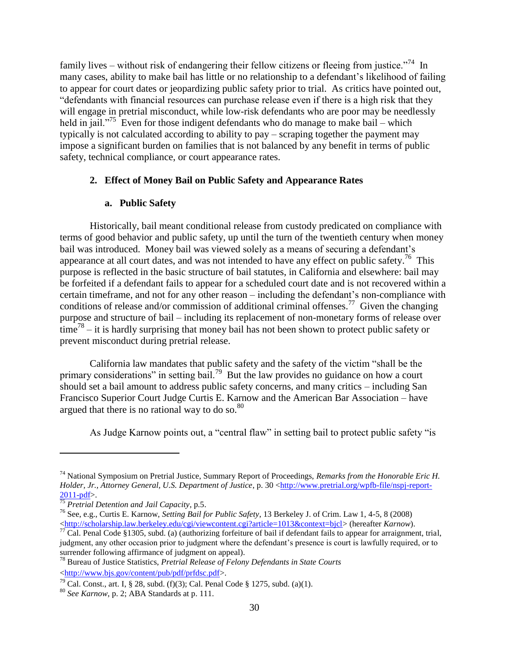family lives – without risk of endangering their fellow citizens or fleeing from justice."<sup>74</sup> In many cases, ability to make bail has little or no relationship to a defendant's likelihood of failing to appear for court dates or jeopardizing public safety prior to trial. As critics have pointed out, "defendants with financial resources can purchase release even if there is a high risk that they will engage in pretrial misconduct, while low-risk defendants who are poor may be needlessly held in jail."<sup>75</sup> Even for those indigent defendants who do manage to make bail – which typically is not calculated according to ability to pay – scraping together the payment may impose a significant burden on families that is not balanced by any benefit in terms of public safety, technical compliance, or court appearance rates.

## <span id="page-33-0"></span>**2. Effect of Money Bail on Public Safety and Appearance Rates**

#### **a. Public Safety**

Historically, bail meant conditional release from custody predicated on compliance with terms of good behavior and public safety, up until the turn of the twentieth century when money bail was introduced. Money bail was viewed solely as a means of securing a defendant's appearance at all court dates, and was not intended to have any effect on public safety.<sup>76</sup> This purpose is reflected in the basic structure of bail statutes, in California and elsewhere: bail may be forfeited if a defendant fails to appear for a scheduled court date and is not recovered within a certain timeframe, and not for any other reason – including the defendant's non-compliance with conditions of release and/or commission of additional criminal offenses.<sup>77</sup> Given the changing purpose and structure of bail – including its replacement of non-monetary forms of release over  $time<sup>78</sup> - it$  it is hardly surprising that money bail has not been shown to protect public safety or prevent misconduct during pretrial release.

California law mandates that public safety and the safety of the victim "shall be the primary considerations" in setting bail.<sup>79</sup> But the law provides no guidance on how a court should set a bail amount to address public safety concerns, and many critics – including San Francisco Superior Court Judge Curtis E. Karnow and the American Bar Association – have argued that there is no rational way to do so. $80$ 

As Judge Karnow points out, a "central flaw" in setting bail to protect public safety "is

<sup>74</sup> National Symposium on Pretrial Justice, Summary Report of Proceedings, *Remarks from the Honorable Eric H. Holder, Jr., Attorney General, U.S. Department of Justice*, p. 30 [<http://www.pretrial.org/wpfb-file/nspj-report-](http://www.pretrial.org/wpfb-file/nspj-report-2011-pdf) $2011-pdf$ .

<sup>75</sup> *Pretrial Detention and Jail Capacity*, p.5.

<sup>76</sup> See, e.g., Curtis E. Karnow, *Setting Bail for Public Safety*, 13 Berkeley J. of Crim. Law 1, 4-5, 8 (2008) [<http://scholarship.law.berkeley.edu/cgi/viewcontent.cgi?article=1013&context=bjcl>](http://scholarship.law.berkeley.edu/cgi/viewcontent.cgi?article=1013&context=bjcl) (hereafter *Karnow*).

 $^{77}$  Cal. Penal Code §1305, subd. (a) (authorizing forfeiture of bail if defendant fails to appear for arraignment, trial, judgment, any other occasion prior to judgment where the defendant's presence is court is lawfully required, or to surrender following affirmance of judgment on appeal).

<sup>78</sup> Bureau of Justice Statistics, *Pretrial Release of Felony Defendants in State Courts* [<http://www.bjs.gov/content/pub/pdf/prfdsc.pdf>](http://www.bjs.gov/content/pub/pdf/prfdsc.pdf).

<sup>&</sup>lt;sup>79</sup> Cal. Const., art. I, § 28, subd. (f)(3); Cal. Penal Code § 1275, subd. (a)(1).

<sup>80</sup> *See Karnow*, p. 2; ABA Standards at p. 111.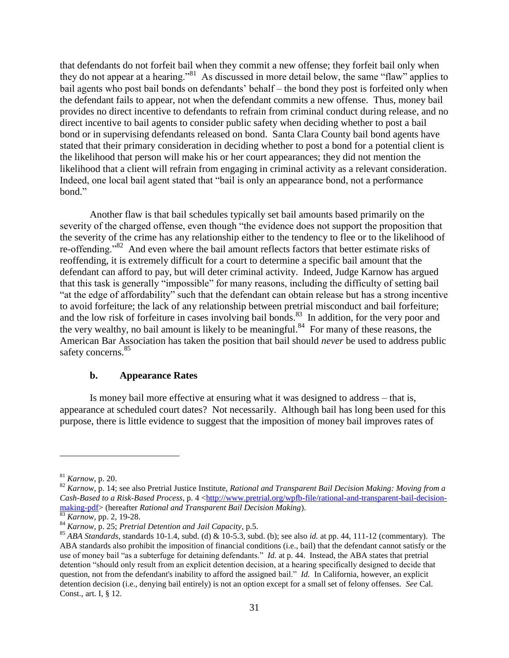that defendants do not forfeit bail when they commit a new offense; they forfeit bail only when they do not appear at a hearing."<sup>81</sup> As discussed in more detail below, the same "flaw" applies to bail agents who post bail bonds on defendants' behalf – the bond they post is forfeited only when the defendant fails to appear, not when the defendant commits a new offense. Thus, money bail provides no direct incentive to defendants to refrain from criminal conduct during release, and no direct incentive to bail agents to consider public safety when deciding whether to post a bail bond or in supervising defendants released on bond. Santa Clara County bail bond agents have stated that their primary consideration in deciding whether to post a bond for a potential client is the likelihood that person will make his or her court appearances; they did not mention the likelihood that a client will refrain from engaging in criminal activity as a relevant consideration. Indeed, one local bail agent stated that "bail is only an appearance bond, not a performance bond."

Another flaw is that bail schedules typically set bail amounts based primarily on the severity of the charged offense, even though "the evidence does not support the proposition that the severity of the crime has any relationship either to the tendency to flee or to the likelihood of re-offending."<sup>82</sup> And even where the bail amount reflects factors that better estimate risks of reoffending, it is extremely difficult for a court to determine a specific bail amount that the defendant can afford to pay, but will deter criminal activity. Indeed, Judge Karnow has argued that this task is generally "impossible" for many reasons, including the difficulty of setting bail "at the edge of affordability" such that the defendant can obtain release but has a strong incentive to avoid forfeiture; the lack of any relationship between pretrial misconduct and bail forfeiture; and the low risk of forfeiture in cases involving bail bonds.<sup>83</sup> In addition, for the very poor and the very wealthy, no bail amount is likely to be meaningful. $84$  For many of these reasons, the American Bar Association has taken the position that bail should *never* be used to address public safety concerns.<sup>85</sup>

#### **b. Appearance Rates**

Is money bail more effective at ensuring what it was designed to address – that is, appearance at scheduled court dates? Not necessarily. Although bail has long been used for this purpose, there is little evidence to suggest that the imposition of money bail improves rates of

<sup>81</sup> *Karnow*, p. 20.

<sup>82</sup> *Karnow*, p. 14; see also Pretrial Justice Institute, *Rational and Transparent Bail Decision Making: Moving from a Cash-Based to a Risk-Based Process*, p. 4 [<http://www.pretrial.org/wpfb-file/rational-and-transparent-bail-decision](http://www.pretrial.org/wpfb-file/rational-and-transparent-bail-decision-making-pdf)[making-pdf>](http://www.pretrial.org/wpfb-file/rational-and-transparent-bail-decision-making-pdf) (hereafter *Rational and Transparent Bail Decision Making*).

<sup>83</sup> *Karnow*, pp. 2, 19-28.

<sup>84</sup> *Karnow*, p. 25; *Pretrial Detention and Jail Capacity*, p.5.

<sup>&</sup>lt;sup>85</sup> *ABA Standards*, standards 10-1.4, subd. (d)  $\&$  10-5.3, subd. (b); see also *id.* at pp. 44, 111-12 (commentary). The ABA standards also prohibit the imposition of financial conditions (i.e., bail) that the defendant cannot satisfy or the use of money bail "as a subterfuge for detaining defendants." *Id.* at p. 44. Instead, the ABA states that pretrial detention "should only result from an explicit detention decision, at a hearing specifically designed to decide that question, not from the defendant's inability to afford the assigned bail." *Id.* In California, however, an explicit detention decision (i.e., denying bail entirely) is not an option except for a small set of felony offenses. *See* Cal. Const., art. I, § 12.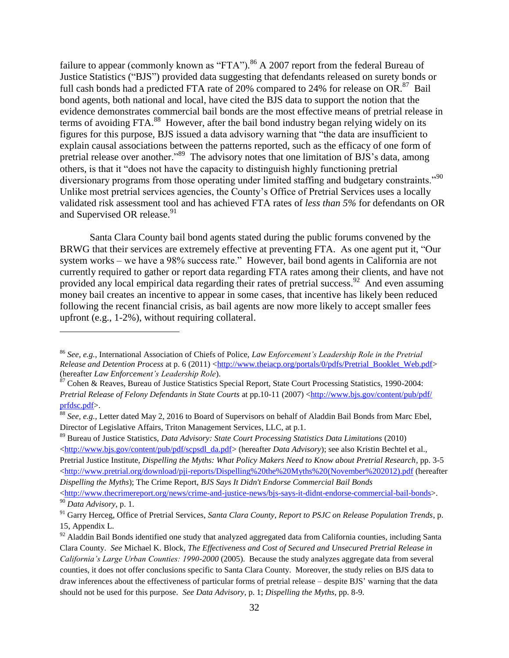failure to appear (commonly known as "FTA"). <sup>86</sup> A 2007 report from the federal Bureau of Justice Statistics ("BJS") provided data suggesting that defendants released on surety bonds or full cash bonds had a predicted FTA rate of 20% compared to 24% for release on  $OR.^{87}$  Bail bond agents, both national and local, have cited the BJS data to support the notion that the evidence demonstrates commercial bail bonds are the most effective means of pretrial release in terms of avoiding FTA.<sup>88</sup> However, after the bail bond industry began relying widely on its figures for this purpose, BJS issued a data advisory warning that "the data are insufficient to explain causal associations between the patterns reported, such as the efficacy of one form of pretrial release over another."<sup>89</sup> The advisory notes that one limitation of BJS's data, among others, is that it "does not have the capacity to distinguish highly functioning pretrial diversionary programs from those operating under limited staffing and budgetary constraints."<sup>90</sup> Unlike most pretrial services agencies, the County's Office of Pretrial Services uses a locally validated risk assessment tool and has achieved FTA rates of *less than 5%* for defendants on OR and Supervised OR release.<sup>91</sup>

Santa Clara County bail bond agents stated during the public forums convened by the BRWG that their services are extremely effective at preventing FTA. As one agent put it, "Our system works – we have a 98% success rate." However, bail bond agents in California are not currently required to gather or report data regarding FTA rates among their clients, and have not provided any local empirical data regarding their rates of pretrial success.<sup>92</sup> And even assuming money bail creates an incentive to appear in some cases, that incentive has likely been reduced following the recent financial crisis, as bail agents are now more likely to accept smaller fees upfront (e.g., 1-2%), without requiring collateral.

 $\overline{a}$ 

<sup>89</sup> Bureau of Justice Statistics, *Data Advisory: State Court Processing Statistics Data Limitations* (2010)  $\langle$ http://www.bjs.gov/content/pub/pdf/scpsdl\_da.pdf> (hereafter *Data Advisory*); see also Kristin Bechtel et al., Pretrial Justice Institute, *Dispelling the Myths: What Policy Makers Need to Know about Pretrial Research*, pp. 3-5 [<http://www.pretrial.org/download/pji-reports/Dispelling%20the%20Myths%20\(November%202012\).pdf](http://www.pretrial.org/download/pji-reports/Dispelling%20the%20Myths%20(November%202012).pdf) (hereafter *Dispelling the Myths*); The Crime Report, *BJS Says It Didn't Endorse Commercial Bail Bonds*

 $\langle$ http://www.thecrimereport.org/news/crime-and-justice-news/bjs-says-it-didnt-endorse-commercial-bail-bonds>. <sup>90</sup> *Data Advisory*, p. 1.

<sup>86</sup> *See, e.g.*, International Association of Chiefs of Police, *Law Enforcement's Leadership Role in the Pretrial Release and Detention Process* at p. 6 (2011) [<http://www.theiacp.org/portals/0/pdfs/Pretrial\\_Booklet\\_Web.pdf>](http://www.theiacp.org/portals/0/pdfs/Pretrial_Booklet_Web.pdf) (hereafter *Law Enforcement's Leadership Role*).

<sup>&</sup>lt;sup>87</sup> Cohen & Reaves, Bureau of Justice Statistics Special Report, State Court Processing Statistics, 1990-2004: *Pretrial Release of Felony Defendants in State Courts* at pp.10-11 (2007) [<http://www.bjs.gov/content/pub/pdf/](http://www.bjs.gov/‌content/‌pub/‌pdf/‌prfdsc.pdf) [prfdsc.pdf>](http://www.bjs.gov/‌content/‌pub/‌pdf/‌prfdsc.pdf).

<sup>88</sup> *See, e.g.*, Letter dated May 2, 2016 to Board of Supervisors on behalf of Aladdin Bail Bonds from Marc Ebel, Director of Legislative Affairs, Triton Management Services, LLC, at p.1.

<sup>91</sup> Garry Herceg, Office of Pretrial Services, *Santa Clara County, Report to PSJC on Release Population Trends*, p. 15, Appendix L.

<sup>&</sup>lt;sup>92</sup> Aladdin Bail Bonds identified one study that analyzed aggregated data from California counties, including Santa Clara County. *See* Michael K. Block, *The Effectiveness and Cost of Secured and Unsecured Pretrial Release in California's Large Urban Counties: 1990-2000* (2005). Because the study analyzes aggregate data from several counties, it does not offer conclusions specific to Santa Clara County. Moreover, the study relies on BJS data to draw inferences about the effectiveness of particular forms of pretrial release – despite BJS' warning that the data should not be used for this purpose. *See Data Advisory*, p. 1; *Dispelling the Myths*, pp. 8-9.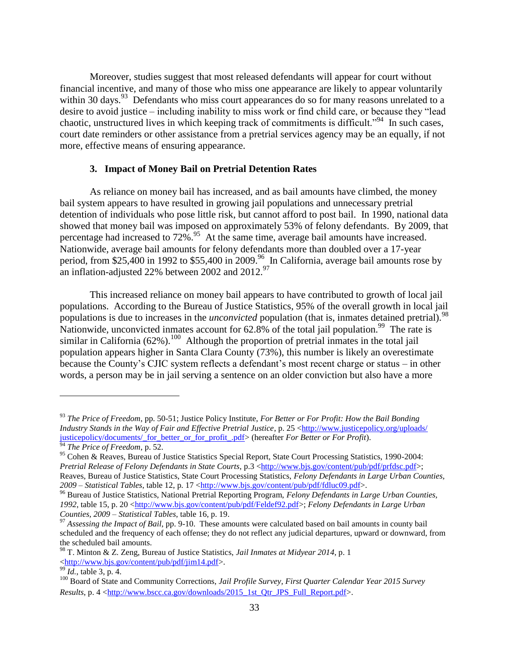Moreover, studies suggest that most released defendants will appear for court without financial incentive, and many of those who miss one appearance are likely to appear voluntarily within 30 days.<sup>93</sup> Defendants who miss court appearances do so for many reasons unrelated to a desire to avoid justice – including inability to miss work or find child care, or because they "lead chaotic, unstructured lives in which keeping track of commitments is difficult."<sup>94</sup> In such cases, court date reminders or other assistance from a pretrial services agency may be an equally, if not more, effective means of ensuring appearance.

### **3. Impact of Money Bail on Pretrial Detention Rates**

As reliance on money bail has increased, and as bail amounts have climbed, the money bail system appears to have resulted in growing jail populations and unnecessary pretrial detention of individuals who pose little risk, but cannot afford to post bail. In 1990, national data showed that money bail was imposed on approximately 53% of felony defendants. By 2009, that percentage had increased to  $72\%$ .<sup>95</sup> At the same time, average bail amounts have increased. Nationwide, average bail amounts for felony defendants more than doubled over a 17-year period, from \$25,400 in 1992 to \$55,400 in 2009.<sup>96</sup> In California, average bail amounts rose by an inflation-adjusted 22% between 2002 and  $2012.^{97}$ 

This increased reliance on money bail appears to have contributed to growth of local jail populations. According to the Bureau of Justice Statistics, 95% of the overall growth in local jail populations is due to increases in the *unconvicted* population (that is, inmates detained pretrial).<sup>98</sup> Nationwide, unconvicted inmates account for  $62.8\%$  of the total jail population.<sup>99</sup> The rate is similar in California  $(62\%)$ .<sup>100</sup> Although the proportion of pretrial inmates in the total jail population appears higher in Santa Clara County (73%), this number is likely an overestimate because the County's CJIC system reflects a defendant's most recent charge or status – in other words, a person may be in jail serving a sentence on an older conviction but also have a more

<sup>93</sup> *The Price of Freedom*, pp. 50-51; Justice Policy Institute, *For Better or For Profit: How the Bail Bonding Industry Stands in the Way of Fair and Effective Pretrial Justice*, p. 25 [<http://www.justicepolicy.org/uploads/](http://www.justicepolicy.org/uploads/‌justicepolicy/‌documents/‌_for_better_or_for_profit_.pdf) [justicepolicy/documents/\\_for\\_better\\_or\\_for\\_profit\\_.pdf>](http://www.justicepolicy.org/uploads/‌justicepolicy/‌documents/‌_for_better_or_for_profit_.pdf) (hereafter *For Better or For Profit*). <sup>94</sup> *The Price of Freedom*, p. 52.

<sup>95</sup> Cohen & Reaves, Bureau of Justice Statistics Special Report, State Court Processing Statistics, 1990-2004: *Pretrial Release of Felony Defendants in State Courts*, p.3 [<http://www.bjs.gov/content/pub/pdf/prfdsc.pdf>](http://www.bjs.gov/content/pub/pdf/prfdsc.pdf); Reaves, Bureau of Justice Statistics, State Court Processing Statistics, *Felony Defendants in Large Urban Counties, 2009 – Statistical Tables*, table 12, p. 17 [<http://www.bjs.gov/content/pub/pdf/fdluc09.pdf>](http://www.bjs.gov/‌content/‌pub/‌pdf/‌fdluc09.pdf).

<sup>96</sup> Bureau of Justice Statistics, National Pretrial Reporting Program, *Felony Defendants in Large Urban Counties, 1992*, table 15, p. 20 [<http://www.bjs.gov/content/pub/pdf/Feldef92.pdf>](http://www.bjs.gov/content/pub/pdf/Feldef92.pdf); *Felony Defendants in Large Urban Counties, 2009 – Statistical Tables*, table 16, p. 19.

<sup>&</sup>lt;sup>97</sup> Assessing the Impact of Bail, pp. 9-10. These amounts were calculated based on bail amounts in county bail scheduled and the frequency of each offense; they do not reflect any judicial departures, upward or downward, from the scheduled bail amounts.

<sup>98</sup> T. Minton & Z. Zeng, Bureau of Justice Statistics, *Jail Inmates at Midyear 2014*, p. 1 [<http://www.bjs.gov/content/pub/pdf/jim14.pdf>](http://www.bjs.gov/content/pub/pdf/jim14.pdf).

*Id.*, table 3, p. 4.

<sup>100</sup> Board of State and Community Corrections, *Jail Profile Survey, First Quarter Calendar Year 2015 Survey Results*, p. 4 [<http://www.bscc.ca.gov/downloads/2015\\_1st\\_Qtr\\_JPS\\_Full\\_Report.pdf>](http://www.bscc.ca.gov/downloads/2015_1st_Qtr_JPS_Full_Report.pdf).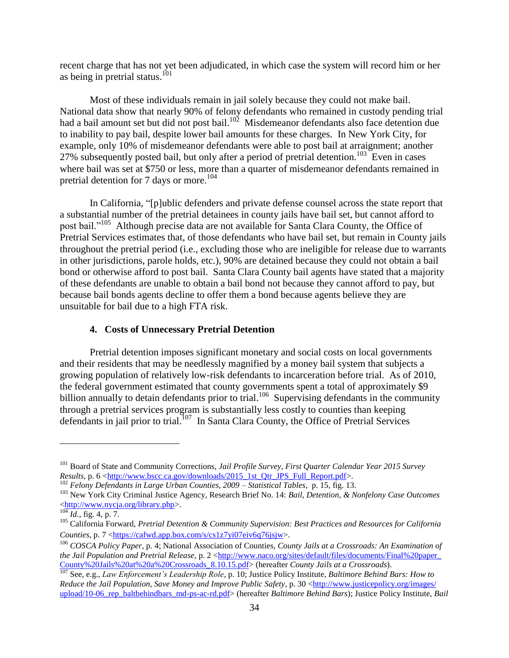recent charge that has not yet been adjudicated, in which case the system will record him or her as being in pretrial status.<sup>101</sup>

Most of these individuals remain in jail solely because they could not make bail. National data show that nearly 90% of felony defendants who remained in custody pending trial had a bail amount set but did not post bail.<sup>102</sup> Misdemeanor defendants also face detention due to inability to pay bail, despite lower bail amounts for these charges. In New York City, for example, only 10% of misdemeanor defendants were able to post bail at arraignment; another 27% subsequently posted bail, but only after a period of pretrial detention.<sup>103</sup> Even in cases where bail was set at \$750 or less, more than a quarter of misdemeanor defendants remained in pretrial detention for 7 days or more.<sup>104</sup>

In California, "[p]ublic defenders and private defense counsel across the state report that a substantial number of the pretrial detainees in county jails have bail set, but cannot afford to post bail."<sup>105</sup> Although precise data are not available for Santa Clara County, the Office of Pretrial Services estimates that, of those defendants who have bail set, but remain in County jails throughout the pretrial period (i.e., excluding those who are ineligible for release due to warrants in other jurisdictions, parole holds, etc.), 90% are detained because they could not obtain a bail bond or otherwise afford to post bail. Santa Clara County bail agents have stated that a majority of these defendants are unable to obtain a bail bond not because they cannot afford to pay, but because bail bonds agents decline to offer them a bond because agents believe they are unsuitable for bail due to a high FTA risk.

### **4. Costs of Unnecessary Pretrial Detention**

Pretrial detention imposes significant monetary and social costs on local governments and their residents that may be needlessly magnified by a money bail system that subjects a growing population of relatively low-risk defendants to incarceration before trial. As of 2010, the federal government estimated that county governments spent a total of approximately \$9 billion annually to detain defendants prior to trial.<sup>106</sup> Supervising defendants in the community through a pretrial services program is substantially less costly to counties than keeping defendants in jail prior to trial.<sup>107</sup> In Santa Clara County, the Office of Pretrial Services

<sup>101</sup> Board of State and Community Corrections, *Jail Profile Survey, First Quarter Calendar Year 2015 Survey Results*, p. 6 <http://www.bscc.ca.gov/downloads/2015\_1st\_Otr\_JPS\_Full\_Report.pdf>.

<sup>102</sup> *Felony Defendants in Large Urban Counties, 2009 – Statistical Tables*, p. 15, fig. 13.

<sup>103</sup> New York City Criminal Justice Agency, Research Brief No. 14: *Bail, Detention, & Nonfelony Case Outcomes* [<http://www.nycja.org/library.php>](http://www.nycja.org/library.php).

<sup>104</sup> *Id.*, fig. 4, p. 7.

<sup>105</sup> California Forward, *Pretrial Detention & Community Supervision: Best Practices and Resources for California Counties*, p. 7 [<https://cafwd.app.box.com/s/cs1z7yi07eiv6q76jsjw>](https://cafwd.app.box.com/s/cs1z7yi07eiv6q76jsjw).

<sup>106</sup> *COSCA Policy Paper*, p. 4; National Association of Counties, *County Jails at a Crossroads: An Examination of the Jail Population and Pretrial Release, p.* 2 <http://www.naco.org/sites/default/files/documents/Final%20paper [County%20Jails%20at%20a%20Crossroads\\_8.10.15.pdf>](http://www.naco.org/‌sites/default/files/documents/‌Final%20paper_‌County%20Jails%20at%20a%20Crossroads_‌8.10.15.pdf) (hereafter *County Jails at a Crossroads*).

<sup>107</sup> See, e.g., *Law Enforcement's Leadership Role*, p. 10; Justice Policy Institute*, Baltimore Behind Bars: How to Reduce the Jail Population, Save Money and Improve Public Safety, p.* 30 [<http://www.justicepolicy.org/images/](http://www.justicepolicy.org/‌images/‌upload/10-06_rep_baltbehindbars_md-ps-ac-rd.pdf) upload/10-06 rep\_baltbehindbars\_md-ps-ac-rd.pdf> (hereafter *Baltimore Behind Bars*); Justice Policy Institute, *Bail*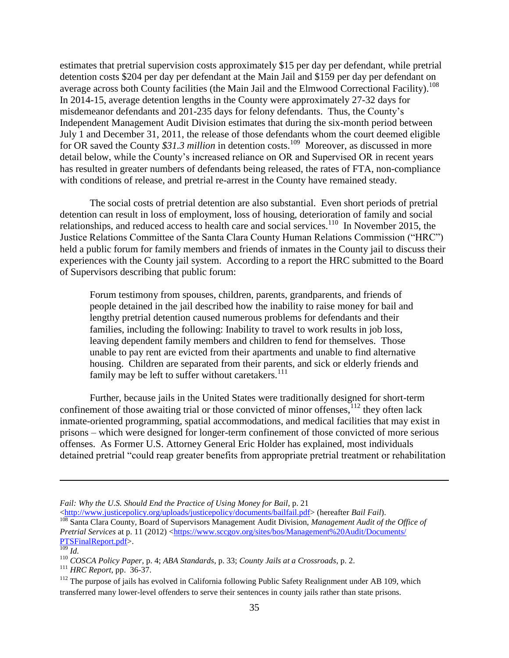estimates that pretrial supervision costs approximately \$15 per day per defendant, while pretrial detention costs \$204 per day per defendant at the Main Jail and \$159 per day per defendant on average across both County facilities (the Main Jail and the Elmwood Correctional Facility).<sup>108</sup> In 2014-15, average detention lengths in the County were approximately 27-32 days for misdemeanor defendants and 201-235 days for felony defendants. Thus, the County's Independent Management Audit Division estimates that during the six-month period between July 1 and December 31, 2011, the release of those defendants whom the court deemed eligible for OR saved the County \$31.3 million in detention costs.<sup>109</sup> Moreover, as discussed in more detail below, while the County's increased reliance on OR and Supervised OR in recent years has resulted in greater numbers of defendants being released, the rates of FTA, non-compliance with conditions of release, and pretrial re-arrest in the County have remained steady.

The social costs of pretrial detention are also substantial. Even short periods of pretrial detention can result in loss of employment, loss of housing, deterioration of family and social relationships, and reduced access to health care and social services.<sup>110</sup> In November 2015, the Justice Relations Committee of the Santa Clara County Human Relations Commission ("HRC") held a public forum for family members and friends of inmates in the County jail to discuss their experiences with the County jail system. According to a report the HRC submitted to the Board of Supervisors describing that public forum:

Forum testimony from spouses, children, parents, grandparents, and friends of people detained in the jail described how the inability to raise money for bail and lengthy pretrial detention caused numerous problems for defendants and their families, including the following: Inability to travel to work results in job loss, leaving dependent family members and children to fend for themselves. Those unable to pay rent are evicted from their apartments and unable to find alternative housing. Children are separated from their parents, and sick or elderly friends and family may be left to suffer without caretakers.<sup>111</sup>

Further, because jails in the United States were traditionally designed for short-term confinement of those awaiting trial or those convicted of minor offenses,  $12$  they often lack inmate-oriented programming, spatial accommodations, and medical facilities that may exist in prisons – which were designed for longer-term confinement of those convicted of more serious offenses. As Former U.S. Attorney General Eric Holder has explained, most individuals detained pretrial "could reap greater benefits from appropriate pretrial treatment or rehabilitation

*Fail: Why the U.S. Should End the Practice of Using Money for Bail*, p. 21

[<sup>&</sup>lt;http://www.justicepolicy.org/uploads/justicepolicy/documents/bailfail.pdf>](http://www.justicepolicy.org/uploads/justicepolicy/‌‌documents/bailfail.pdf) (hereafter *Bail Fail*).

<sup>108</sup> Santa Clara County, Board of Supervisors Management Audit Division, *Management Audit of the Office of Pretrial Services* at p. 11 (2012) [<https://www.sccgov.org/sites/bos/Management%20Audit/Documents/](https://www.sccgov.org/sites/bos/Management%20Audit/‌Documents/‌PTSFinalReport.pdf) [PTSFinalReport.pdf>](https://www.sccgov.org/sites/bos/Management%20Audit/‌Documents/‌PTSFinalReport.pdf).

 $\overline{\frac{109}{104}}$ *Id.* 

<sup>110</sup> *COSCA Policy Paper*, p. 4; *ABA Standards*, p. 33; *County Jails at a Crossroads*, p. 2.

<sup>111</sup> *HRC Report*, pp. 36-37.

<sup>&</sup>lt;sup>112</sup> The purpose of jails has evolved in California following Public Safety Realignment under AB 109, which transferred many lower-level offenders to serve their sentences in county jails rather than state prisons.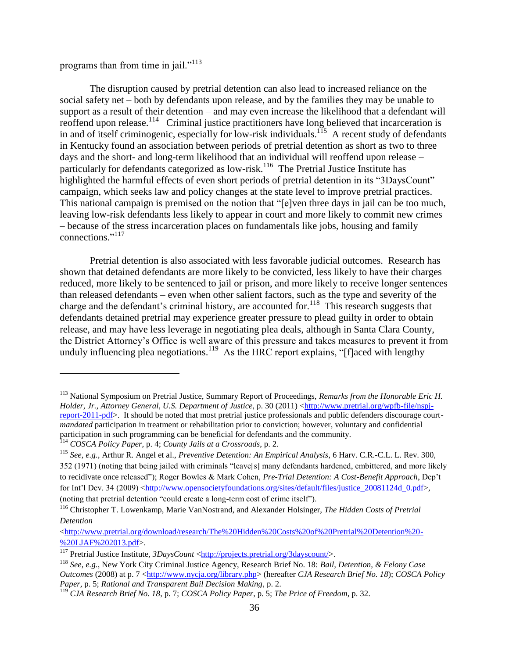programs than from time in jail."<sup>113</sup>

The disruption caused by pretrial detention can also lead to increased reliance on the social safety net – both by defendants upon release, and by the families they may be unable to support as a result of their detention – and may even increase the likelihood that a defendant will reoffend upon release.<sup>114</sup> Criminal justice practitioners have long believed that incarceration is in and of itself criminogenic, especially for low-risk individuals.<sup>115</sup> A recent study of defendants in Kentucky found an association between periods of pretrial detention as short as two to three days and the short- and long-term likelihood that an individual will reoffend upon release – particularly for defendants categorized as low-risk.<sup>116</sup> The Pretrial Justice Institute has highlighted the harmful effects of even short periods of pretrial detention in its "3DaysCount" campaign, which seeks law and policy changes at the state level to improve pretrial practices. This national campaign is premised on the notion that "[e]ven three days in jail can be too much, leaving low-risk defendants less likely to appear in court and more likely to commit new crimes – because of the stress incarceration places on fundamentals like jobs, housing and family connections." 117

Pretrial detention is also associated with less favorable judicial outcomes. Research has shown that detained defendants are more likely to be convicted, less likely to have their charges reduced, more likely to be sentenced to jail or prison, and more likely to receive longer sentences than released defendants – even when other salient factors, such as the type and severity of the charge and the defendant's criminal history, are accounted for.<sup>118</sup> This research suggests that defendants detained pretrial may experience greater pressure to plead guilty in order to obtain release, and may have less leverage in negotiating plea deals, although in Santa Clara County, the District Attorney's Office is well aware of this pressure and takes measures to prevent it from unduly influencing plea negotiations.<sup>119</sup> As the HRC report explains, "[f]aced with lengthy

<sup>113</sup> National Symposium on Pretrial Justice, Summary Report of Proceedings, *Remarks from the Honorable Eric H. Holder, Jr., Attorney General, U.S. Department of Justice, p.* 30 (2011) [<http://www.pretrial.org/wpfb-file/nspj](http://www.pretrial.org/wpfb-file/nspj-report-2011-pdf)[report-2011-pdf>](http://www.pretrial.org/wpfb-file/nspj-report-2011-pdf). It should be noted that most pretrial justice professionals and public defenders discourage court*mandated* participation in treatment or rehabilitation prior to conviction; however, voluntary and confidential participation in such programming can be beneficial for defendants and the community.

<sup>114</sup> *COSCA Policy Paper,* p. 4; *County Jails at a Crossroads*, p. 2.

<sup>115</sup> *See, e.g.*, Arthur R. Angel et al., *Preventive Detention: An Empirical Analysis*, 6 Harv. C.R.-C.L. L. Rev. 300, 352 (1971) (noting that being jailed with criminals "leave[s] many defendants hardened, embittered, and more likely to recidivate once released"); Roger Bowles & Mark Cohen, *Pre-Trial Detention: A Cost-Benefit Approach*, Dep't for Int'l Dev. 34 (2009) [<http://www.opensocietyfoundations.org/sites/default/files/justice\\_20081124d\\_0.pdf>](http://www.opensocietyfoundations.org/sites/default/files/justice_20081124d_0.pdf), (noting that pretrial detention "could create a long-term cost of crime itself").

<sup>116</sup> Christopher T. Lowenkamp, Marie VanNostrand, and Alexander Holsinger, *The Hidden Costs of Pretrial Detention*

[<sup>&</sup>lt;http://www.pretrial.org/download/research/The%20Hidden%20Costs%20of%20Pretrial%20Detention%20-](http://www.pretrial.org/download/research/The%20Hidden%20Costs%20of%20Pretrial%20Detention%20-%20LJAF%202013.pdf) [%20LJAF%202013.pdf>](http://www.pretrial.org/download/research/The%20Hidden%20Costs%20of%20Pretrial%20Detention%20-%20LJAF%202013.pdf).

<sup>&</sup>lt;sup>117</sup> Pretrial Justice Institute, *3DaysCount* [<http://projects.pretrial.org/3dayscount/>](http://projects.pretrial.org/3dayscount/).

<sup>118</sup> *See, e.g.*, New York City Criminal Justice Agency, Research Brief No. 18: *Bail, Detention, & Felony Case Outcomes* (2008) at p. 7 [<http://www.nycja.org/library.php>](http://www.nycja.org/library.php) (hereafter *CJA Research Brief No. 18*); *COSCA Policy Paper*, p. 5; *Rational and Transparent Bail Decision Making*, p. 2.

<sup>119</sup> *CJA Research Brief No. 18*, p. 7; *COSCA Policy Paper*, p. 5; *The Price of Freedom*, p. 32.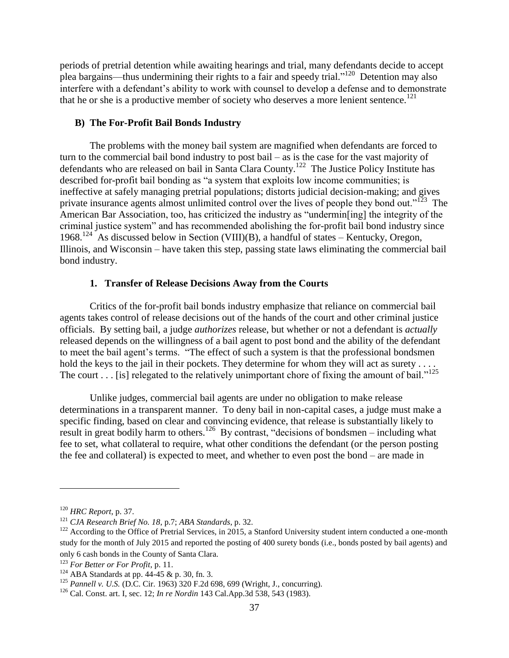periods of pretrial detention while awaiting hearings and trial, many defendants decide to accept plea bargains—thus undermining their rights to a fair and speedy trial."<sup>120</sup> Detention may also interfere with a defendant's ability to work with counsel to develop a defense and to demonstrate that he or she is a productive member of society who deserves a more lenient sentence.<sup>121</sup>

### **B) The For-Profit Bail Bonds Industry**

The problems with the money bail system are magnified when defendants are forced to turn to the commercial bail bond industry to post bail – as is the case for the vast majority of defendants who are released on bail in Santa Clara County.<sup>122</sup> The Justice Policy Institute has described for-profit bail bonding as "a system that exploits low income communities; is ineffective at safely managing pretrial populations; distorts judicial decision-making; and gives private insurance agents almost unlimited control over the lives of people they bond out."<sup>123</sup> The American Bar Association, too, has criticized the industry as "undermin[ing] the integrity of the criminal justice system" and has recommended abolishing the for-profit bail bond industry since 1968.<sup>124</sup> As discussed below in Section (VIII)(B), a handful of states – Kentucky, Oregon, Illinois, and Wisconsin – have taken this step, passing state laws eliminating the commercial bail bond industry.

#### **1. Transfer of Release Decisions Away from the Courts**

Critics of the for-profit bail bonds industry emphasize that reliance on commercial bail agents takes control of release decisions out of the hands of the court and other criminal justice officials. By setting bail, a judge *authorizes* release, but whether or not a defendant is *actually* released depends on the willingness of a bail agent to post bond and the ability of the defendant to meet the bail agent's terms. "The effect of such a system is that the professional bondsmen hold the keys to the jail in their pockets. They determine for whom they will act as surety . . . . The court  $\ldots$  [is] relegated to the relatively unimportant chore of fixing the amount of bail."<sup>125</sup>

Unlike judges, commercial bail agents are under no obligation to make release determinations in a transparent manner. To deny bail in non-capital cases, a judge must make a specific finding, based on clear and convincing evidence, that release is substantially likely to result in great bodily harm to others.<sup>126</sup> By contrast, "decisions of bondsmen – including what fee to set, what collateral to require, what other conditions the defendant (or the person posting the fee and collateral) is expected to meet, and whether to even post the bond – are made in

<sup>120</sup> *HRC Report*, p. 37.

<sup>121</sup> *CJA Research Brief No. 18*, p.7; *ABA Standards*, p. 32.

 $122$  According to the Office of Pretrial Services, in 2015, a Stanford University student intern conducted a one-month study for the month of July 2015 and reported the posting of 400 surety bonds (i.e., bonds posted by bail agents) and only 6 cash bonds in the County of Santa Clara.

<sup>123</sup> *For Better or For Profit*, p. 11.

 $124$  ABA Standards at pp. 44-45 & p. 30, fn. 3.

<sup>125</sup> *Pannell v. U.S.* (D.C. Cir. 1963) 320 F.2d 698, 699 (Wright, J., concurring).

<sup>126</sup> Cal. Const. art. I, sec. 12; *In re Nordin* 143 Cal.App.3d 538, 543 (1983).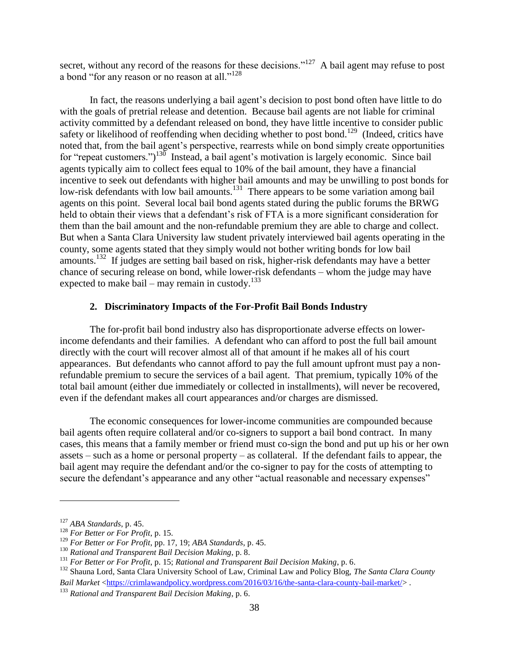secret, without any record of the reasons for these decisions."<sup>127</sup> A bail agent may refuse to post a bond "for any reason or no reason at all."<sup>128</sup>

In fact, the reasons underlying a bail agent's decision to post bond often have little to do with the goals of pretrial release and detention. Because bail agents are not liable for criminal activity committed by a defendant released on bond, they have little incentive to consider public safety or likelihood of reoffending when deciding whether to post bond.<sup>129</sup> (Indeed, critics have noted that, from the bail agent's perspective, rearrests while on bond simply create opportunities for "repeat customers.")<sup>130</sup> Instead, a bail agent's motivation is largely economic. Since bail agents typically aim to collect fees equal to 10% of the bail amount, they have a financial incentive to seek out defendants with higher bail amounts and may be unwilling to post bonds for low-risk defendants with low bail amounts.<sup>131</sup> There appears to be some variation among bail agents on this point. Several local bail bond agents stated during the public forums the BRWG held to obtain their views that a defendant's risk of FTA is a more significant consideration for them than the bail amount and the non-refundable premium they are able to charge and collect. But when a Santa Clara University law student privately interviewed bail agents operating in the county, some agents stated that they simply would not bother writing bonds for low bail amounts.<sup>132</sup> If judges are setting bail based on risk, higher-risk defendants may have a better chance of securing release on bond, while lower-risk defendants – whom the judge may have expected to make bail – may remain in custody.<sup>133</sup>

## **2. Discriminatory Impacts of the For-Profit Bail Bonds Industry**

The for-profit bail bond industry also has disproportionate adverse effects on lowerincome defendants and their families. A defendant who can afford to post the full bail amount directly with the court will recover almost all of that amount if he makes all of his court appearances. But defendants who cannot afford to pay the full amount upfront must pay a nonrefundable premium to secure the services of a bail agent. That premium, typically 10% of the total bail amount (either due immediately or collected in installments), will never be recovered, even if the defendant makes all court appearances and/or charges are dismissed.

The economic consequences for lower-income communities are compounded because bail agents often require collateral and/or co-signers to support a bail bond contract. In many cases, this means that a family member or friend must co-sign the bond and put up his or her own assets – such as a home or personal property – as collateral. If the defendant fails to appear, the bail agent may require the defendant and/or the co-signer to pay for the costs of attempting to secure the defendant's appearance and any other "actual reasonable and necessary expenses"

<sup>127</sup> *ABA Standards*, p. 45.

<sup>128</sup> *For Better or For Profit*, p. 15.

<sup>129</sup> *For Better or For Profit*, pp. 17, 19; *ABA Standards*, p. 45.

<sup>130</sup> *Rational and Transparent Bail Decision Making*, p. 8.

<sup>131</sup> *For Better or For Profit*, p. 15; *Rational and Transparent Bail Decision Making*, p. 6.

<sup>132</sup> Shauna Lord, Santa Clara University School of Law, Criminal Law and Policy Blog, *The Santa Clara County Bail Market* [<https://crimlawandpolicy.wordpress.com/2016/03/16/the-santa-clara-county-bail-market/>](https://crimlawandpolicy.wordpress.com/2016/03/16/the-santa-clara-county-bail-market/) .

<sup>133</sup> *Rational and Transparent Bail Decision Making*, p. 6.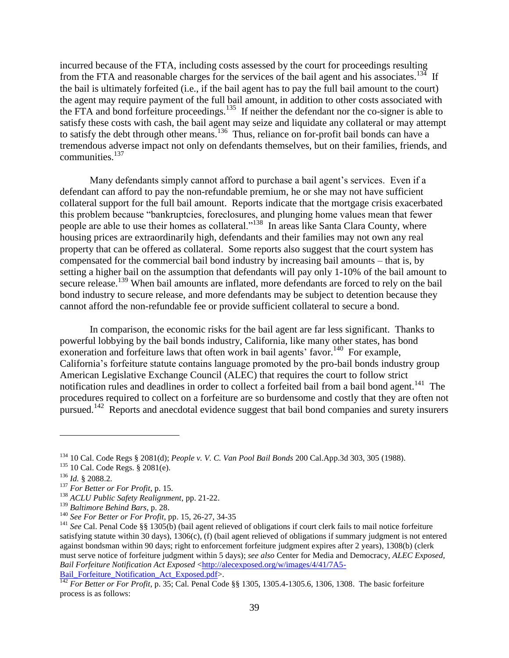incurred because of the FTA, including costs assessed by the court for proceedings resulting from the FTA and reasonable charges for the services of the bail agent and his associates.<sup>134</sup> If the bail is ultimately forfeited (i.e., if the bail agent has to pay the full bail amount to the court) the agent may require payment of the full bail amount, in addition to other costs associated with the FTA and bond forfeiture proceedings.<sup>135</sup> If neither the defendant nor the co-signer is able to satisfy these costs with cash, the bail agent may seize and liquidate any collateral or may attempt to satisfy the debt through other means.<sup>136</sup> Thus, reliance on for-profit bail bonds can have a tremendous adverse impact not only on defendants themselves, but on their families, friends, and communities. $137$ 

Many defendants simply cannot afford to purchase a bail agent's services. Even if a defendant can afford to pay the non-refundable premium, he or she may not have sufficient collateral support for the full bail amount. Reports indicate that the mortgage crisis exacerbated this problem because "bankruptcies, foreclosures, and plunging home values mean that fewer people are able to use their homes as collateral."<sup>138</sup> In areas like Santa Clara County, where housing prices are extraordinarily high, defendants and their families may not own any real property that can be offered as collateral. Some reports also suggest that the court system has compensated for the commercial bail bond industry by increasing bail amounts – that is, by setting a higher bail on the assumption that defendants will pay only 1-10% of the bail amount to secure release.<sup>139</sup> When bail amounts are inflated, more defendants are forced to rely on the bail bond industry to secure release, and more defendants may be subject to detention because they cannot afford the non-refundable fee or provide sufficient collateral to secure a bond.

In comparison, the economic risks for the bail agent are far less significant. Thanks to powerful lobbying by the bail bonds industry, California, like many other states, has bond exoneration and forfeiture laws that often work in bail agents' favor.<sup>140</sup> For example, California's forfeiture statute contains language promoted by the pro-bail bonds industry group American Legislative Exchange Council (ALEC) that requires the court to follow strict notification rules and deadlines in order to collect a forfeited bail from a bail bond agent.<sup>141</sup> The procedures required to collect on a forfeiture are so burdensome and costly that they are often not pursued.<sup>142</sup> Reports and anecdotal evidence suggest that bail bond companies and surety insurers

<sup>134</sup> 10 Cal. Code Regs § 2081(d); *People v. V. C. Van Pool Bail Bonds* 200 Cal.App.3d 303, 305 (1988).

<sup>&</sup>lt;sup>135</sup> 10 Cal. Code Regs. § 2081(e).

<sup>136</sup> *Id.* § 2088.2.

<sup>137</sup> *For Better or For Profit*, p. 15.

<sup>138</sup> *ACLU Public Safety Realignment*, pp. 21-22.

<sup>139</sup> *Baltimore Behind Bars*, p. 28.

<sup>140</sup> *See For Better or For Profit*, pp. 15, 26-27, 34-35

<sup>&</sup>lt;sup>141</sup> See Cal. Penal Code §§ 1305(b) (bail agent relieved of obligations if court clerk fails to mail notice forfeiture satisfying statute within 30 days), 1306(c), (f) (bail agent relieved of obligations if summary judgment is not entered against bondsman within 90 days; right to enforcement forfeiture judgment expires after 2 years), 1308(b) (clerk must serve notice of forfeiture judgment within 5 days); *see also* Center for Media and Democracy, *ALEC Exposed, Bail Forfeiture Notification Act Exposed* [<http://alecexposed.org/w/images/4/41/7A5-](http://alecexposed.org/w/images/4/41/7A5-Bail_Forfeiture_Notification_Act_Exposed.pdf) Bail Forfeiture Notification Act Exposed.pdf>.

<sup>&</sup>lt;sup>142</sup> *For Better or For Profit*, p. 35; Cal. Penal Code §§ 1305, 1305.4-1305.6, 1306, 1308. The basic forfeiture process is as follows: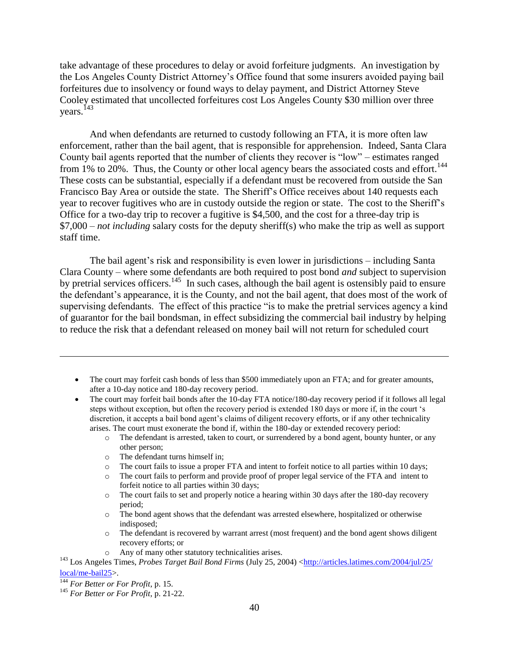take advantage of these procedures to delay or avoid forfeiture judgments. An investigation by the Los Angeles County District Attorney's Office found that some insurers avoided paying bail forfeitures due to insolvency or found ways to delay payment, and District Attorney Steve Cooley estimated that uncollected forfeitures cost Los Angeles County \$30 million over three years.<sup>143</sup>

And when defendants are returned to custody following an FTA, it is more often law enforcement, rather than the bail agent, that is responsible for apprehension. Indeed, Santa Clara County bail agents reported that the number of clients they recover is "low" – estimates ranged from  $1\%$  to  $20\%$ . Thus, the County or other local agency bears the associated costs and effort.<sup>144</sup> These costs can be substantial, especially if a defendant must be recovered from outside the San Francisco Bay Area or outside the state. The Sheriff's Office receives about 140 requests each year to recover fugitives who are in custody outside the region or state. The cost to the Sheriff's Office for a two-day trip to recover a fugitive is \$4,500, and the cost for a three-day trip is \$7,000 – *not including* salary costs for the deputy sheriff(s) who make the trip as well as support staff time.

The bail agent's risk and responsibility is even lower in jurisdictions – including Santa Clara County – where some defendants are both required to post bond *and* subject to supervision by pretrial services officers.<sup>145</sup> In such cases, although the bail agent is ostensibly paid to ensure the defendant's appearance, it is the County, and not the bail agent, that does most of the work of supervising defendants. The effect of this practice "is to make the pretrial services agency a kind of guarantor for the bail bondsman, in effect subsidizing the commercial bail industry by helping to reduce the risk that a defendant released on money bail will not return for scheduled court

- The court may forfeit cash bonds of less than \$500 immediately upon an FTA; and for greater amounts, after a 10-day notice and 180-day recovery period.
- The court may forfeit bail bonds after the 10-day FTA notice/180-day recovery period if it follows all legal steps without exception, but often the recovery period is extended 180 days or more if, in the court 's discretion, it accepts a bail bond agent's claims of diligent recovery efforts, or if any other technicality arises. The court must exonerate the bond if, within the 180-day or extended recovery period:
	- o The defendant is arrested, taken to court, or surrendered by a bond agent, bounty hunter, or any other person;
	- o The defendant turns himself in;
	- o The court fails to issue a proper FTA and intent to forfeit notice to all parties within 10 days;
	- o The court fails to perform and provide proof of proper legal service of the FTA and intent to forfeit notice to all parties within 30 days;
	- o The court fails to set and properly notice a hearing within 30 days after the 180-day recovery period;
	- o The bond agent shows that the defendant was arrested elsewhere, hospitalized or otherwise indisposed;
	- o The defendant is recovered by warrant arrest (most frequent) and the bond agent shows diligent recovery efforts; or
	- o Any of many other statutory technicalities arises.

<sup>143</sup> Los Angeles Times, *Probes Target Bail Bond Firms* (July 25, 2004) [<http://articles.latimes.com/2004/jul/25/](http://articles.latimes.com/2004/jul/25/local/me-bail25) [local/me-bail25>](http://articles.latimes.com/2004/jul/25/local/me-bail25).

<sup>144</sup> *For Better or For Profit*, p. 15.

<sup>145</sup> *For Better or For Profit*, p. 21-22.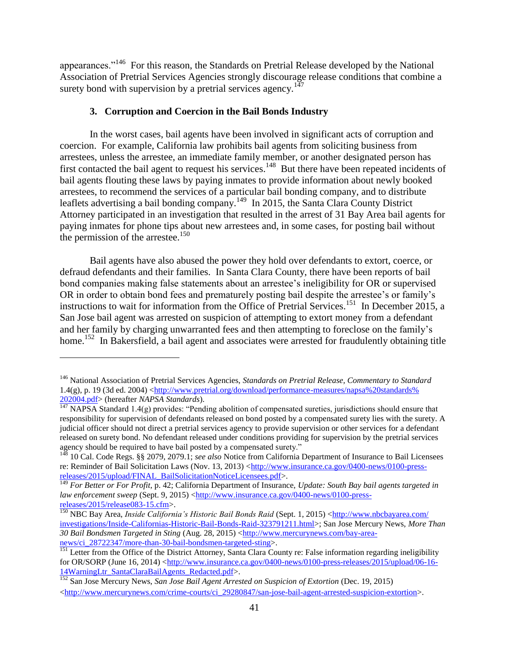appearances."<sup>146</sup> For this reason, the Standards on Pretrial Release developed by the National Association of Pretrial Services Agencies strongly discourage release conditions that combine a surety bond with supervision by a pretrial services agency.<sup>147</sup>

## **3. Corruption and Coercion in the Bail Bonds Industry**

In the worst cases, bail agents have been involved in significant acts of corruption and coercion. For example, California law prohibits bail agents from soliciting business from arrestees, unless the arrestee, an immediate family member, or another designated person has first contacted the bail agent to request his services.<sup>148</sup> But there have been repeated incidents of bail agents flouting these laws by paying inmates to provide information about newly booked arrestees, to recommend the services of a particular bail bonding company, and to distribute leaflets advertising a bail bonding company.<sup>149</sup> In 2015, the Santa Clara County District Attorney participated in an investigation that resulted in the arrest of 31 Bay Area bail agents for paying inmates for phone tips about new arrestees and, in some cases, for posting bail without the permission of the arrestee.<sup>150</sup>

Bail agents have also abused the power they hold over defendants to extort, coerce, or defraud defendants and their families. In Santa Clara County, there have been reports of bail bond companies making false statements about an arrestee's ineligibility for OR or supervised OR in order to obtain bond fees and prematurely posting bail despite the arrestee's or family's instructions to wait for information from the Office of Pretrial Services.<sup>151</sup> In December 2015, a San Jose bail agent was arrested on suspicion of attempting to extort money from a defendant and her family by charging unwarranted fees and then attempting to foreclose on the family's home.<sup>152</sup> In Bakersfield, a bail agent and associates were arrested for fraudulently obtaining title

<sup>146</sup> National Association of Pretrial Services Agencies, *Standards on Pretrial Release, Commentary to Standard* 1.4(g), p. 19 (3d ed. 2004) [<http://www.pretrial.org/download/performance-measures/napsa%20standards%](http://www.pretrial.org/download/performance-measures/‌napsa%25‌20standards%25‌202004.pdf) [202004.pdf>](http://www.pretrial.org/download/performance-measures/‌napsa%25‌20standards%25‌202004.pdf) (hereafter *NAPSA Standards*).

 $147$  NAPSA Standard 1.4(g) provides: "Pending abolition of compensated sureties, jurisdictions should ensure that responsibility for supervision of defendants released on bond posted by a compensated surety lies with the surety. A judicial officer should not direct a pretrial services agency to provide supervision or other services for a defendant released on surety bond. No defendant released under conditions providing for supervision by the pretrial services agency should be required to have bail posted by a compensated surety."

<sup>148</sup> 10 Cal. Code Regs. §§ 2079, 2079.1; *see also* Notice from California Department of Insurance to Bail Licensees re: Reminder of Bail Solicitation Laws (Nov. 13, 2013) [<http://www.insurance.ca.gov/0400-news/0100-press](http://www.insurance.ca.gov/0400-news/0100-press-releases/2015/upload/FINAL_BailSolicitationNoticeLicensees.pdf)[releases/2015/upload/FINAL\\_BailSolicitationNoticeLicensees.pdf>](http://www.insurance.ca.gov/0400-news/0100-press-releases/2015/upload/FINAL_BailSolicitationNoticeLicensees.pdf).

<sup>149</sup> *For Better or For Profit*, p. 42; California Department of Insurance, *Update: South Bay bail agents targeted in law enforcement sweep* (Sept. 9, 2015) [<http://www.insurance.ca.gov/0400-news/0100-press](http://www.insurance.ca.gov/0400-news/0100-press-releases/2015/release083-15.cfm)[releases/2015/release083-15.cfm>](http://www.insurance.ca.gov/0400-news/0100-press-releases/2015/release083-15.cfm).

<sup>&</sup>lt;sup>150</sup> NBC Bay Area, *Inside California's Historic Bail Bonds Raid* (Sept. 1, 2015) [<http://www.nbcbayarea.com/](http://www.nbcbayarea.com/‌investigations/‌Inside-Californias-Historic-Bail-Bonds-Raid-323791211.html) [investigations/Inside-Californias-Historic-Bail-Bonds-Raid-323791211.html>](http://www.nbcbayarea.com/‌investigations/‌Inside-Californias-Historic-Bail-Bonds-Raid-323791211.html); San Jose Mercury News, *More Than 30 Bail Bondsmen Targeted in Sting* (Aug. 28, 2015) [<http://www.mercurynews.com/bay-area](http://www.mercurynews.com/bay-area-news/ci_28722347/more-than-30-bail-bondsmen-targeted-sting)[news/ci\\_28722347/more-than-30-bail-bondsmen-targeted-sting>](http://www.mercurynews.com/bay-area-news/ci_28722347/more-than-30-bail-bondsmen-targeted-sting).

<sup>&</sup>lt;sup>151</sup> Letter from the Office of the District Attorney, Santa Clara County re: False information regarding ineligibility for OR/SORP (June 16, 2014) [<http://www.insurance.ca.gov/0400-news/0100-press-releases/2015/upload/06-16-](http://www.insurance.ca.gov/0400-news/0100-press-releases/2015/upload/06-16-14WarningLtr_SantaClaraBailAgents_Redacted.pdf) [14WarningLtr\\_SantaClaraBailAgents\\_Redacted.pdf>](http://www.insurance.ca.gov/0400-news/0100-press-releases/2015/upload/06-16-14WarningLtr_SantaClaraBailAgents_Redacted.pdf).

<sup>152</sup> San Jose Mercury News, *San Jose Bail Agent Arrested on Suspicion of Extortion* (Dec. 19, 2015)  $$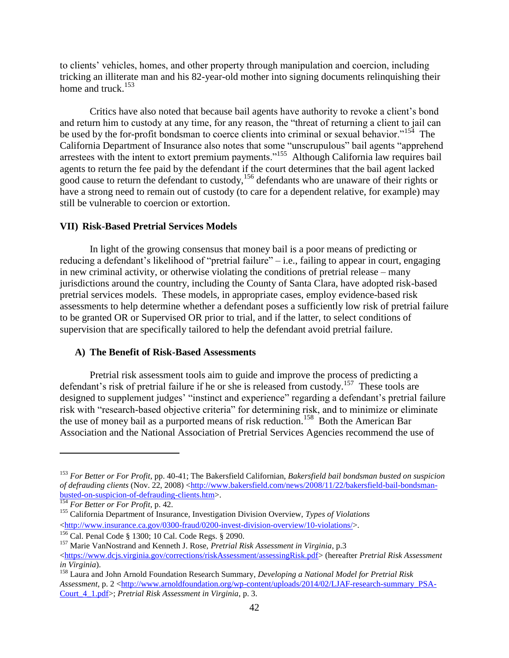to clients' vehicles, homes, and other property through manipulation and coercion, including tricking an illiterate man and his 82-year-old mother into signing documents relinquishing their home and truck. $153$ 

Critics have also noted that because bail agents have authority to revoke a client's bond and return him to custody at any time, for any reason, the "threat of returning a client to jail can be used by the for-profit bondsman to coerce clients into criminal or sexual behavior."<sup>154</sup> The California Department of Insurance also notes that some "unscrupulous" bail agents "apprehend arrestees with the intent to extort premium payments."<sup>155</sup> Although California law requires bail agents to return the fee paid by the defendant if the court determines that the bail agent lacked good cause to return the defendant to custody,<sup>156</sup> defendants who are unaware of their rights or have a strong need to remain out of custody (to care for a dependent relative, for example) may still be vulnerable to coercion or extortion.

## **VII) Risk-Based Pretrial Services Models**

In light of the growing consensus that money bail is a poor means of predicting or reducing a defendant's likelihood of "pretrial failure" – i.e., failing to appear in court, engaging in new criminal activity, or otherwise violating the conditions of pretrial release – many jurisdictions around the country, including the County of Santa Clara, have adopted risk-based pretrial services models. These models, in appropriate cases, employ evidence-based risk assessments to help determine whether a defendant poses a sufficiently low risk of pretrial failure to be granted OR or Supervised OR prior to trial, and if the latter, to select conditions of supervision that are specifically tailored to help the defendant avoid pretrial failure.

### **A) The Benefit of Risk-Based Assessments**

Pretrial risk assessment tools aim to guide and improve the process of predicting a defendant's risk of pretrial failure if he or she is released from custody.<sup>157</sup> These tools are designed to supplement judges' "instinct and experience" regarding a defendant's pretrial failure risk with "research-based objective criteria" for determining risk, and to minimize or eliminate the use of money bail as a purported means of risk reduction.<sup>158</sup> Both the American Bar Association and the National Association of Pretrial Services Agencies recommend the use of

<sup>153</sup> *For Better or For Profit*, pp. 40-41; The Bakersfield Californian, *Bakersfield bail bondsman busted on suspicion of defrauding clients* (Nov. 22, 2008) [<http://www.bakersfield.com/news/2008/11/22/bakersfield-bail-bondsman](http://www.bakersfield.com/news/2008/11/22/bakersfield-bail-bondsman-busted-on-suspicion-of-defrauding-clients.htm)[busted-on-suspicion-of-defrauding-clients.htm>](http://www.bakersfield.com/news/2008/11/22/bakersfield-bail-bondsman-busted-on-suspicion-of-defrauding-clients.htm).

<sup>154</sup> *For Better or For Profit*, p. 42.

<sup>155</sup> California Department of Insurance, Investigation Division Overview, *Types of Violations* [<http://www.insurance.ca.gov/0300-fraud/0200-invest-division-overview/10-violations/>](http://www.insurance.ca.gov/0300-fraud/0200-invest-division-overview/10-violations/).

<sup>156</sup> Cal. Penal Code § 1300; 10 Cal. Code Regs. § 2090.

<sup>157</sup> Marie VanNostrand and Kenneth J. Rose, *Pretrial Risk Assessment in Virginia*, p.3

[<sup>&</sup>lt;https://www.dcjs.virginia.gov/corrections/riskAssessment/assessingRisk.pdf>](https://www.dcjs.virginia.gov/corrections/riskAssessment/assessingRisk.pdf) (hereafter *Pretrial Risk Assessment in Virginia*).

<sup>158</sup> Laura and John Arnold Foundation Research Summary, *Developing a National Model for Pretrial Risk Assessment*, p. 2 [<http://www.arnoldfoundation.org/wp-content/uploads/2014/02/LJAF-research-summary\\_PSA-](http://www.arnoldfoundation.org/wp-content/uploads/2014/02/LJAF-research-summary_PSA-Court_4_1.pdf)[Court\\_4\\_1.pdf>](http://www.arnoldfoundation.org/wp-content/uploads/2014/02/LJAF-research-summary_PSA-Court_4_1.pdf); *Pretrial Risk Assessment in Virginia*, p. 3.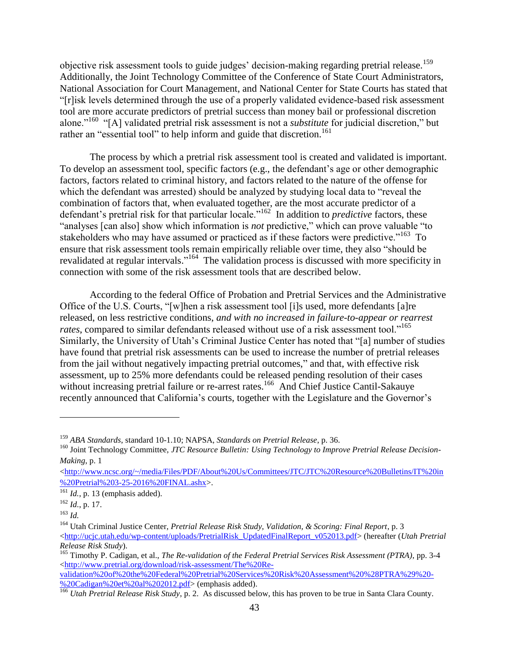objective risk assessment tools to guide judges' decision-making regarding pretrial release.<sup>159</sup> Additionally, the Joint Technology Committee of the Conference of State Court Administrators, National Association for Court Management, and National Center for State Courts has stated that "[r]isk levels determined through the use of a properly validated evidence-based risk assessment tool are more accurate predictors of pretrial success than money bail or professional discretion alone."<sup>160</sup> "[A] validated pretrial risk assessment is not a *substitute* for judicial discretion," but rather an "essential tool" to help inform and guide that discretion.<sup>161</sup>

The process by which a pretrial risk assessment tool is created and validated is important. To develop an assessment tool, specific factors (e.g., the defendant's age or other demographic factors, factors related to criminal history, and factors related to the nature of the offense for which the defendant was arrested) should be analyzed by studying local data to "reveal the combination of factors that, when evaluated together, are the most accurate predictor of a defendant's pretrial risk for that particular locale."<sup>162</sup> In addition to *predictive* factors, these "analyses [can also] show which information is *not* predictive," which can prove valuable "to stakeholders who may have assumed or practiced as if these factors were predictive."<sup>163</sup> To ensure that risk assessment tools remain empirically reliable over time, they also "should be revalidated at regular intervals."<sup>164</sup> The validation process is discussed with more specificity in connection with some of the risk assessment tools that are described below.

According to the federal Office of Probation and Pretrial Services and the Administrative Office of the U.S. Courts, "[w]hen a risk assessment tool [i]s used, more defendants [a]re released, on less restrictive conditions, *and with no increased in failure-to-appear or rearrest*  rates, compared to similar defendants released without use of a risk assessment tool."<sup>165</sup> Similarly, the University of Utah's Criminal Justice Center has noted that "[a] number of studies have found that pretrial risk assessments can be used to increase the number of pretrial releases from the jail without negatively impacting pretrial outcomes," and that, with effective risk assessment, up to 25% more defendants could be released pending resolution of their cases without increasing pretrial failure or re-arrest rates.<sup>166</sup> And Chief Justice Cantil-Sakauye recently announced that California's courts, together with the Legislature and the Governor's

 $\overline{a}$ 

[validation%20of%20the%20Federal%20Pretrial%20Services%20Risk%20Assessment%20%28PTRA%29%20-](http://www.pretrial.org/download/risk-assessment/The%20Re-validation%20of%20the%20Federal%20Pretrial%20Services%20Risk%20Assessment%20%28PTRA%29%20-%20Cadigan%20et%20al%202012.pdf) [%20Cadigan%20et%20al%202012.pdf>](http://www.pretrial.org/download/risk-assessment/The%20Re-validation%20of%20the%20Federal%20Pretrial%20Services%20Risk%20Assessment%20%28PTRA%29%20-%20Cadigan%20et%20al%202012.pdf) (emphasis added).

<sup>159</sup> *ABA Standards*, standard 10-1.10; NAPSA, *Standards on Pretrial Release*, p. 36.

<sup>&</sup>lt;sup>160</sup> Joint Technology Committee, JTC Resource Bulletin: Using Technology to Improve Pretrial Release Decision-*Making*, p. 1

 $\langle$ http://www.ncsc.org/~/media/Files/PDF/About%20Us/Committees/JTC/JTC%20Resource%20Bulletins/IT%20in [%20Pretrial%203-25-2016%20FINAL.ashx>](http://www.ncsc.org/~/media/Files/PDF/About%20Us/Committees/JTC/JTC%20Resource%20Bulletins/IT%20in%20Pretrial%203-25-2016%20FINAL.ashx).

 $161$  *Id.*, p. 13 (emphasis added).

 $^{162}$  *Id.*, p. 17.

<sup>163</sup> *Id.*

<sup>164</sup> Utah Criminal Justice Center, *Pretrial Release Risk Study, Validation, & Scoring: Final Report*, p. 3

[<sup>&</sup>lt;http://ucjc.utah.edu/wp-content/uploads/PretrialRisk\\_UpdatedFinalReport\\_v052013.pdf>](http://ucjc.utah.edu/wp-content/uploads/PretrialRisk_UpdatedFinalReport_v052013.pdf) (hereafter (*Utah Pretrial Release Risk Study*).

<sup>165</sup> Timothy P. Cadigan, et al., *The Re-validation of the Federal Pretrial Services Risk Assessment (PTRA)*, pp. 3-4 [<http://www.pretrial.org/download/risk-assessment/The%20Re-](http://www.pretrial.org/download/risk-assessment/The%20Re-validation%20of%20the%20Federal%20Pretrial%20Services%20Risk%20Assessment%20%28PTRA%29%20-%20Cadigan%20et%20al%202012.pdf)

<sup>166</sup> *Utah Pretrial Release Risk Study*, p. 2. As discussed below, this has proven to be true in Santa Clara County.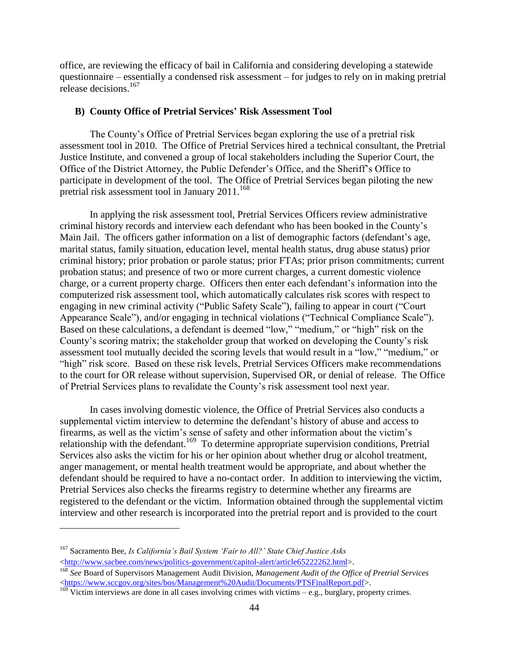office, are reviewing the efficacy of bail in California and considering developing a statewide questionnaire – essentially a condensed risk assessment – for judges to rely on in making pretrial release decisions.<sup>167</sup>

## **B) County Office of Pretrial Services' Risk Assessment Tool**

The County's Office of Pretrial Services began exploring the use of a pretrial risk assessment tool in 2010. The Office of Pretrial Services hired a technical consultant, the Pretrial Justice Institute, and convened a group of local stakeholders including the Superior Court, the Office of the District Attorney, the Public Defender's Office, and the Sheriff's Office to participate in development of the tool. The Office of Pretrial Services began piloting the new pretrial risk assessment tool in January 2011.<sup>168</sup>

In applying the risk assessment tool, Pretrial Services Officers review administrative criminal history records and interview each defendant who has been booked in the County's Main Jail. The officers gather information on a list of demographic factors (defendant's age, marital status, family situation, education level, mental health status, drug abuse status) prior criminal history; prior probation or parole status; prior FTAs; prior prison commitments; current probation status; and presence of two or more current charges, a current domestic violence charge, or a current property charge. Officers then enter each defendant's information into the computerized risk assessment tool, which automatically calculates risk scores with respect to engaging in new criminal activity ("Public Safety Scale"), failing to appear in court ("Court Appearance Scale"), and/or engaging in technical violations ("Technical Compliance Scale"). Based on these calculations, a defendant is deemed "low," "medium," or "high" risk on the County's scoring matrix; the stakeholder group that worked on developing the County's risk assessment tool mutually decided the scoring levels that would result in a "low," "medium," or "high" risk score. Based on these risk levels, Pretrial Services Officers make recommendations to the court for OR release without supervision, Supervised OR, or denial of release. The Office of Pretrial Services plans to revalidate the County's risk assessment tool next year.

In cases involving domestic violence, the Office of Pretrial Services also conducts a supplemental victim interview to determine the defendant's history of abuse and access to firearms, as well as the victim's sense of safety and other information about the victim's relationship with the defendant.<sup>169</sup> To determine appropriate supervision conditions, Pretrial Services also asks the victim for his or her opinion about whether drug or alcohol treatment, anger management, or mental health treatment would be appropriate, and about whether the defendant should be required to have a no-contact order. In addition to interviewing the victim, Pretrial Services also checks the firearms registry to determine whether any firearms are registered to the defendant or the victim. Information obtained through the supplemental victim interview and other research is incorporated into the pretrial report and is provided to the court

<sup>167</sup> Sacramento Bee, *Is California's Bail System 'Fair to All?' State Chief Justice Asks* [<http://www.sacbee.com/news/politics-government/capitol-alert/article65222262.html>](http://www.sacbee.com/news/politics-government/capitol-alert/article65222262.html).

<sup>168</sup> *See* Board of Supervisors Management Audit Division, *Management Audit of the Office of Pretrial Services* [<https://www.sccgov.org/sites/bos/Management%20Audit/Documents/PTSFinalReport.pdf>](https://www.sccgov.org/sites/bos/Management%20Audit/Documents/PTSFinalReport.pdf).

 $169$  Victim interviews are done in all cases involving crimes with victims – e.g., burglary, property crimes.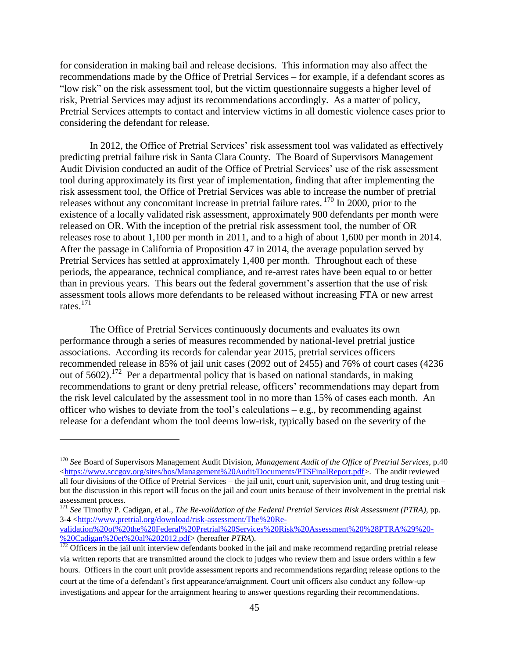for consideration in making bail and release decisions. This information may also affect the recommendations made by the Office of Pretrial Services – for example, if a defendant scores as "low risk" on the risk assessment tool, but the victim questionnaire suggests a higher level of risk, Pretrial Services may adjust its recommendations accordingly. As a matter of policy, Pretrial Services attempts to contact and interview victims in all domestic violence cases prior to considering the defendant for release.

In 2012, the Office of Pretrial Services' risk assessment tool was validated as effectively predicting pretrial failure risk in Santa Clara County. The Board of Supervisors Management Audit Division conducted an audit of the Office of Pretrial Services' use of the risk assessment tool during approximately its first year of implementation, finding that after implementing the risk assessment tool, the Office of Pretrial Services was able to increase the number of pretrial releases without any concomitant increase in pretrial failure rates. <sup>170</sup> In 2000, prior to the existence of a locally validated risk assessment, approximately 900 defendants per month were released on OR. With the inception of the pretrial risk assessment tool, the number of OR releases rose to about 1,100 per month in 2011, and to a high of about 1,600 per month in 2014. After the passage in California of Proposition 47 in 2014, the average population served by Pretrial Services has settled at approximately 1,400 per month. Throughout each of these periods, the appearance, technical compliance, and re-arrest rates have been equal to or better than in previous years. This bears out the federal government's assertion that the use of risk assessment tools allows more defendants to be released without increasing FTA or new arrest rates.<sup>171</sup>

The Office of Pretrial Services continuously documents and evaluates its own performance through a series of measures recommended by national-level pretrial justice associations. According its records for calendar year 2015, pretrial services officers recommended release in 85% of jail unit cases (2092 out of 2455) and 76% of court cases (4236 out of 5602).<sup>172</sup> Per a departmental policy that is based on national standards, in making recommendations to grant or deny pretrial release, officers' recommendations may depart from the risk level calculated by the assessment tool in no more than 15% of cases each month. An officer who wishes to deviate from the tool's calculations – e.g., by recommending against release for a defendant whom the tool deems low-risk, typically based on the severity of the

 $\overline{a}$ 

<sup>171</sup> *See* Timothy P. Cadigan, et al., *The Re-validation of the Federal Pretrial Services Risk Assessment (PTRA)*, pp. 3-4 [<http://www.pretrial.org/download/risk-assessment/The%20Re](http://www.pretrial.org/download/risk-assessment/The%20Re-validation%20of%20the%20Federal%20Pretrial%20Services%20Risk%20Assessment%20%28PTRA%29%20-%20Cadigan%20et%20al%202012.pdf)[validation%20of%20the%20Federal%20Pretrial%20Services%20Risk%20Assessment%20%28PTRA%29%20-](http://www.pretrial.org/download/risk-assessment/The%20Re-validation%20of%20the%20Federal%20Pretrial%20Services%20Risk%20Assessment%20%28PTRA%29%20-%20Cadigan%20et%20al%202012.pdf)

[%20Cadigan%20et%20al%202012.pdf>](http://www.pretrial.org/download/risk-assessment/The%20Re-validation%20of%20the%20Federal%20Pretrial%20Services%20Risk%20Assessment%20%28PTRA%29%20-%20Cadigan%20et%20al%202012.pdf) (hereafter *PTRA*).

<sup>170</sup> *See* Board of Supervisors Management Audit Division, *Management Audit of the Office of Pretrial Services*, p.40 [<https://www.sccgov.org/sites/bos/Management%20Audit/Documents/PTSFinalReport.pdf>](https://www.sccgov.org/sites/bos/Management%20Audit/Documents/PTSFinalReport.pdf). The audit reviewed all four divisions of the Office of Pretrial Services – the jail unit, court unit, supervision unit, and drug testing unit – but the discussion in this report will focus on the jail and court units because of their involvement in the pretrial risk assessment process.

 $\frac{172}{172}$  Officers in the jail unit interview defendants booked in the jail and make recommend regarding pretrial release via written reports that are transmitted around the clock to judges who review them and issue orders within a few hours. Officers in the court unit provide assessment reports and recommendations regarding release options to the court at the time of a defendant's first appearance/arraignment. Court unit officers also conduct any follow-up investigations and appear for the arraignment hearing to answer questions regarding their recommendations.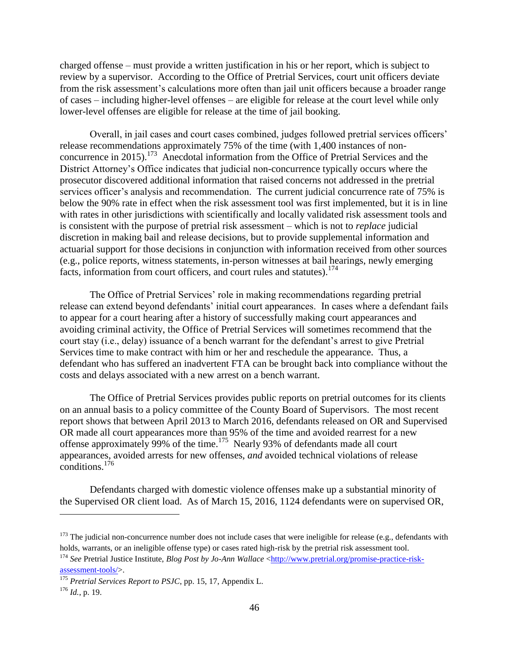charged offense – must provide a written justification in his or her report, which is subject to review by a supervisor. According to the Office of Pretrial Services, court unit officers deviate from the risk assessment's calculations more often than jail unit officers because a broader range of cases – including higher-level offenses – are eligible for release at the court level while only lower-level offenses are eligible for release at the time of jail booking.

Overall, in jail cases and court cases combined, judges followed pretrial services officers' release recommendations approximately 75% of the time (with 1,400 instances of nonconcurrence in 2015).<sup>173</sup> Anecdotal information from the Office of Pretrial Services and the District Attorney's Office indicates that judicial non-concurrence typically occurs where the prosecutor discovered additional information that raised concerns not addressed in the pretrial services officer's analysis and recommendation. The current judicial concurrence rate of 75% is below the 90% rate in effect when the risk assessment tool was first implemented, but it is in line with rates in other jurisdictions with scientifically and locally validated risk assessment tools and is consistent with the purpose of pretrial risk assessment – which is not to *replace* judicial discretion in making bail and release decisions, but to provide supplemental information and actuarial support for those decisions in conjunction with information received from other sources (e.g., police reports, witness statements, in-person witnesses at bail hearings, newly emerging facts, information from court officers, and court rules and statutes).<sup>174</sup>

The Office of Pretrial Services' role in making recommendations regarding pretrial release can extend beyond defendants' initial court appearances. In cases where a defendant fails to appear for a court hearing after a history of successfully making court appearances and avoiding criminal activity, the Office of Pretrial Services will sometimes recommend that the court stay (i.e., delay) issuance of a bench warrant for the defendant's arrest to give Pretrial Services time to make contract with him or her and reschedule the appearance. Thus, a defendant who has suffered an inadvertent FTA can be brought back into compliance without the costs and delays associated with a new arrest on a bench warrant.

The Office of Pretrial Services provides public reports on pretrial outcomes for its clients on an annual basis to a policy committee of the County Board of Supervisors. The most recent report shows that between April 2013 to March 2016, defendants released on OR and Supervised OR made all court appearances more than 95% of the time and avoided rearrest for a new offense approximately 99% of the time.<sup>175</sup> Nearly 93% of defendants made all court appearances, avoided arrests for new offenses, *and* avoided technical violations of release conditions.<sup>176</sup>

Defendants charged with domestic violence offenses make up a substantial minority of the Supervised OR client load. As of March 15, 2016, 1124 defendants were on supervised OR,

 $173$  The judicial non-concurrence number does not include cases that were ineligible for release (e.g., defendants with holds, warrants, or an ineligible offense type) or cases rated high-risk by the pretrial risk assessment tool.

<sup>&</sup>lt;sup>174</sup> See Pretrial Justice Institute, *Blog Post by Jo-Ann Wallace* [<http://www.pretrial.org/promise-practice-risk](http://www.pretrial.org/promise-practice-risk-assessment-tools/)[assessment-tools/>](http://www.pretrial.org/promise-practice-risk-assessment-tools/).

<sup>175</sup> *Pretrial Services Report to PSJC*, pp. 15, 17, Appendix L.

 $^{176}$  *Id.*, p. 19.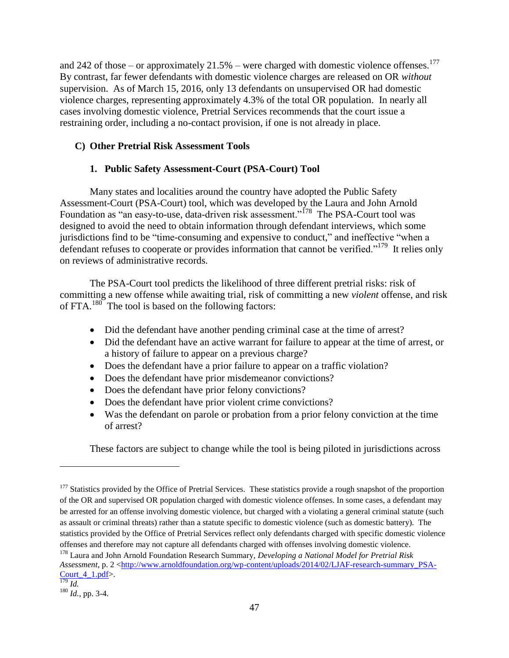and 242 of those – or approximately 21.5% – were charged with domestic violence offenses.<sup>177</sup> By contrast, far fewer defendants with domestic violence charges are released on OR *without* supervision. As of March 15, 2016, only 13 defendants on unsupervised OR had domestic violence charges, representing approximately 4.3% of the total OR population. In nearly all cases involving domestic violence, Pretrial Services recommends that the court issue a restraining order, including a no-contact provision, if one is not already in place.

## **C) Other Pretrial Risk Assessment Tools**

# **1. Public Safety Assessment-Court (PSA-Court) Tool**

Many states and localities around the country have adopted the Public Safety Assessment-Court (PSA-Court) tool, which was developed by the Laura and John Arnold Foundation as "an easy-to-use, data-driven risk assessment."<sup>178</sup> The PSA-Court tool was designed to avoid the need to obtain information through defendant interviews, which some jurisdictions find to be "time-consuming and expensive to conduct," and ineffective "when a defendant refuses to cooperate or provides information that cannot be verified."<sup>179</sup> It relies only on reviews of administrative records.

The PSA-Court tool predicts the likelihood of three different pretrial risks: risk of committing a new offense while awaiting trial, risk of committing a new *violent* offense, and risk of FTA. $^{180}$  The tool is based on the following factors:

- Did the defendant have another pending criminal case at the time of arrest?
- Did the defendant have an active warrant for failure to appear at the time of arrest, or a history of failure to appear on a previous charge?
- Does the defendant have a prior failure to appear on a traffic violation?
- Does the defendant have prior misdemeanor convictions?
- Does the defendant have prior felony convictions?
- Does the defendant have prior violent crime convictions?
- Was the defendant on parole or probation from a prior felony conviction at the time of arrest?

These factors are subject to change while the tool is being piloted in jurisdictions across

<sup>&</sup>lt;sup>177</sup> Statistics provided by the Office of Pretrial Services. These statistics provide a rough snapshot of the proportion of the OR and supervised OR population charged with domestic violence offenses. In some cases, a defendant may be arrested for an offense involving domestic violence, but charged with a violating a general criminal statute (such as assault or criminal threats) rather than a statute specific to domestic violence (such as domestic battery). The statistics provided by the Office of Pretrial Services reflect only defendants charged with specific domestic violence offenses and therefore may not capture all defendants charged with offenses involving domestic violence.

<sup>178</sup> Laura and John Arnold Foundation Research Summary, *Developing a National Model for Pretrial Risk Assessment*, p. 2 [<http://www.arnoldfoundation.org/wp-content/uploads/2014/02/LJAF-research-summary\\_PSA-](http://www.arnoldfoundation.org/wp-content/uploads/2014/02/LJAF-research-summary_PSA-Court_4_1.pdf)Court  $4$  1.pdf>.

<sup>179</sup> *Id.*

<sup>180</sup> *Id.*, pp. 3-4.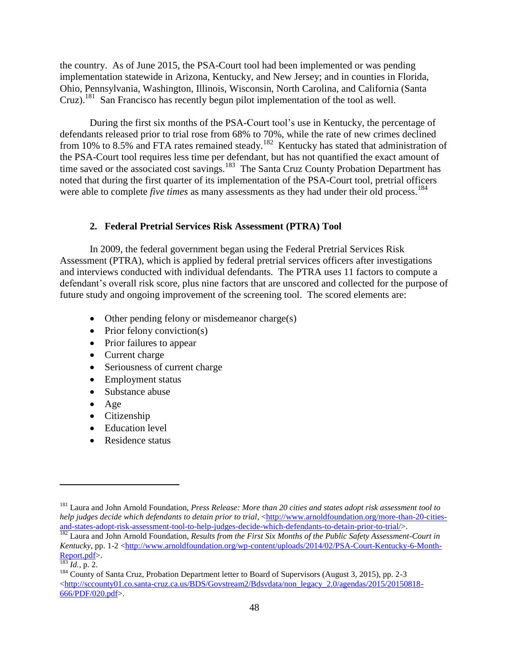the country. As of June 2015, the PSA-Court tool had been implemented or was pending implementation statewide in Arizona, Kentucky, and New Jersey; and in counties in Florida, Ohio, Pennsylvania, Washington, Illinois, Wisconsin, North Carolina, and California (Santa Cruz).<sup>181</sup> San Francisco has recently begun pilot implementation of the tool as well.

During the first six months of the PSA-Court tool's use in Kentucky, the percentage of defendants released prior to trial rose from 68% to 70%, while the rate of new crimes declined from 10% to 8.5% and FTA rates remained steady.<sup>182</sup> Kentucky has stated that administration of the PSA-Court tool requires less time per defendant, but has not quantified the exact amount of time saved or the associated cost savings.<sup>183</sup> The Santa Cruz County Probation Department has noted that during the first quarter of its implementation of the PSA-Court tool, pretrial officers were able to complete *five times* as many assessments as they had under their old process.<sup>184</sup>

#### **2. Federal Pretrial Services Risk Assessment (PTRA) Tool**

In 2009, the federal government began using the Federal Pretrial Services Risk Assessment (PTRA), which is applied by federal pretrial services officers after investigations and interviews conducted with individual defendants. The PTRA uses 11 factors to compute a defendant's overall risk score, plus nine factors that are unscored and collected for the purpose of future study and ongoing improvement of the screening tool. The scored elements are:

- Other pending felony or misdemeanor charge(s)
- $\bullet$  Prior felony conviction(s)
- Prior failures to appear
- Current charge
- Seriousness of current charge
- Employment status
- Substance abuse
- Age
- Citizenship
- Education level
- Residence status

<sup>181</sup> Laura and John Arnold Foundation, *Press Release: More than 20 cities and states adopt risk assessment tool to help judges decide which defendants to detain prior to trial*, [<http://www.arnoldfoundation.org/more-than-20-cities](http://www.arnoldfoundation.org/more-than-20-cities-and-states-adopt-risk-assessment-tool-to-help-judges-decide-which-defendants-to-detain-prior-to-trial/)[and-states-adopt-risk-assessment-tool-to-help-judges-decide-which-defendants-to-detain-prior-to-trial/>](http://www.arnoldfoundation.org/more-than-20-cities-and-states-adopt-risk-assessment-tool-to-help-judges-decide-which-defendants-to-detain-prior-to-trial/).

<sup>&</sup>lt;sup>182</sup> Laura and John Arnold Foundation, *Results from the First Six Months of the Public Safety Assessment-Court in Kentucky*, pp. 1-2 [<http://www.arnoldfoundation.org/wp-content/uploads/2014/02/PSA-Court-Kentucky-6-Month-](http://www.arnoldfoundation.org/wp-content/uploads/2014/02/PSA-Court-Kentucky-6-Month-Report.pdf)[Report.pdf>](http://www.arnoldfoundation.org/wp-content/uploads/2014/02/PSA-Court-Kentucky-6-Month-Report.pdf).

 $\frac{183}{183}$  *Id.*, p. 2.

<sup>&</sup>lt;sup>184</sup> County of Santa Cruz, Probation Department letter to Board of Supervisors (August 3, 2015), pp. 2-3  $\langle$ http://sccounty01.co.santa-cruz.ca.us/BDS/Govstream2/Bdsvdata/non\_legacy\_2.0/agendas/2015/20150818-[666/PDF/020.pdf>](http://sccounty01.co.santa-cruz.ca.us/BDS/Govstream2/Bdsvdata/non_legacy_2.0/agendas/2015/20150818-666/PDF/020.pdf).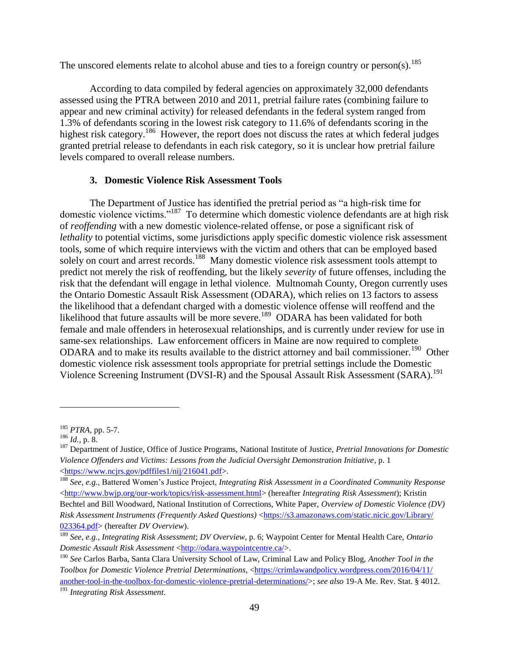The unscored elements relate to alcohol abuse and ties to a foreign country or person(s).<sup>185</sup>

According to data compiled by federal agencies on approximately 32,000 defendants assessed using the PTRA between 2010 and 2011, pretrial failure rates (combining failure to appear and new criminal activity) for released defendants in the federal system ranged from 1.3% of defendants scoring in the lowest risk category to 11.6% of defendants scoring in the highest risk category.<sup>186</sup> However, the report does not discuss the rates at which federal judges granted pretrial release to defendants in each risk category, so it is unclear how pretrial failure levels compared to overall release numbers.

## **3. Domestic Violence Risk Assessment Tools**

The Department of Justice has identified the pretrial period as "a high-risk time for domestic violence victims."<sup>187</sup> To determine which domestic violence defendants are at high risk of *reoffending* with a new domestic violence-related offense, or pose a significant risk of *lethality* to potential victims, some jurisdictions apply specific domestic violence risk assessment tools, some of which require interviews with the victim and others that can be employed based solely on court and arrest records.<sup>188</sup> Many domestic violence risk assessment tools attempt to predict not merely the risk of reoffending, but the likely *severity* of future offenses, including the risk that the defendant will engage in lethal violence. Multnomah County, Oregon currently uses the Ontario Domestic Assault Risk Assessment (ODARA), which relies on 13 factors to assess the likelihood that a defendant charged with a domestic violence offense will reoffend and the likelihood that future assaults will be more severe.<sup>189</sup> ODARA has been validated for both female and male offenders in heterosexual relationships, and is currently under review for use in same-sex relationships. Law enforcement officers in Maine are now required to complete ODARA and to make its results available to the district attorney and bail commissioner.<sup>190</sup> Other domestic violence risk assessment tools appropriate for pretrial settings include the Domestic Violence Screening Instrument (DVSI-R) and the Spousal Assault Risk Assessment (SARA).<sup>191</sup>

<sup>185</sup> *PTRA*, pp. 5-7.

<sup>186</sup> *Id.*, p. 8.

<sup>187</sup> Department of Justice, Office of Justice Programs, National Institute of Justice, *Pretrial Innovations for Domestic Violence Offenders and Victims: Lessons from the Judicial Oversight Demonstration Initiative*, p. 1 [<https://www.ncjrs.gov/pdffiles1/nij/216041.pdf>](https://www.ncjrs.gov/pdffiles1/nij/216041.pdf).

<sup>188</sup> *See, e.g.*, Battered Women's Justice Project, *Integrating Risk Assessment in a Coordinated Community Response* [<http://www.bwjp.org/our-work/topics/risk-assessment.html>](http://www.bwjp.org/our-work/topics/risk-assessment.html) (hereafter *Integrating Risk Assessment*); Kristin Bechtel and Bill Woodward, National Institution of Corrections, White Paper, *Overview of Domestic Violence (DV) Risk Assessment Instruments (Frequently Asked Questions)* [<https://s3.amazonaws.com/static.nicic.gov/Library/](https://s3.amazonaws.com/‌static.nicic.gov/‌Library/‌023364.pdf) [023364.pdf>](https://s3.amazonaws.com/‌static.nicic.gov/‌Library/‌023364.pdf) (hereafter *DV Overview*).

<sup>189</sup> *See, e.g.*, *Integrating Risk Assessment*; *DV Overview*, p. 6; Waypoint Center for Mental Health Care, *Ontario Domestic Assault Risk Assessment* [<http://odara.waypointcentre.ca/>](http://odara.waypointcentre.ca/).

<sup>190</sup> *See* Carlos Barba, Santa Clara University School of Law, Criminal Law and Policy Blog, *Another Tool in the Toolbox for Domestic Violence Pretrial Determinations*, [<https://crimlawandpolicy.wordpress.com/2016/04/11/](https://crimlawandpolicy.wordpress.com/2016/04/11/another-tool-in-the-toolbox-for-domestic-violence-pretrial-determinations/) [another-tool-in-the-toolbox-for-domestic-violence-pretrial-determinations/>](https://crimlawandpolicy.wordpress.com/2016/04/11/another-tool-in-the-toolbox-for-domestic-violence-pretrial-determinations/); *see also* 19-A Me. Rev. Stat. § 4012.

<sup>191</sup> *Integrating Risk Assessment*.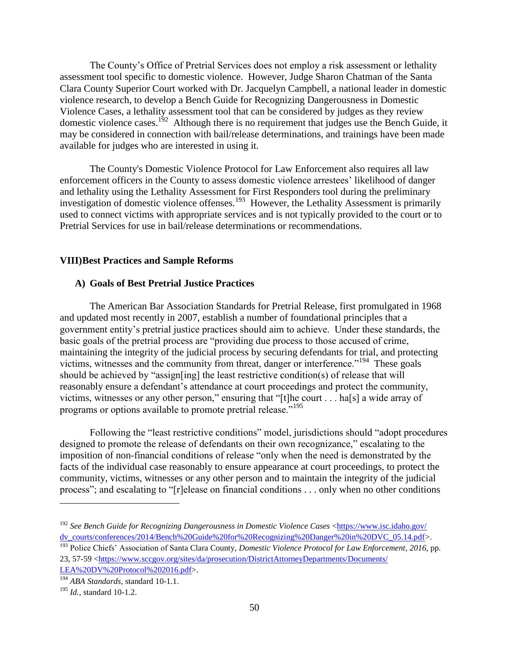The County's Office of Pretrial Services does not employ a risk assessment or lethality assessment tool specific to domestic violence. However, Judge Sharon Chatman of the Santa Clara County Superior Court worked with Dr. Jacquelyn Campbell, a national leader in domestic violence research, to develop a Bench Guide for Recognizing Dangerousness in Domestic Violence Cases, a lethality assessment tool that can be considered by judges as they review domestic violence cases.<sup>192</sup> Although there is no requirement that judges use the Bench Guide, it may be considered in connection with bail/release determinations, and trainings have been made available for judges who are interested in using it.

The County's Domestic Violence Protocol for Law Enforcement also requires all law enforcement officers in the County to assess domestic violence arrestees' likelihood of danger and lethality using the Lethality Assessment for First Responders tool during the preliminary investigation of domestic violence offenses.<sup>193</sup> However, the Lethality Assessment is primarily used to connect victims with appropriate services and is not typically provided to the court or to Pretrial Services for use in bail/release determinations or recommendations.

#### **VIII)Best Practices and Sample Reforms**

## **A) Goals of Best Pretrial Justice Practices**

The American Bar Association Standards for Pretrial Release, first promulgated in 1968 and updated most recently in 2007, establish a number of foundational principles that a government entity's pretrial justice practices should aim to achieve. Under these standards, the basic goals of the pretrial process are "providing due process to those accused of crime, maintaining the integrity of the judicial process by securing defendants for trial, and protecting victims, witnesses and the community from threat, danger or interference."<sup>194</sup> These goals should be achieved by "assign[ing] the least restrictive condition(s) of release that will reasonably ensure a defendant's attendance at court proceedings and protect the community, victims, witnesses or any other person," ensuring that "[t]he court . . . ha[s] a wide array of programs or options available to promote pretrial release."<sup>195</sup>

Following the "least restrictive conditions" model, jurisdictions should "adopt procedures designed to promote the release of defendants on their own recognizance," escalating to the imposition of non-financial conditions of release "only when the need is demonstrated by the facts of the individual case reasonably to ensure appearance at court proceedings, to protect the community, victims, witnesses or any other person and to maintain the integrity of the judicial process"; and escalating to "[r]elease on financial conditions . . . only when no other conditions

<sup>192</sup> *See Bench Guide for Recognizing Dangerousness in Domestic Violence Cases* [<https://www.isc.idaho.gov/](https://www.isc.idaho.gov/dv_courts/conferences/2014/Bench%20Guide%20for%20Recognizing%20Danger%20in%20DVC_05.14.pdf) [dv\\_courts/conferences/2014/Bench%20Guide%20for%20Recognizing%20Danger%20in%20DVC\\_05.14.pdf>](https://www.isc.idaho.gov/dv_courts/conferences/2014/Bench%20Guide%20for%20Recognizing%20Danger%20in%20DVC_05.14.pdf).

<sup>193</sup> Police Chiefs' Association of Santa Clara County, *Domestic Violence Protocol for Law Enforcement, 2016*, pp. 23, 57-59 [<https://www.sccgov.org/sites/da/prosecution/DistrictAttorneyDepartments/Documents/](https://www.sccgov.org/sites/da/prosecution/DistrictAttorneyDepartments/Documents/LEA%20DV%20Protocol%202016.pdf) [LEA%20DV%20Protocol%202016.pdf>](https://www.sccgov.org/sites/da/prosecution/DistrictAttorneyDepartments/Documents/LEA%20DV%20Protocol%202016.pdf).

<sup>194</sup> *ABA Standards*, standard 10-1.1.

<sup>195</sup> *Id.*, standard 10-1.2.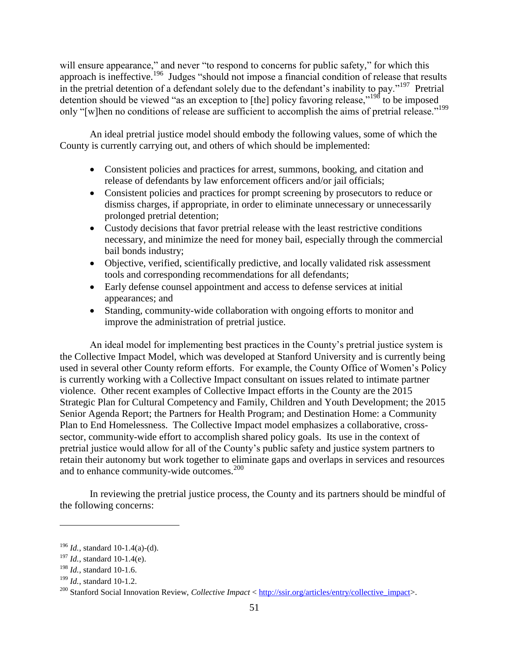will ensure appearance," and never "to respond to concerns for public safety," for which this approach is ineffective.<sup>196</sup> Judges "should not impose a financial condition of release that results in the pretrial detention of a defendant solely due to the defendant's inability to pay."<sup>197</sup> Pretrial detention should be viewed "as an exception to [the] policy favoring release,"<sup>198</sup> to be imposed only "[w]hen no conditions of release are sufficient to accomplish the aims of pretrial release."<sup>199</sup>

An ideal pretrial justice model should embody the following values, some of which the County is currently carrying out, and others of which should be implemented:

- Consistent policies and practices for arrest, summons, booking, and citation and release of defendants by law enforcement officers and/or jail officials;
- Consistent policies and practices for prompt screening by prosecutors to reduce or dismiss charges, if appropriate, in order to eliminate unnecessary or unnecessarily prolonged pretrial detention;
- Custody decisions that favor pretrial release with the least restrictive conditions necessary, and minimize the need for money bail, especially through the commercial bail bonds industry;
- Objective, verified, scientifically predictive, and locally validated risk assessment tools and corresponding recommendations for all defendants;
- Early defense counsel appointment and access to defense services at initial appearances; and
- Standing, community-wide collaboration with ongoing efforts to monitor and improve the administration of pretrial justice.

An ideal model for implementing best practices in the County's pretrial justice system is the Collective Impact Model, which was developed at Stanford University and is currently being used in several other County reform efforts. For example, the County Office of Women's Policy is currently working with a Collective Impact consultant on issues related to intimate partner violence. Other recent examples of Collective Impact efforts in the County are the 2015 Strategic Plan for Cultural Competency and Family, Children and Youth Development; the 2015 Senior Agenda Report; the Partners for Health Program; and Destination Home: a Community Plan to End Homelessness. The Collective Impact model emphasizes a collaborative, crosssector, community-wide effort to accomplish shared policy goals. Its use in the context of pretrial justice would allow for all of the County's public safety and justice system partners to retain their autonomy but work together to eliminate gaps and overlaps in services and resources and to enhance community-wide outcomes.<sup>200</sup>

In reviewing the pretrial justice process, the County and its partners should be mindful of the following concerns:

<sup>196</sup> *Id.*, standard 10-1.4(a)-(d).

<sup>197</sup> *Id.*, standard 10-1.4(e).

<sup>198</sup> *Id.*, standard 10-1.6.

<sup>199</sup> *Id.*, standard 10-1.2.

<sup>200</sup> Stanford Social Innovation Review, *Collective Impact* < [http://ssir.org/articles/entry/collective\\_impact>](http://ssir.org/articles/entry/collective_impact).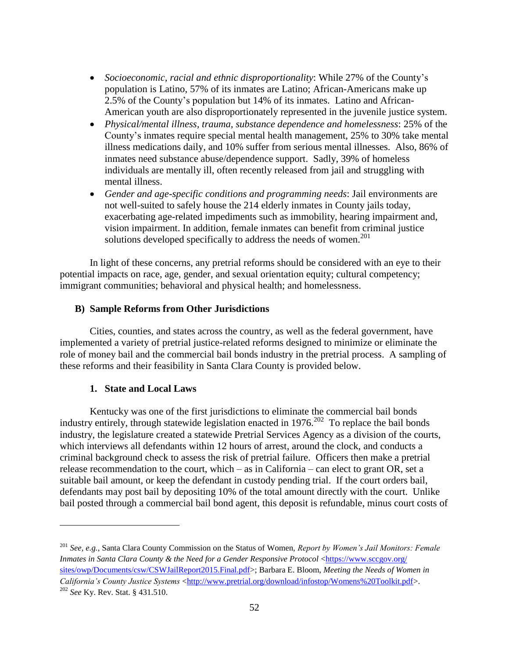- *Socioeconomic, racial and ethnic disproportionality*: While 27% of the County's population is Latino, 57% of its inmates are Latino; African-Americans make up 2.5% of the County's population but 14% of its inmates. Latino and African-American youth are also disproportionately represented in the juvenile justice system.
- *Physical/mental illness, trauma, substance dependence and homelessness*: 25% of the County's inmates require special mental health management, 25% to 30% take mental illness medications daily, and 10% suffer from serious mental illnesses. Also, 86% of inmates need substance abuse/dependence support. Sadly, 39% of homeless individuals are mentally ill, often recently released from jail and struggling with mental illness.
- *Gender and age-specific conditions and programming needs*: Jail environments are not well-suited to safely house the 214 elderly inmates in County jails today, exacerbating age-related impediments such as immobility, hearing impairment and, vision impairment. In addition, female inmates can benefit from criminal justice solutions developed specifically to address the needs of women.<sup>201</sup>

In light of these concerns, any pretrial reforms should be considered with an eye to their potential impacts on race, age, gender, and sexual orientation equity; cultural competency; immigrant communities; behavioral and physical health; and homelessness.

## **B) Sample Reforms from Other Jurisdictions**

Cities, counties, and states across the country, as well as the federal government, have implemented a variety of pretrial justice-related reforms designed to minimize or eliminate the role of money bail and the commercial bail bonds industry in the pretrial process. A sampling of these reforms and their feasibility in Santa Clara County is provided below.

#### **1. State and Local Laws**

 $\overline{a}$ 

Kentucky was one of the first jurisdictions to eliminate the commercial bail bonds industry entirely, through statewide legislation enacted in  $1976$ <sup>202</sup> To replace the bail bonds industry, the legislature created a statewide Pretrial Services Agency as a division of the courts, which interviews all defendants within 12 hours of arrest, around the clock, and conducts a criminal background check to assess the risk of pretrial failure. Officers then make a pretrial release recommendation to the court, which – as in California – can elect to grant OR, set a suitable bail amount, or keep the defendant in custody pending trial. If the court orders bail, defendants may post bail by depositing 10% of the total amount directly with the court. Unlike bail posted through a commercial bail bond agent, this deposit is refundable, minus court costs of

<sup>201</sup> *See, e.g.*, Santa Clara County Commission on the Status of Women, *Report by Women's Jail Monitors: Female Inmates in Santa Clara County & the Need for a Gender Responsive Protocol* [<https://www.sccgov.org/](https://www.sccgov.org/‌sites/owp/Documents/csw/CSWJailReport2015.Final.pdf) [sites/owp/Documents/csw/CSWJailReport2015.Final.pdf>](https://www.sccgov.org/‌sites/owp/Documents/csw/CSWJailReport2015.Final.pdf); Barbara E. Bloom, *Meeting the Needs of Women in California's County Justice Systems* [<http://www.pretrial.org/download/infostop/Womens%20Toolkit.pdf>](http://www.pretrial.org/download/infostop/Womens%20Toolkit.pdf). <sup>202</sup> *See* Ky. Rev. Stat. § 431.510.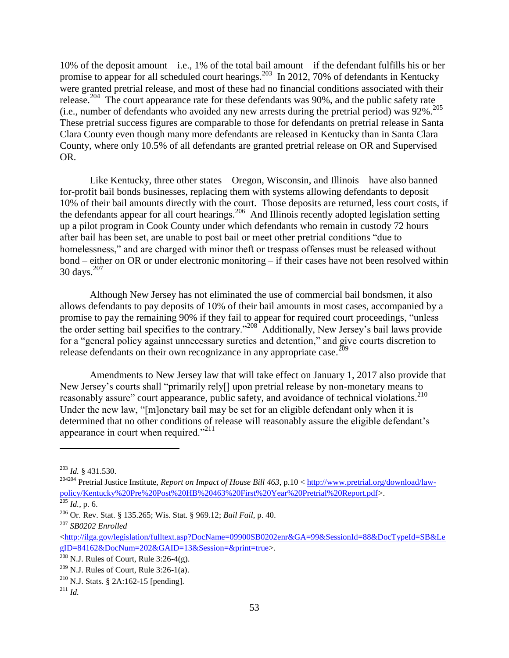10% of the deposit amount – i.e., 1% of the total bail amount – if the defendant fulfills his or her promise to appear for all scheduled court hearings.<sup>203</sup> In 2012, 70% of defendants in Kentucky were granted pretrial release, and most of these had no financial conditions associated with their release.<sup>204</sup> The court appearance rate for these defendants was 90%, and the public safety rate (i.e., number of defendants who avoided any new arrests during the pretrial period) was  $92\%$ <sup>205</sup> These pretrial success figures are comparable to those for defendants on pretrial release in Santa Clara County even though many more defendants are released in Kentucky than in Santa Clara County, where only 10.5% of all defendants are granted pretrial release on OR and Supervised OR.

Like Kentucky, three other states – Oregon, Wisconsin, and Illinois – have also banned for-profit bail bonds businesses, replacing them with systems allowing defendants to deposit 10% of their bail amounts directly with the court. Those deposits are returned, less court costs, if the defendants appear for all court hearings.<sup>206</sup> And Illinois recently adopted legislation setting up a pilot program in Cook County under which defendants who remain in custody 72 hours after bail has been set, are unable to post bail or meet other pretrial conditions "due to homelessness," and are charged with minor theft or trespass offenses must be released without bond – either on OR or under electronic monitoring – if their cases have not been resolved within 30 days.<sup>207</sup>

Although New Jersey has not eliminated the use of commercial bail bondsmen, it also allows defendants to pay deposits of 10% of their bail amounts in most cases, accompanied by a promise to pay the remaining 90% if they fail to appear for required court proceedings, "unless the order setting bail specifies to the contrary."<sup>208</sup> Additionally, New Jersey's bail laws provide for a "general policy against unnecessary sureties and detention," and give courts discretion to release defendants on their own recognizance in any appropriate case.  $^{209}$ 

Amendments to New Jersey law that will take effect on January 1, 2017 also provide that New Jersey's courts shall "primarily rely[] upon pretrial release by non-monetary means to reasonably assure" court appearance, public safety, and avoidance of technical violations.<sup>210</sup> Under the new law, "[m]onetary bail may be set for an eligible defendant only when it is determined that no other conditions of release will reasonably assure the eligible defendant's appearance in court when required." $^{211}$ 

<sup>203</sup> *Id.* § 431.530.

<sup>204204</sup> Pretrial Justice Institute, *Report on Impact of House Bill 463*, p.10 < [http://www.pretrial.org/download/law](http://www.pretrial.org/download/law-policy/Kentucky%20Pre%20Post%20HB%20463%20First%20Year%20Pretrial%20Report.pdf)[policy/Kentucky%20Pre%20Post%20HB%20463%20First%20Year%20Pretrial%20Report.pdf>](http://www.pretrial.org/download/law-policy/Kentucky%20Pre%20Post%20HB%20463%20First%20Year%20Pretrial%20Report.pdf).

 $205$  *Id.*, p. 6.

<sup>206</sup> Or. Rev. Stat. § 135.265; Wis. Stat. § 969.12; *Bail Fail*, p. 40.

<sup>207</sup> *SB0202 Enrolled*

[<sup>&</sup>lt;http://ilga.gov/legislation/fulltext.asp?DocName=09900SB0202enr&GA=99&SessionId=88&DocTypeId=SB&Le](http://ilga.gov/legislation/fulltext.asp?DocName=09900SB0202enr&GA=99&SessionId=88&DocTypeId=SB&LegID=84162&DocNum=202&GAID=13&Session=&print=true) [gID=84162&DocNum=202&GAID=13&Session=&print=true>](http://ilga.gov/legislation/fulltext.asp?DocName=09900SB0202enr&GA=99&SessionId=88&DocTypeId=SB&LegID=84162&DocNum=202&GAID=13&Session=&print=true).

 $208$  N.J. Rules of Court, Rule 3:26-4(g).

 $209$  N.J. Rules of Court, Rule 3:26-1(a).

<sup>&</sup>lt;sup>210</sup> N.J. Stats. § 2A:162-15 [pending].

 $^{211}$  *Id.*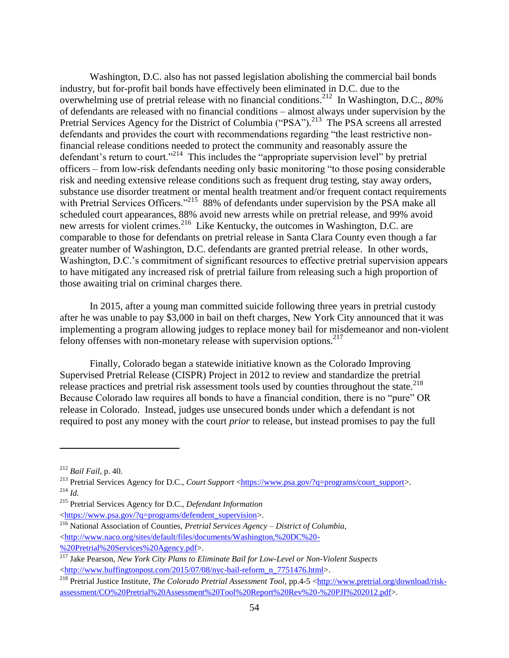Washington, D.C. also has not passed legislation abolishing the commercial bail bonds industry, but for-profit bail bonds have effectively been eliminated in D.C. due to the overwhelming use of pretrial release with no financial conditions.<sup>212</sup> In Washington, D.C., *80%* of defendants are released with no financial conditions – almost always under supervision by the Pretrial Services Agency for the District of Columbia ("PSA").<sup>213</sup> The PSA screens all arrested defendants and provides the court with recommendations regarding "the least restrictive nonfinancial release conditions needed to protect the community and reasonably assure the defendant's return to court."<sup>214</sup> This includes the "appropriate supervision level" by pretrial officers – from low-risk defendants needing only basic monitoring "to those posing considerable risk and needing extensive release conditions such as frequent drug testing, stay away orders, substance use disorder treatment or mental health treatment and/or frequent contact requirements with Pretrial Services Officers."<sup>215</sup> 88% of defendants under supervision by the PSA make all scheduled court appearances, 88% avoid new arrests while on pretrial release, and 99% avoid new arrests for violent crimes.<sup>216</sup> Like Kentucky, the outcomes in Washington, D.C. are comparable to those for defendants on pretrial release in Santa Clara County even though a far greater number of Washington, D.C. defendants are granted pretrial release. In other words, Washington, D.C.'s commitment of significant resources to effective pretrial supervision appears to have mitigated any increased risk of pretrial failure from releasing such a high proportion of those awaiting trial on criminal charges there.

In 2015, after a young man committed suicide following three years in pretrial custody after he was unable to pay \$3,000 in bail on theft charges, New York City announced that it was implementing a program allowing judges to replace money bail for misdemeanor and non-violent felony offenses with non-monetary release with supervision options. $217$ 

Finally, Colorado began a statewide initiative known as the Colorado Improving Supervised Pretrial Release (CISPR) Project in 2012 to review and standardize the pretrial release practices and pretrial risk assessment tools used by counties throughout the state.<sup>218</sup> Because Colorado law requires all bonds to have a financial condition, there is no "pure" OR release in Colorado. Instead, judges use unsecured bonds under which a defendant is not required to post any money with the court *prior* to release, but instead promises to pay the full

<sup>212</sup> *Bail Fail*, p. 40.

<sup>&</sup>lt;sup>213</sup> Pretrial Services Agency for D.C., *Court Support* [<https://www.psa.gov/?q=programs/court\\_support>](https://www.psa.gov/?q=programs/court_support). <sup>214</sup> *Id.*

<sup>215</sup> Pretrial Services Agency for D.C., *Defendant Information*

[<sup>&</sup>lt;https://www.psa.gov/?q=programs/defendent\\_supervision>](https://www.psa.gov/?q=programs/defendent_supervision).

<sup>216</sup> National Association of Counties, *Pretrial Services Agency – District of Columbia*, [<http://www.naco.org/sites/default/files/documents/Washington,%20DC%20-](http://www.naco.org/sites/default/files/documents/Washington,%20DC%20-%20Pretrial%20Services%20Agency.pdf) [%20Pretrial%20Services%20Agency.pdf>](http://www.naco.org/sites/default/files/documents/Washington,%20DC%20-%20Pretrial%20Services%20Agency.pdf).

<sup>217</sup> Jake Pearson, *New York City Plans to Eliminate Bail for Low-Level or Non-Violent Suspects* [<http://www.huffingtonpost.com/2015/07/08/nyc-bail-reform\\_n\\_7751476.html>](http://www.huffingtonpost.com/2015/07/08/nyc-bail-reform_n_7751476.html).

<sup>&</sup>lt;sup>218</sup> Pretrial Justice Institute, *The Colorado Pretrial Assessment Tool*, pp.4-5 [<http://www.pretrial.org/download/risk](http://www.pretrial.org/download/risk-assessment/CO%20Pretrial%20Assessment%20Tool%20Report%20Rev%20-%20PJI%202012.pdf)[assessment/CO%20Pretrial%20Assessment%20Tool%20Report%20Rev%20-%20PJI%202012.pdf>](http://www.pretrial.org/download/risk-assessment/CO%20Pretrial%20Assessment%20Tool%20Report%20Rev%20-%20PJI%202012.pdf).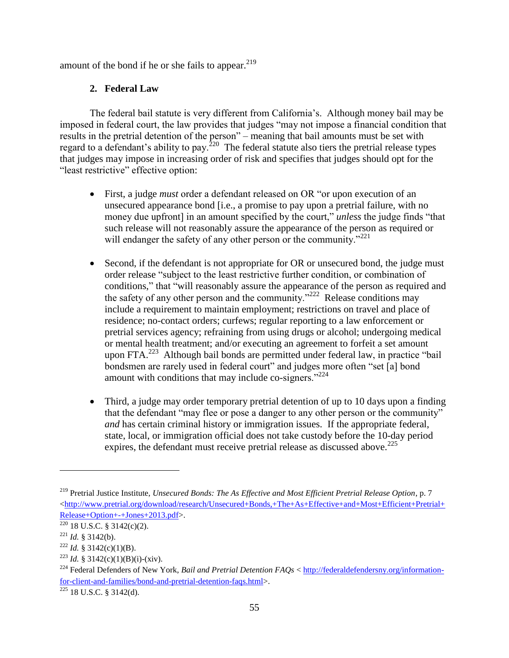amount of the bond if he or she fails to appear.<sup>219</sup>

# **2. Federal Law**

The federal bail statute is very different from California's. Although money bail may be imposed in federal court, the law provides that judges "may not impose a financial condition that results in the pretrial detention of the person" – meaning that bail amounts must be set with regard to a defendant's ability to pay.<sup>220</sup> The federal statute also tiers the pretrial release types that judges may impose in increasing order of risk and specifies that judges should opt for the "least restrictive" effective option:

- First, a judge *must* order a defendant released on OR "or upon execution of an unsecured appearance bond [i.e., a promise to pay upon a pretrial failure, with no money due upfront] in an amount specified by the court," *unless* the judge finds "that such release will not reasonably assure the appearance of the person as required or will endanger the safety of any other person or the community."<sup>221</sup>
- Second, if the defendant is not appropriate for OR or unsecured bond, the judge must order release "subject to the least restrictive further condition, or combination of conditions," that "will reasonably assure the appearance of the person as required and the safety of any other person and the community."<sup>222</sup> Release conditions may include a requirement to maintain employment; restrictions on travel and place of residence; no-contact orders; curfews; regular reporting to a law enforcement or pretrial services agency; refraining from using drugs or alcohol; undergoing medical or mental health treatment; and/or executing an agreement to forfeit a set amount upon FTA.<sup>223</sup> Although bail bonds are permitted under federal law, in practice "bail bondsmen are rarely used in federal court" and judges more often "set [a] bond amount with conditions that may include co-signers."<sup>224</sup>
- Third, a judge may order temporary pretrial detention of up to 10 days upon a finding that the defendant "may flee or pose a danger to any other person or the community" *and* has certain criminal history or immigration issues. If the appropriate federal, state, local, or immigration official does not take custody before the 10-day period expires, the defendant must receive pretrial release as discussed above.  $225$

 $\overline{a}$ 

 $225$  18 U.S.C. § 3142(d).

<sup>219</sup> Pretrial Justice Institute, *Unsecured Bonds: The As Effective and Most Efficient Pretrial Release Option*, p. 7  $\text{~d}$ thtp://www.pretrial.org/download/research/Unsecured+Bonds,+The+As+Effective+and+Most+Efficient+Pretrial+ [Release+Option+-+Jones+2013.pdf>](http://www.pretrial.org/download/research/Unsecured+Bonds,+The+As+Effective+and+Most+Efficient+Pretrial+Release+Option+-+Jones+2013.pdf).

 $220$  18 U.S.C. § 3142(c)(2).

 $221$  *Id.* § 3142(b).

 $^{222}$  *Id.* § 3142(c)(1)(B).

<sup>&</sup>lt;sup>223</sup> *Id.* § 3142(c)(1)(B)(i)-(xiv).

<sup>224</sup> Federal Defenders of New York, *Bail and Pretrial Detention FAQs* < [http://federaldefendersny.org/information](http://federaldefendersny.org/information-for-client-and-families/bond-and-pretrial-detention-faqs.html)[for-client-and-families/bond-and-pretrial-detention-faqs.html>](http://federaldefendersny.org/information-for-client-and-families/bond-and-pretrial-detention-faqs.html).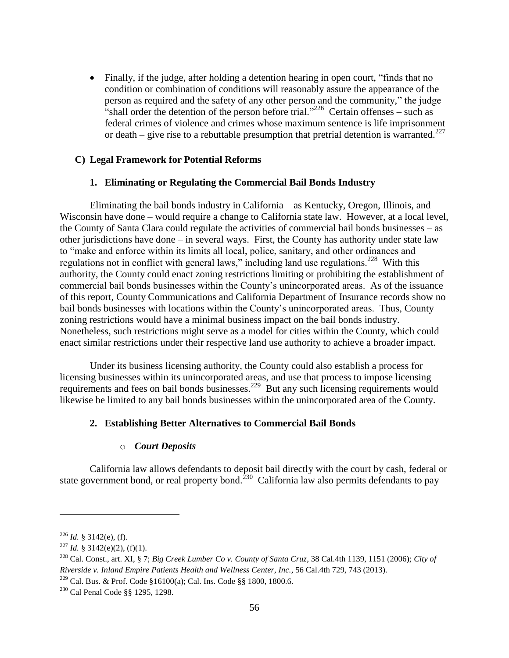Finally, if the judge, after holding a detention hearing in open court, "finds that no condition or combination of conditions will reasonably assure the appearance of the person as required and the safety of any other person and the community," the judge "shall order the detention of the person before trial."<sup>226</sup> Certain offenses – such as federal crimes of violence and crimes whose maximum sentence is life imprisonment or death – give rise to a rebuttable presumption that pretrial detention is warranted.<sup>227</sup>

#### **C) Legal Framework for Potential Reforms**

#### **1. Eliminating or Regulating the Commercial Bail Bonds Industry**

Eliminating the bail bonds industry in California – as Kentucky, Oregon, Illinois, and Wisconsin have done – would require a change to California state law. However, at a local level, the County of Santa Clara could regulate the activities of commercial bail bonds businesses – as other jurisdictions have done – in several ways. First, the County has authority under state law to "make and enforce within its limits all local, police, sanitary, and other ordinances and regulations not in conflict with general laws," including land use regulations.<sup>228</sup> With this authority, the County could enact zoning restrictions limiting or prohibiting the establishment of commercial bail bonds businesses within the County's unincorporated areas. As of the issuance of this report, County Communications and California Department of Insurance records show no bail bonds businesses with locations within the County's unincorporated areas. Thus, County zoning restrictions would have a minimal business impact on the bail bonds industry. Nonetheless, such restrictions might serve as a model for cities within the County, which could enact similar restrictions under their respective land use authority to achieve a broader impact.

Under its business licensing authority, the County could also establish a process for licensing businesses within its unincorporated areas, and use that process to impose licensing requirements and fees on bail bonds businesses.<sup>229</sup> But any such licensing requirements would likewise be limited to any bail bonds businesses within the unincorporated area of the County.

#### **2. Establishing Better Alternatives to Commercial Bail Bonds**

#### o *Court Deposits*

California law allows defendants to deposit bail directly with the court by cash, federal or state government bond, or real property bond.<sup>230</sup> California law also permits defendants to pay

<sup>226</sup> *Id.* § 3142(e), (f).

<sup>&</sup>lt;sup>227</sup> *Id.* § 3142(e)(2), (f)(1).

<sup>228</sup> Cal. Const., art. XI, § 7; *Big Creek Lumber Co v. County of Santa Cruz*, 38 Cal.4th 1139, 1151 (2006); *City of Riverside v. Inland Empire Patients Health and Wellness Center, Inc.*, 56 Cal.4th 729, 743 (2013).

<sup>&</sup>lt;sup>229</sup> Cal. Bus. & Prof. Code §16100(a); Cal. Ins. Code §§ 1800, 1800.6.

<sup>230</sup> Cal Penal Code §§ 1295, 1298.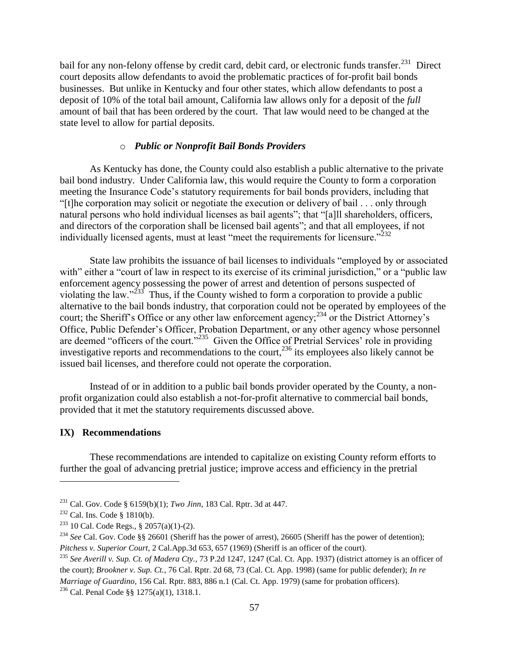bail for any non-felony offense by credit card, debit card, or electronic funds transfer.<sup>231</sup> Direct court deposits allow defendants to avoid the problematic practices of for-profit bail bonds businesses. But unlike in Kentucky and four other states, which allow defendants to post a deposit of 10% of the total bail amount, California law allows only for a deposit of the *full* amount of bail that has been ordered by the court. That law would need to be changed at the state level to allow for partial deposits.

## o *Public or Nonprofit Bail Bonds Providers*

As Kentucky has done, the County could also establish a public alternative to the private bail bond industry. Under California law, this would require the County to form a corporation meeting the Insurance Code's statutory requirements for bail bonds providers, including that "[t]he corporation may solicit or negotiate the execution or delivery of bail . . . only through natural persons who hold individual licenses as bail agents"; that "[a]ll shareholders, officers, and directors of the corporation shall be licensed bail agents"; and that all employees, if not individually licensed agents, must at least "meet the requirements for licensure."<sup>232</sup>

State law prohibits the issuance of bail licenses to individuals "employed by or associated with" either a "court of law in respect to its exercise of its criminal jurisdiction," or a "public law enforcement agency possessing the power of arrest and detention of persons suspected of violating the law."<sup>233</sup> Thus, if the County wished to form a corporation to provide a public alternative to the bail bonds industry, that corporation could not be operated by employees of the court; the Sheriff's Office or any other law enforcement agency;<sup>234</sup> or the District Attorney's Office, Public Defender's Officer, Probation Department, or any other agency whose personnel are deemed "officers of the court."<sup>235</sup> Given the Office of Pretrial Services' role in providing investigative reports and recommendations to the court,  $236$  its employees also likely cannot be issued bail licenses, and therefore could not operate the corporation.

Instead of or in addition to a public bail bonds provider operated by the County, a nonprofit organization could also establish a not-for-profit alternative to commercial bail bonds, provided that it met the statutory requirements discussed above.

#### **IX) Recommendations**

These recommendations are intended to capitalize on existing County reform efforts to further the goal of advancing pretrial justice; improve access and efficiency in the pretrial

<sup>231</sup> Cal. Gov. Code § 6159(b)(1); *Two Jinn*, 183 Cal. Rptr. 3d at 447.

<sup>232</sup> Cal. Ins. Code § 1810(b).

<sup>&</sup>lt;sup>233</sup> 10 Cal. Code Regs., § 2057(a)(1)-(2).

<sup>&</sup>lt;sup>234</sup> *See* Cal. Gov. Code §§ 26601 (Sheriff has the power of arrest), 26605 (Sheriff has the power of detention); *Pitchess v. Superior Court*, 2 Cal.App.3d 653, 657 (1969) (Sheriff is an officer of the court).

<sup>235</sup> *See Averill v. Sup. Ct. of Madera Cty.*, 73 P.2d 1247, 1247 (Cal. Ct. App. 1937) (district attorney is an officer of the court); *Brookner v. Sup. Ct.*, 76 Cal. Rptr. 2d 68, 73 (Cal. Ct. App. 1998) (same for public defender); *In re Marriage of Guardino*, 156 Cal. Rptr. 883, 886 n.1 (Cal. Ct. App. 1979) (same for probation officers). <sup>236</sup> Cal. Penal Code §§ 1275(a)(1), 1318.1.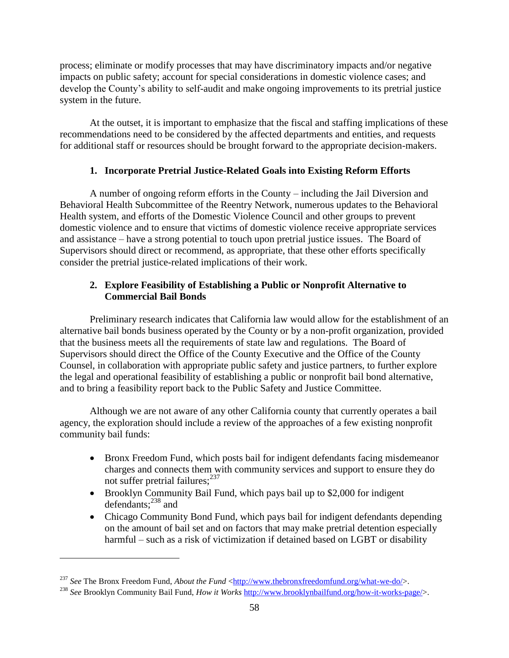process; eliminate or modify processes that may have discriminatory impacts and/or negative impacts on public safety; account for special considerations in domestic violence cases; and develop the County's ability to self-audit and make ongoing improvements to its pretrial justice system in the future.

At the outset, it is important to emphasize that the fiscal and staffing implications of these recommendations need to be considered by the affected departments and entities, and requests for additional staff or resources should be brought forward to the appropriate decision-makers.

## **1. Incorporate Pretrial Justice-Related Goals into Existing Reform Efforts**

A number of ongoing reform efforts in the County – including the Jail Diversion and Behavioral Health Subcommittee of the Reentry Network, numerous updates to the Behavioral Health system, and efforts of the Domestic Violence Council and other groups to prevent domestic violence and to ensure that victims of domestic violence receive appropriate services and assistance – have a strong potential to touch upon pretrial justice issues. The Board of Supervisors should direct or recommend, as appropriate, that these other efforts specifically consider the pretrial justice-related implications of their work.

# **2. Explore Feasibility of Establishing a Public or Nonprofit Alternative to Commercial Bail Bonds**

Preliminary research indicates that California law would allow for the establishment of an alternative bail bonds business operated by the County or by a non-profit organization, provided that the business meets all the requirements of state law and regulations. The Board of Supervisors should direct the Office of the County Executive and the Office of the County Counsel, in collaboration with appropriate public safety and justice partners, to further explore the legal and operational feasibility of establishing a public or nonprofit bail bond alternative, and to bring a feasibility report back to the Public Safety and Justice Committee.

Although we are not aware of any other California county that currently operates a bail agency, the exploration should include a review of the approaches of a few existing nonprofit community bail funds:

- Bronx Freedom Fund, which posts bail for indigent defendants facing misdemeanor charges and connects them with community services and support to ensure they do not suffer pretrial failures;<sup>237</sup>
- Brooklyn Community Bail Fund, which pays bail up to \$2,000 for indigent defendants; <sup>238</sup> and
- Chicago Community Bond Fund, which pays bail for indigent defendants depending on the amount of bail set and on factors that may make pretrial detention especially harmful – such as a risk of victimization if detained based on LGBT or disability

<sup>&</sup>lt;sup>237</sup> See The Bronx Freedom Fund, *About the Fund* [<http://www.thebronxfreedomfund.org/what-we-do/>](http://www.thebronxfreedomfund.org/what-we-do/).

<sup>238</sup> *See* Brooklyn Community Bail Fund, *How it Works* [http://www.brooklynbailfund.org/how-it-works-page/>](http://www.brooklynbailfund.org/how-it-works-page/).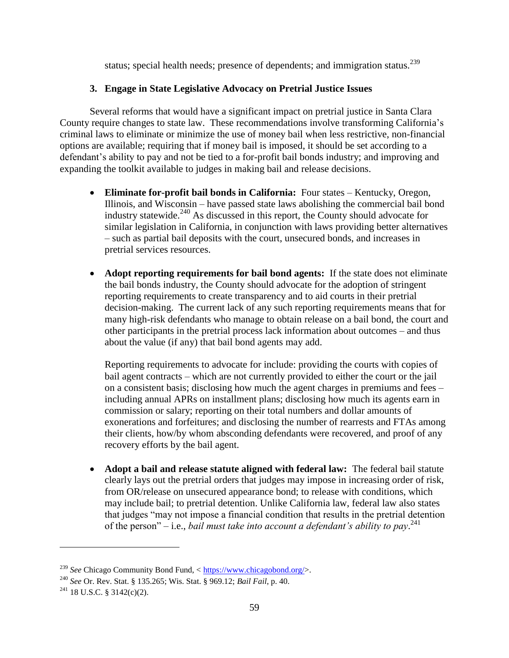status; special health needs; presence of dependents; and immigration status.<sup>239</sup>

## **3. Engage in State Legislative Advocacy on Pretrial Justice Issues**

Several reforms that would have a significant impact on pretrial justice in Santa Clara County require changes to state law. These recommendations involve transforming California's criminal laws to eliminate or minimize the use of money bail when less restrictive, non-financial options are available; requiring that if money bail is imposed, it should be set according to a defendant's ability to pay and not be tied to a for-profit bail bonds industry; and improving and expanding the toolkit available to judges in making bail and release decisions.

- **Eliminate for-profit bail bonds in California:** Four states Kentucky, Oregon, Illinois, and Wisconsin – have passed state laws abolishing the commercial bail bond industry statewide.<sup>240</sup> As discussed in this report, the County should advocate for similar legislation in California, in conjunction with laws providing better alternatives – such as partial bail deposits with the court, unsecured bonds, and increases in pretrial services resources.
- **Adopt reporting requirements for bail bond agents:** If the state does not eliminate the bail bonds industry, the County should advocate for the adoption of stringent reporting requirements to create transparency and to aid courts in their pretrial decision-making. The current lack of any such reporting requirements means that for many high-risk defendants who manage to obtain release on a bail bond, the court and other participants in the pretrial process lack information about outcomes – and thus about the value (if any) that bail bond agents may add.

Reporting requirements to advocate for include: providing the courts with copies of bail agent contracts – which are not currently provided to either the court or the jail on a consistent basis; disclosing how much the agent charges in premiums and fees – including annual APRs on installment plans; disclosing how much its agents earn in commission or salary; reporting on their total numbers and dollar amounts of exonerations and forfeitures; and disclosing the number of rearrests and FTAs among their clients, how/by whom absconding defendants were recovered, and proof of any recovery efforts by the bail agent.

 **Adopt a bail and release statute aligned with federal law:** The federal bail statute clearly lays out the pretrial orders that judges may impose in increasing order of risk, from OR/release on unsecured appearance bond; to release with conditions, which may include bail; to pretrial detention. Unlike California law, federal law also states that judges "may not impose a financial condition that results in the pretrial detention of the person" – i.e., *bail must take into account a defendant's ability to pay*. 241

<sup>239</sup> *See* Chicago Community Bond Fund, < [https://www.chicagobond.org/>](https://www.chicagobond.org/).

<sup>240</sup> *See* Or. Rev. Stat. § 135.265; Wis. Stat. § 969.12; *Bail Fail*, p. 40.

 $241$  18 U.S.C. § 3142(c)(2).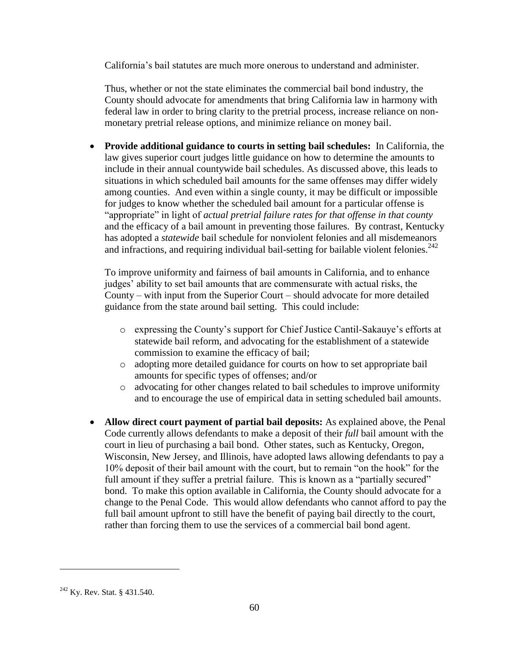California's bail statutes are much more onerous to understand and administer.

Thus, whether or not the state eliminates the commercial bail bond industry, the County should advocate for amendments that bring California law in harmony with federal law in order to bring clarity to the pretrial process, increase reliance on nonmonetary pretrial release options, and minimize reliance on money bail.

 **Provide additional guidance to courts in setting bail schedules:** In California, the law gives superior court judges little guidance on how to determine the amounts to include in their annual countywide bail schedules. As discussed above, this leads to situations in which scheduled bail amounts for the same offenses may differ widely among counties. And even within a single county, it may be difficult or impossible for judges to know whether the scheduled bail amount for a particular offense is "appropriate" in light of *actual pretrial failure rates for that offense in that county* and the efficacy of a bail amount in preventing those failures. By contrast, Kentucky has adopted a *statewide* bail schedule for nonviolent felonies and all misdemeanors and infractions, and requiring individual bail-setting for bailable violent felonies.<sup>242</sup>

To improve uniformity and fairness of bail amounts in California, and to enhance judges' ability to set bail amounts that are commensurate with actual risks, the County – with input from the Superior Court – should advocate for more detailed guidance from the state around bail setting. This could include:

- o expressing the County's support for Chief Justice Cantil-Sakauye's efforts at statewide bail reform, and advocating for the establishment of a statewide commission to examine the efficacy of bail;
- o adopting more detailed guidance for courts on how to set appropriate bail amounts for specific types of offenses; and/or
- o advocating for other changes related to bail schedules to improve uniformity and to encourage the use of empirical data in setting scheduled bail amounts.
- **Allow direct court payment of partial bail deposits:** As explained above, the Penal Code currently allows defendants to make a deposit of their *full* bail amount with the court in lieu of purchasing a bail bond. Other states, such as Kentucky, Oregon, Wisconsin, New Jersey, and Illinois, have adopted laws allowing defendants to pay a 10% deposit of their bail amount with the court, but to remain "on the hook" for the full amount if they suffer a pretrial failure. This is known as a "partially secured" bond. To make this option available in California, the County should advocate for a change to the Penal Code. This would allow defendants who cannot afford to pay the full bail amount upfront to still have the benefit of paying bail directly to the court, rather than forcing them to use the services of a commercial bail bond agent.

<sup>&</sup>lt;sup>242</sup> Ky. Rev. Stat. § 431.540.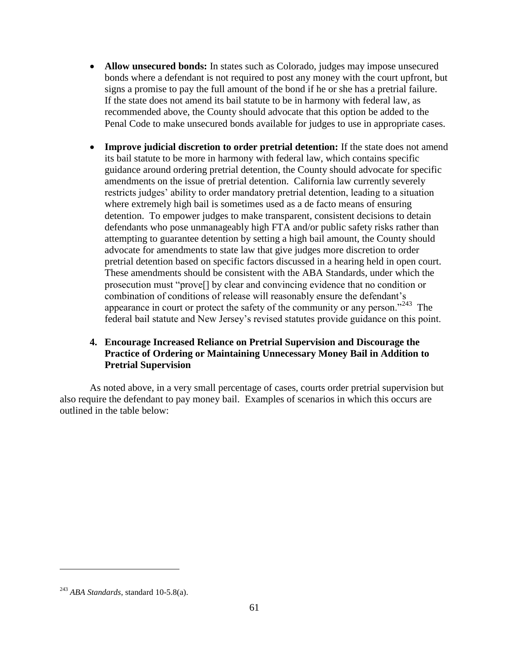- **Allow unsecured bonds:** In states such as Colorado, judges may impose unsecured bonds where a defendant is not required to post any money with the court upfront, but signs a promise to pay the full amount of the bond if he or she has a pretrial failure. If the state does not amend its bail statute to be in harmony with federal law, as recommended above, the County should advocate that this option be added to the Penal Code to make unsecured bonds available for judges to use in appropriate cases.
- **Improve judicial discretion to order pretrial detention:** If the state does not amend its bail statute to be more in harmony with federal law, which contains specific guidance around ordering pretrial detention, the County should advocate for specific amendments on the issue of pretrial detention. California law currently severely restricts judges' ability to order mandatory pretrial detention, leading to a situation where extremely high bail is sometimes used as a de facto means of ensuring detention. To empower judges to make transparent, consistent decisions to detain defendants who pose unmanageably high FTA and/or public safety risks rather than attempting to guarantee detention by setting a high bail amount, the County should advocate for amendments to state law that give judges more discretion to order pretrial detention based on specific factors discussed in a hearing held in open court. These amendments should be consistent with the ABA Standards, under which the prosecution must "prove[] by clear and convincing evidence that no condition or combination of conditions of release will reasonably ensure the defendant's appearance in court or protect the safety of the community or any person."<sup>243</sup> The federal bail statute and New Jersey's revised statutes provide guidance on this point.

## **4. Encourage Increased Reliance on Pretrial Supervision and Discourage the Practice of Ordering or Maintaining Unnecessary Money Bail in Addition to Pretrial Supervision**

As noted above, in a very small percentage of cases, courts order pretrial supervision but also require the defendant to pay money bail. Examples of scenarios in which this occurs are outlined in the table below:

<sup>243</sup> *ABA Standards*, standard 10-5.8(a).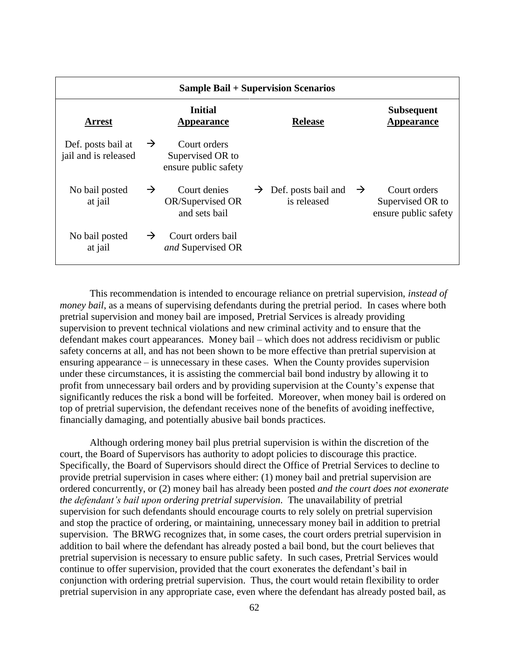| <b>Sample Bail + Supervision Scenarios</b> |               |                                                          |               |                                    |               |                                                          |
|--------------------------------------------|---------------|----------------------------------------------------------|---------------|------------------------------------|---------------|----------------------------------------------------------|
| <b>Arrest</b>                              |               | <b>Initial</b><br><b>Appearance</b>                      |               | <b>Release</b>                     |               | <b>Subsequent</b><br><b>Appearance</b>                   |
| Def. posts bail at<br>jail and is released | $\rightarrow$ | Court orders<br>Supervised OR to<br>ensure public safety |               |                                    |               |                                                          |
| No bail posted<br>at jail                  | $\rightarrow$ | Court denies<br>OR/Supervised OR<br>and sets bail        | $\rightarrow$ | Def. posts bail and<br>is released | $\rightarrow$ | Court orders<br>Supervised OR to<br>ensure public safety |
| No bail posted<br>at jail                  | $\rightarrow$ | Court orders bail<br>and Supervised OR                   |               |                                    |               |                                                          |

This recommendation is intended to encourage reliance on pretrial supervision, *instead of money bail*, as a means of supervising defendants during the pretrial period. In cases where both pretrial supervision and money bail are imposed, Pretrial Services is already providing supervision to prevent technical violations and new criminal activity and to ensure that the defendant makes court appearances. Money bail – which does not address recidivism or public safety concerns at all, and has not been shown to be more effective than pretrial supervision at ensuring appearance – is unnecessary in these cases. When the County provides supervision under these circumstances, it is assisting the commercial bail bond industry by allowing it to profit from unnecessary bail orders and by providing supervision at the County's expense that significantly reduces the risk a bond will be forfeited. Moreover, when money bail is ordered on top of pretrial supervision, the defendant receives none of the benefits of avoiding ineffective, financially damaging, and potentially abusive bail bonds practices.

Although ordering money bail plus pretrial supervision is within the discretion of the court, the Board of Supervisors has authority to adopt policies to discourage this practice. Specifically, the Board of Supervisors should direct the Office of Pretrial Services to decline to provide pretrial supervision in cases where either: (1) money bail and pretrial supervision are ordered concurrently, or (2) money bail has already been posted *and the court does not exonerate the defendant's bail upon ordering pretrial supervision*. The unavailability of pretrial supervision for such defendants should encourage courts to rely solely on pretrial supervision and stop the practice of ordering, or maintaining, unnecessary money bail in addition to pretrial supervision. The BRWG recognizes that, in some cases, the court orders pretrial supervision in addition to bail where the defendant has already posted a bail bond, but the court believes that pretrial supervision is necessary to ensure public safety. In such cases, Pretrial Services would continue to offer supervision, provided that the court exonerates the defendant's bail in conjunction with ordering pretrial supervision. Thus, the court would retain flexibility to order pretrial supervision in any appropriate case, even where the defendant has already posted bail, as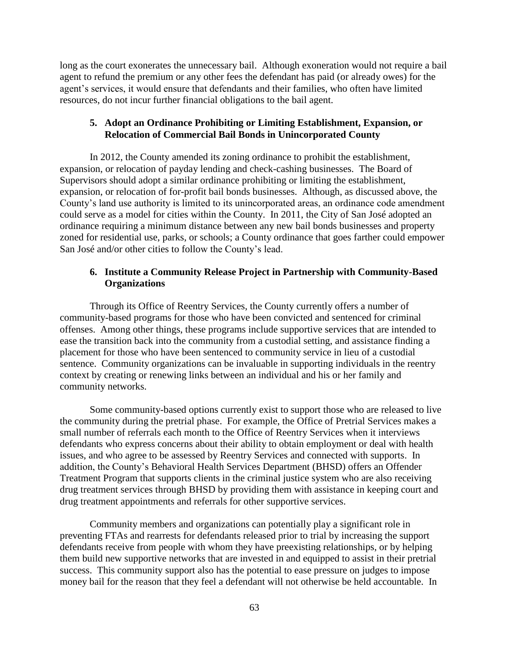long as the court exonerates the unnecessary bail. Although exoneration would not require a bail agent to refund the premium or any other fees the defendant has paid (or already owes) for the agent's services, it would ensure that defendants and their families, who often have limited resources, do not incur further financial obligations to the bail agent.

## **5. Adopt an Ordinance Prohibiting or Limiting Establishment, Expansion, or Relocation of Commercial Bail Bonds in Unincorporated County**

In 2012, the County amended its zoning ordinance to prohibit the establishment, expansion, or relocation of payday lending and check-cashing businesses. The Board of Supervisors should adopt a similar ordinance prohibiting or limiting the establishment, expansion, or relocation of for-profit bail bonds businesses. Although, as discussed above, the County's land use authority is limited to its unincorporated areas, an ordinance code amendment could serve as a model for cities within the County. In 2011, the City of San José adopted an ordinance requiring a minimum distance between any new bail bonds businesses and property zoned for residential use, parks, or schools; a County ordinance that goes farther could empower San José and/or other cities to follow the County's lead.

## **6. Institute a Community Release Project in Partnership with Community-Based Organizations**

Through its Office of Reentry Services, the County currently offers a number of community-based programs for those who have been convicted and sentenced for criminal offenses. Among other things, these programs include supportive services that are intended to ease the transition back into the community from a custodial setting, and assistance finding a placement for those who have been sentenced to community service in lieu of a custodial sentence. Community organizations can be invaluable in supporting individuals in the reentry context by creating or renewing links between an individual and his or her family and community networks.

Some community-based options currently exist to support those who are released to live the community during the pretrial phase. For example, the Office of Pretrial Services makes a small number of referrals each month to the Office of Reentry Services when it interviews defendants who express concerns about their ability to obtain employment or deal with health issues, and who agree to be assessed by Reentry Services and connected with supports. In addition, the County's Behavioral Health Services Department (BHSD) offers an Offender Treatment Program that supports clients in the criminal justice system who are also receiving drug treatment services through BHSD by providing them with assistance in keeping court and drug treatment appointments and referrals for other supportive services.

Community members and organizations can potentially play a significant role in preventing FTAs and rearrests for defendants released prior to trial by increasing the support defendants receive from people with whom they have preexisting relationships, or by helping them build new supportive networks that are invested in and equipped to assist in their pretrial success. This community support also has the potential to ease pressure on judges to impose money bail for the reason that they feel a defendant will not otherwise be held accountable. In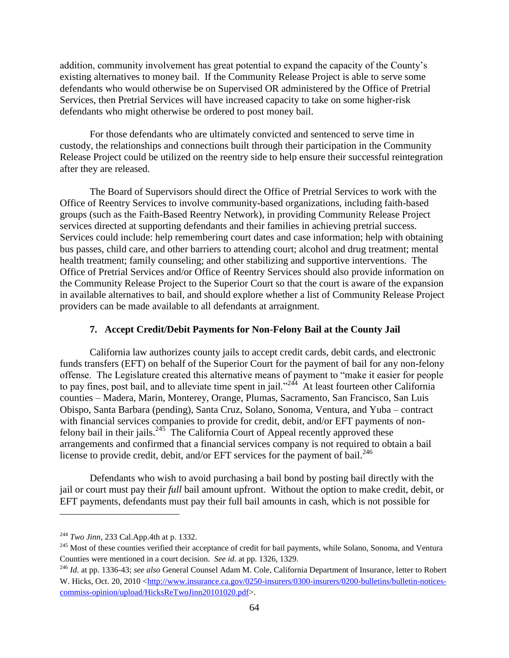addition, community involvement has great potential to expand the capacity of the County's existing alternatives to money bail. If the Community Release Project is able to serve some defendants who would otherwise be on Supervised OR administered by the Office of Pretrial Services, then Pretrial Services will have increased capacity to take on some higher-risk defendants who might otherwise be ordered to post money bail.

For those defendants who are ultimately convicted and sentenced to serve time in custody, the relationships and connections built through their participation in the Community Release Project could be utilized on the reentry side to help ensure their successful reintegration after they are released.

The Board of Supervisors should direct the Office of Pretrial Services to work with the Office of Reentry Services to involve community-based organizations, including faith-based groups (such as the Faith-Based Reentry Network), in providing Community Release Project services directed at supporting defendants and their families in achieving pretrial success. Services could include: help remembering court dates and case information; help with obtaining bus passes, child care, and other barriers to attending court; alcohol and drug treatment; mental health treatment; family counseling; and other stabilizing and supportive interventions. The Office of Pretrial Services and/or Office of Reentry Services should also provide information on the Community Release Project to the Superior Court so that the court is aware of the expansion in available alternatives to bail, and should explore whether a list of Community Release Project providers can be made available to all defendants at arraignment.

## **7. Accept Credit/Debit Payments for Non-Felony Bail at the County Jail**

California law authorizes county jails to accept credit cards, debit cards, and electronic funds transfers (EFT) on behalf of the Superior Court for the payment of bail for any non-felony offense. The Legislature created this alternative means of payment to "make it easier for people to pay fines, post bail, and to alleviate time spent in jail."<sup>244</sup> At least fourteen other California counties – Madera, Marin, Monterey, Orange, Plumas, Sacramento, San Francisco, San Luis Obispo, Santa Barbara (pending), Santa Cruz, Solano, Sonoma, Ventura, and Yuba – contract with financial services companies to provide for credit, debit, and/or EFT payments of nonfelony bail in their jails.<sup>245</sup> The California Court of Appeal recently approved these arrangements and confirmed that a financial services company is not required to obtain a bail license to provide credit, debit, and/or EFT services for the payment of bail. $^{246}$ 

Defendants who wish to avoid purchasing a bail bond by posting bail directly with the jail or court must pay their *full* bail amount upfront. Without the option to make credit, debit, or EFT payments, defendants must pay their full bail amounts in cash, which is not possible for

<sup>244</sup> *Two Jinn*, 233 Cal.App.4th at p. 1332.

<sup>&</sup>lt;sup>245</sup> Most of these counties verified their acceptance of credit for bail payments, while Solano, Sonoma, and Ventura Counties were mentioned in a court decision. *See id.* at pp. 1326, 1329.

<sup>246</sup> *Id.* at pp. 1336-43; *see also* General Counsel Adam M. Cole, California Department of Insurance, letter to Robert W. Hicks, Oct. 20, 2010 [<http://www.insurance.ca.gov/0250-insurers/0300-insurers/0200-bulletins/bulletin-notices](http://www.insurance.ca.gov/0250-insurers/0300-insurers/0200-bulletins/bulletin-notices-commiss-opinion/upload/HicksReTwoJinn20101020.pdf)[commiss-opinion/upload/HicksReTwoJinn20101020.pdf>](http://www.insurance.ca.gov/0250-insurers/0300-insurers/0200-bulletins/bulletin-notices-commiss-opinion/upload/HicksReTwoJinn20101020.pdf).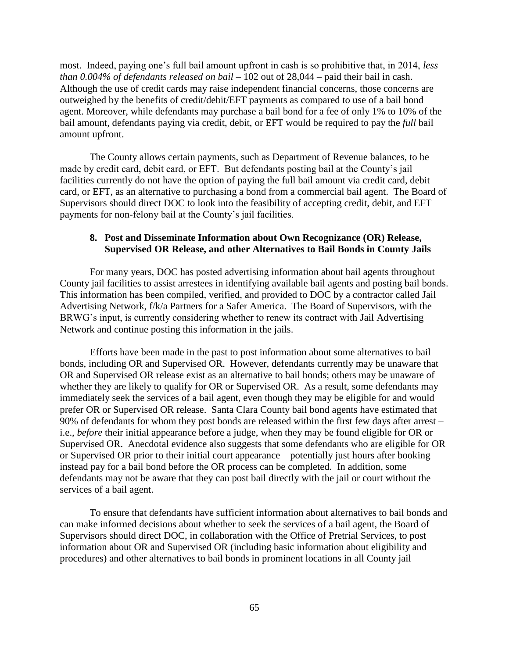most. Indeed, paying one's full bail amount upfront in cash is so prohibitive that, in 2014, *less than 0.004% of defendants released on bail* – 102 out of 28,044 – paid their bail in cash. Although the use of credit cards may raise independent financial concerns, those concerns are outweighed by the benefits of credit/debit/EFT payments as compared to use of a bail bond agent. Moreover, while defendants may purchase a bail bond for a fee of only 1% to 10% of the bail amount, defendants paying via credit, debit, or EFT would be required to pay the *full* bail amount upfront.

The County allows certain payments, such as Department of Revenue balances, to be made by credit card, debit card, or EFT. But defendants posting bail at the County's jail facilities currently do not have the option of paying the full bail amount via credit card, debit card, or EFT, as an alternative to purchasing a bond from a commercial bail agent. The Board of Supervisors should direct DOC to look into the feasibility of accepting credit, debit, and EFT payments for non-felony bail at the County's jail facilities.

## **8. Post and Disseminate Information about Own Recognizance (OR) Release, Supervised OR Release, and other Alternatives to Bail Bonds in County Jails**

For many years, DOC has posted advertising information about bail agents throughout County jail facilities to assist arrestees in identifying available bail agents and posting bail bonds. This information has been compiled, verified, and provided to DOC by a contractor called Jail Advertising Network, f/k/a Partners for a Safer America. The Board of Supervisors, with the BRWG's input, is currently considering whether to renew its contract with Jail Advertising Network and continue posting this information in the jails.

Efforts have been made in the past to post information about some alternatives to bail bonds, including OR and Supervised OR. However, defendants currently may be unaware that OR and Supervised OR release exist as an alternative to bail bonds; others may be unaware of whether they are likely to qualify for OR or Supervised OR. As a result, some defendants may immediately seek the services of a bail agent, even though they may be eligible for and would prefer OR or Supervised OR release. Santa Clara County bail bond agents have estimated that 90% of defendants for whom they post bonds are released within the first few days after arrest – i.e., *before* their initial appearance before a judge, when they may be found eligible for OR or Supervised OR. Anecdotal evidence also suggests that some defendants who are eligible for OR or Supervised OR prior to their initial court appearance – potentially just hours after booking – instead pay for a bail bond before the OR process can be completed. In addition, some defendants may not be aware that they can post bail directly with the jail or court without the services of a bail agent.

To ensure that defendants have sufficient information about alternatives to bail bonds and can make informed decisions about whether to seek the services of a bail agent, the Board of Supervisors should direct DOC, in collaboration with the Office of Pretrial Services, to post information about OR and Supervised OR (including basic information about eligibility and procedures) and other alternatives to bail bonds in prominent locations in all County jail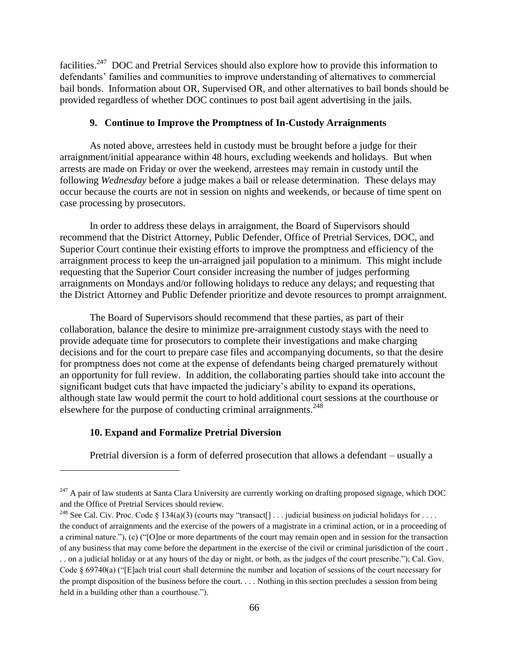facilities.<sup>247</sup> DOC and Pretrial Services should also explore how to provide this information to defendants' families and communities to improve understanding of alternatives to commercial bail bonds. Information about OR, Supervised OR, and other alternatives to bail bonds should be provided regardless of whether DOC continues to post bail agent advertising in the jails.

## **9. Continue to Improve the Promptness of In-Custody Arraignments**

As noted above, arrestees held in custody must be brought before a judge for their arraignment/initial appearance within 48 hours, excluding weekends and holidays. But when arrests are made on Friday or over the weekend, arrestees may remain in custody until the following *Wednesday* before a judge makes a bail or release determination. These delays may occur because the courts are not in session on nights and weekends, or because of time spent on case processing by prosecutors.

In order to address these delays in arraignment, the Board of Supervisors should recommend that the District Attorney, Public Defender, Office of Pretrial Services, DOC, and Superior Court continue their existing efforts to improve the promptness and efficiency of the arraignment process to keep the un-arraigned jail population to a minimum. This might include requesting that the Superior Court consider increasing the number of judges performing arraignments on Mondays and/or following holidays to reduce any delays; and requesting that the District Attorney and Public Defender prioritize and devote resources to prompt arraignment.

The Board of Supervisors should recommend that these parties, as part of their collaboration, balance the desire to minimize pre-arraignment custody stays with the need to provide adequate time for prosecutors to complete their investigations and make charging decisions and for the court to prepare case files and accompanying documents, so that the desire for promptness does not come at the expense of defendants being charged prematurely without an opportunity for full review. In addition, the collaborating parties should take into account the significant budget cuts that have impacted the judiciary's ability to expand its operations, although state law would permit the court to hold additional court sessions at the courthouse or elsewhere for the purpose of conducting criminal arraignments.<sup>248</sup>

#### **10. Expand and Formalize Pretrial Diversion**

 $\overline{a}$ 

Pretrial diversion is a form of deferred prosecution that allows a defendant – usually a

 $^{247}$  A pair of law students at Santa Clara University are currently working on drafting proposed signage, which DOC and the Office of Pretrial Services should review.

<sup>&</sup>lt;sup>248</sup> See Cal. Civ. Proc. Code § 134(a)(3) (courts may "transact[] . . . judicial business on judicial holidays for . . . . the conduct of arraignments and the exercise of the powers of a magistrate in a criminal action, or in a proceeding of a criminal nature."), (c) ("[O]ne or more departments of the court may remain open and in session for the transaction of any business that may come before the department in the exercise of the civil or criminal jurisdiction of the court . . . on a judicial holiday or at any hours of the day or night, or both, as the judges of the court prescribe."); Cal. Gov. Code § 69740(a) ("[E]ach trial court shall determine the number and location of sessions of the court necessary for the prompt disposition of the business before the court. . . . Nothing in this section precludes a session from being held in a building other than a courthouse.").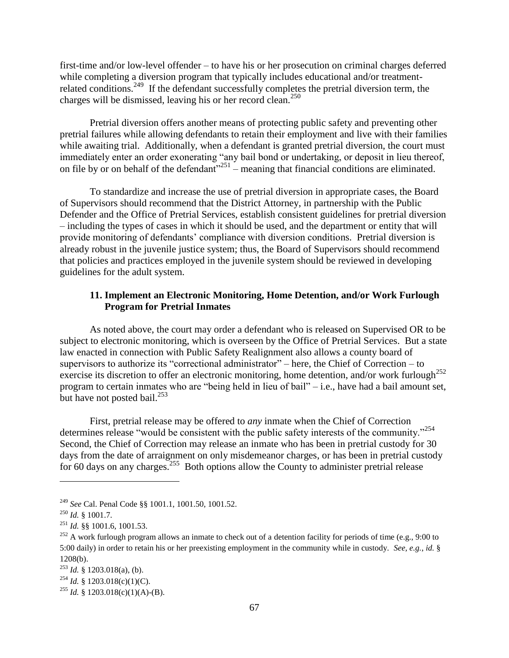first-time and/or low-level offender – to have his or her prosecution on criminal charges deferred while completing a diversion program that typically includes educational and/or treatmentrelated conditions.<sup>249</sup> If the defendant successfully completes the pretrial diversion term, the charges will be dismissed, leaving his or her record clean.<sup>250</sup>

Pretrial diversion offers another means of protecting public safety and preventing other pretrial failures while allowing defendants to retain their employment and live with their families while awaiting trial. Additionally, when a defendant is granted pretrial diversion, the court must immediately enter an order exonerating "any bail bond or undertaking, or deposit in lieu thereof, on file by or on behalf of the defendant<sup> $251$ </sup> – meaning that financial conditions are eliminated.

To standardize and increase the use of pretrial diversion in appropriate cases, the Board of Supervisors should recommend that the District Attorney, in partnership with the Public Defender and the Office of Pretrial Services, establish consistent guidelines for pretrial diversion – including the types of cases in which it should be used, and the department or entity that will provide monitoring of defendants' compliance with diversion conditions. Pretrial diversion is already robust in the juvenile justice system; thus, the Board of Supervisors should recommend that policies and practices employed in the juvenile system should be reviewed in developing guidelines for the adult system.

## **11. Implement an Electronic Monitoring, Home Detention, and/or Work Furlough Program for Pretrial Inmates**

As noted above, the court may order a defendant who is released on Supervised OR to be subject to electronic monitoring, which is overseen by the Office of Pretrial Services. But a state law enacted in connection with Public Safety Realignment also allows a county board of supervisors to authorize its "correctional administrator" – here, the Chief of Correction – to exercise its discretion to offer an electronic monitoring, home detention, and/or work furlough<sup>252</sup> program to certain inmates who are "being held in lieu of bail" – i.e., have had a bail amount set, but have not posted bail.<sup>253</sup>

First, pretrial release may be offered to *any* inmate when the Chief of Correction determines release "would be consistent with the public safety interests of the community."<sup>254</sup> Second, the Chief of Correction may release an inmate who has been in pretrial custody for 30 days from the date of arraignment on only misdemeanor charges, or has been in pretrial custody for 60 days on any charges.<sup>255</sup> Both options allow the County to administer pretrial release

<sup>249</sup> *See* Cal. Penal Code §§ 1001.1, 1001.50, 1001.52.

<sup>250</sup> *Id.* § 1001.7.

<sup>251</sup> *Id.* §§ 1001.6, 1001.53.

 $252$  A work furlough program allows an inmate to check out of a detention facility for periods of time (e.g., 9:00 to 5:00 daily) in order to retain his or her preexisting employment in the community while in custody. *See, e.g.*, *id.* § 1208(b).

 $^{253}$  *Id.* § 1203.018(a), (b).

<sup>&</sup>lt;sup>254</sup> *Id.* § 1203.018(c)(1)(C).

<sup>&</sup>lt;sup>255</sup> *Id.* § 1203.018(c)(1)(A)-(B).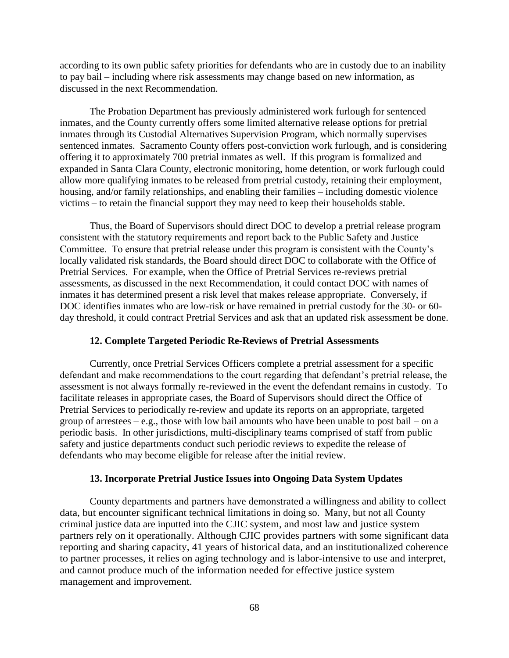according to its own public safety priorities for defendants who are in custody due to an inability to pay bail – including where risk assessments may change based on new information, as discussed in the next Recommendation.

The Probation Department has previously administered work furlough for sentenced inmates, and the County currently offers some limited alternative release options for pretrial inmates through its Custodial Alternatives Supervision Program, which normally supervises sentenced inmates. Sacramento County offers post-conviction work furlough, and is considering offering it to approximately 700 pretrial inmates as well. If this program is formalized and expanded in Santa Clara County, electronic monitoring, home detention, or work furlough could allow more qualifying inmates to be released from pretrial custody, retaining their employment, housing, and/or family relationships, and enabling their families – including domestic violence victims – to retain the financial support they may need to keep their households stable.

Thus, the Board of Supervisors should direct DOC to develop a pretrial release program consistent with the statutory requirements and report back to the Public Safety and Justice Committee. To ensure that pretrial release under this program is consistent with the County's locally validated risk standards, the Board should direct DOC to collaborate with the Office of Pretrial Services. For example, when the Office of Pretrial Services re-reviews pretrial assessments, as discussed in the next Recommendation, it could contact DOC with names of inmates it has determined present a risk level that makes release appropriate. Conversely, if DOC identifies inmates who are low-risk or have remained in pretrial custody for the 30- or 60 day threshold, it could contract Pretrial Services and ask that an updated risk assessment be done.

#### **12. Complete Targeted Periodic Re-Reviews of Pretrial Assessments**

Currently, once Pretrial Services Officers complete a pretrial assessment for a specific defendant and make recommendations to the court regarding that defendant's pretrial release, the assessment is not always formally re-reviewed in the event the defendant remains in custody. To facilitate releases in appropriate cases, the Board of Supervisors should direct the Office of Pretrial Services to periodically re-review and update its reports on an appropriate, targeted group of arrestees – e.g., those with low bail amounts who have been unable to post bail – on a periodic basis. In other jurisdictions, multi-disciplinary teams comprised of staff from public safety and justice departments conduct such periodic reviews to expedite the release of defendants who may become eligible for release after the initial review.

#### **13. Incorporate Pretrial Justice Issues into Ongoing Data System Updates**

County departments and partners have demonstrated a willingness and ability to collect data, but encounter significant technical limitations in doing so. Many, but not all County criminal justice data are inputted into the CJIC system, and most law and justice system partners rely on it operationally. Although CJIC provides partners with some significant data reporting and sharing capacity, 41 years of historical data, and an institutionalized coherence to partner processes, it relies on aging technology and is labor-intensive to use and interpret, and cannot produce much of the information needed for effective justice system management and improvement.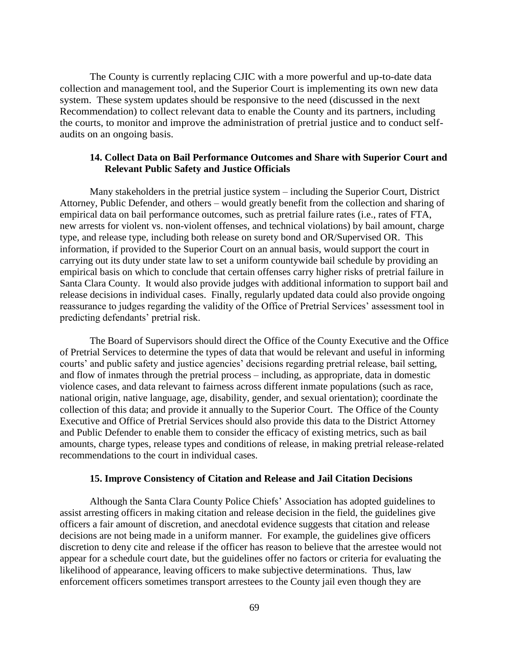The County is currently replacing CJIC with a more powerful and up-to-date data collection and management tool, and the Superior Court is implementing its own new data system. These system updates should be responsive to the need (discussed in the next Recommendation) to collect relevant data to enable the County and its partners, including the courts, to monitor and improve the administration of pretrial justice and to conduct selfaudits on an ongoing basis.

## **14. Collect Data on Bail Performance Outcomes and Share with Superior Court and Relevant Public Safety and Justice Officials**

Many stakeholders in the pretrial justice system – including the Superior Court, District Attorney, Public Defender, and others – would greatly benefit from the collection and sharing of empirical data on bail performance outcomes, such as pretrial failure rates (i.e., rates of FTA, new arrests for violent vs. non-violent offenses, and technical violations) by bail amount, charge type, and release type, including both release on surety bond and OR/Supervised OR. This information, if provided to the Superior Court on an annual basis, would support the court in carrying out its duty under state law to set a uniform countywide bail schedule by providing an empirical basis on which to conclude that certain offenses carry higher risks of pretrial failure in Santa Clara County. It would also provide judges with additional information to support bail and release decisions in individual cases. Finally, regularly updated data could also provide ongoing reassurance to judges regarding the validity of the Office of Pretrial Services' assessment tool in predicting defendants' pretrial risk.

The Board of Supervisors should direct the Office of the County Executive and the Office of Pretrial Services to determine the types of data that would be relevant and useful in informing courts' and public safety and justice agencies' decisions regarding pretrial release, bail setting, and flow of inmates through the pretrial process – including, as appropriate, data in domestic violence cases, and data relevant to fairness across different inmate populations (such as race, national origin, native language, age, disability, gender, and sexual orientation); coordinate the collection of this data; and provide it annually to the Superior Court. The Office of the County Executive and Office of Pretrial Services should also provide this data to the District Attorney and Public Defender to enable them to consider the efficacy of existing metrics, such as bail amounts, charge types, release types and conditions of release, in making pretrial release-related recommendations to the court in individual cases.

#### **15. Improve Consistency of Citation and Release and Jail Citation Decisions**

Although the Santa Clara County Police Chiefs' Association has adopted guidelines to assist arresting officers in making citation and release decision in the field, the guidelines give officers a fair amount of discretion, and anecdotal evidence suggests that citation and release decisions are not being made in a uniform manner. For example, the guidelines give officers discretion to deny cite and release if the officer has reason to believe that the arrestee would not appear for a schedule court date, but the guidelines offer no factors or criteria for evaluating the likelihood of appearance, leaving officers to make subjective determinations. Thus, law enforcement officers sometimes transport arrestees to the County jail even though they are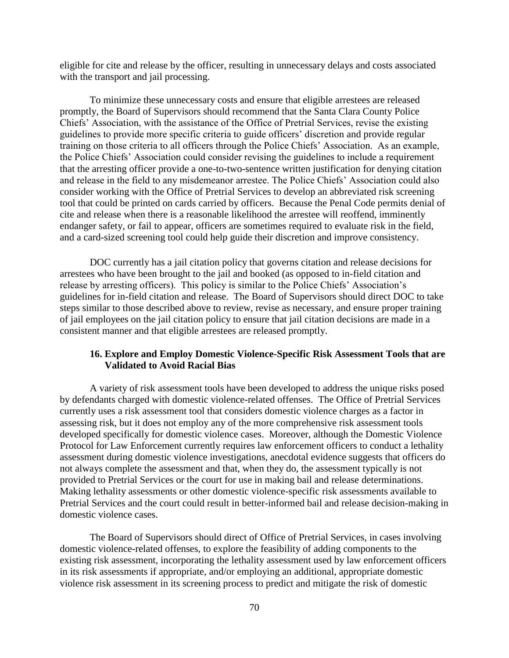eligible for cite and release by the officer, resulting in unnecessary delays and costs associated with the transport and jail processing.

To minimize these unnecessary costs and ensure that eligible arrestees are released promptly, the Board of Supervisors should recommend that the Santa Clara County Police Chiefs' Association, with the assistance of the Office of Pretrial Services, revise the existing guidelines to provide more specific criteria to guide officers' discretion and provide regular training on those criteria to all officers through the Police Chiefs' Association. As an example, the Police Chiefs' Association could consider revising the guidelines to include a requirement that the arresting officer provide a one-to-two-sentence written justification for denying citation and release in the field to any misdemeanor arrestee. The Police Chiefs' Association could also consider working with the Office of Pretrial Services to develop an abbreviated risk screening tool that could be printed on cards carried by officers. Because the Penal Code permits denial of cite and release when there is a reasonable likelihood the arrestee will reoffend, imminently endanger safety, or fail to appear, officers are sometimes required to evaluate risk in the field, and a card-sized screening tool could help guide their discretion and improve consistency.

DOC currently has a jail citation policy that governs citation and release decisions for arrestees who have been brought to the jail and booked (as opposed to in-field citation and release by arresting officers). This policy is similar to the Police Chiefs' Association's guidelines for in-field citation and release. The Board of Supervisors should direct DOC to take steps similar to those described above to review, revise as necessary, and ensure proper training of jail employees on the jail citation policy to ensure that jail citation decisions are made in a consistent manner and that eligible arrestees are released promptly.

# **16. Explore and Employ Domestic Violence-Specific Risk Assessment Tools that are Validated to Avoid Racial Bias**

A variety of risk assessment tools have been developed to address the unique risks posed by defendants charged with domestic violence-related offenses. The Office of Pretrial Services currently uses a risk assessment tool that considers domestic violence charges as a factor in assessing risk, but it does not employ any of the more comprehensive risk assessment tools developed specifically for domestic violence cases. Moreover, although the Domestic Violence Protocol for Law Enforcement currently requires law enforcement officers to conduct a lethality assessment during domestic violence investigations, anecdotal evidence suggests that officers do not always complete the assessment and that, when they do, the assessment typically is not provided to Pretrial Services or the court for use in making bail and release determinations. Making lethality assessments or other domestic violence-specific risk assessments available to Pretrial Services and the court could result in better-informed bail and release decision-making in domestic violence cases.

The Board of Supervisors should direct of Office of Pretrial Services, in cases involving domestic violence-related offenses, to explore the feasibility of adding components to the existing risk assessment, incorporating the lethality assessment used by law enforcement officers in its risk assessments if appropriate, and/or employing an additional, appropriate domestic violence risk assessment in its screening process to predict and mitigate the risk of domestic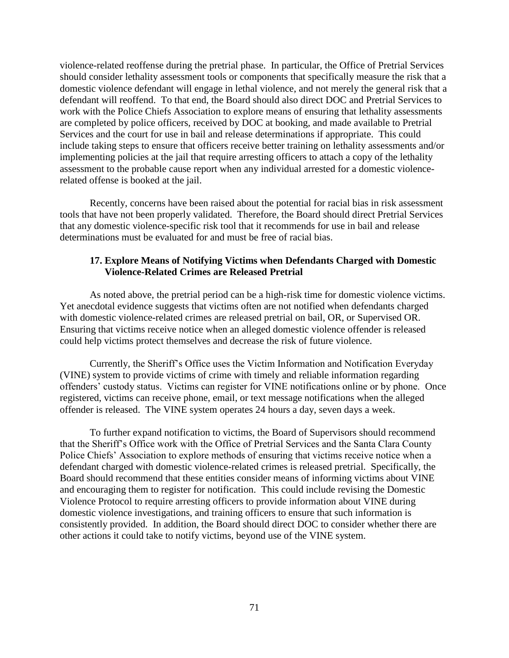violence-related reoffense during the pretrial phase. In particular, the Office of Pretrial Services should consider lethality assessment tools or components that specifically measure the risk that a domestic violence defendant will engage in lethal violence, and not merely the general risk that a defendant will reoffend. To that end, the Board should also direct DOC and Pretrial Services to work with the Police Chiefs Association to explore means of ensuring that lethality assessments are completed by police officers, received by DOC at booking, and made available to Pretrial Services and the court for use in bail and release determinations if appropriate. This could include taking steps to ensure that officers receive better training on lethality assessments and/or implementing policies at the jail that require arresting officers to attach a copy of the lethality assessment to the probable cause report when any individual arrested for a domestic violencerelated offense is booked at the jail.

Recently, concerns have been raised about the potential for racial bias in risk assessment tools that have not been properly validated. Therefore, the Board should direct Pretrial Services that any domestic violence-specific risk tool that it recommends for use in bail and release determinations must be evaluated for and must be free of racial bias.

## **17. Explore Means of Notifying Victims when Defendants Charged with Domestic Violence-Related Crimes are Released Pretrial**

As noted above, the pretrial period can be a high-risk time for domestic violence victims. Yet anecdotal evidence suggests that victims often are not notified when defendants charged with domestic violence-related crimes are released pretrial on bail, OR, or Supervised OR. Ensuring that victims receive notice when an alleged domestic violence offender is released could help victims protect themselves and decrease the risk of future violence.

Currently, the Sheriff's Office uses the Victim Information and Notification Everyday (VINE) system to provide victims of crime with timely and reliable information regarding offenders' custody status. Victims can register for VINE notifications online or by phone. Once registered, victims can receive phone, email, or text message notifications when the alleged offender is released. The VINE system operates 24 hours a day, seven days a week.

To further expand notification to victims, the Board of Supervisors should recommend that the Sheriff's Office work with the Office of Pretrial Services and the Santa Clara County Police Chiefs' Association to explore methods of ensuring that victims receive notice when a defendant charged with domestic violence-related crimes is released pretrial. Specifically, the Board should recommend that these entities consider means of informing victims about VINE and encouraging them to register for notification. This could include revising the Domestic Violence Protocol to require arresting officers to provide information about VINE during domestic violence investigations, and training officers to ensure that such information is consistently provided. In addition, the Board should direct DOC to consider whether there are other actions it could take to notify victims, beyond use of the VINE system.